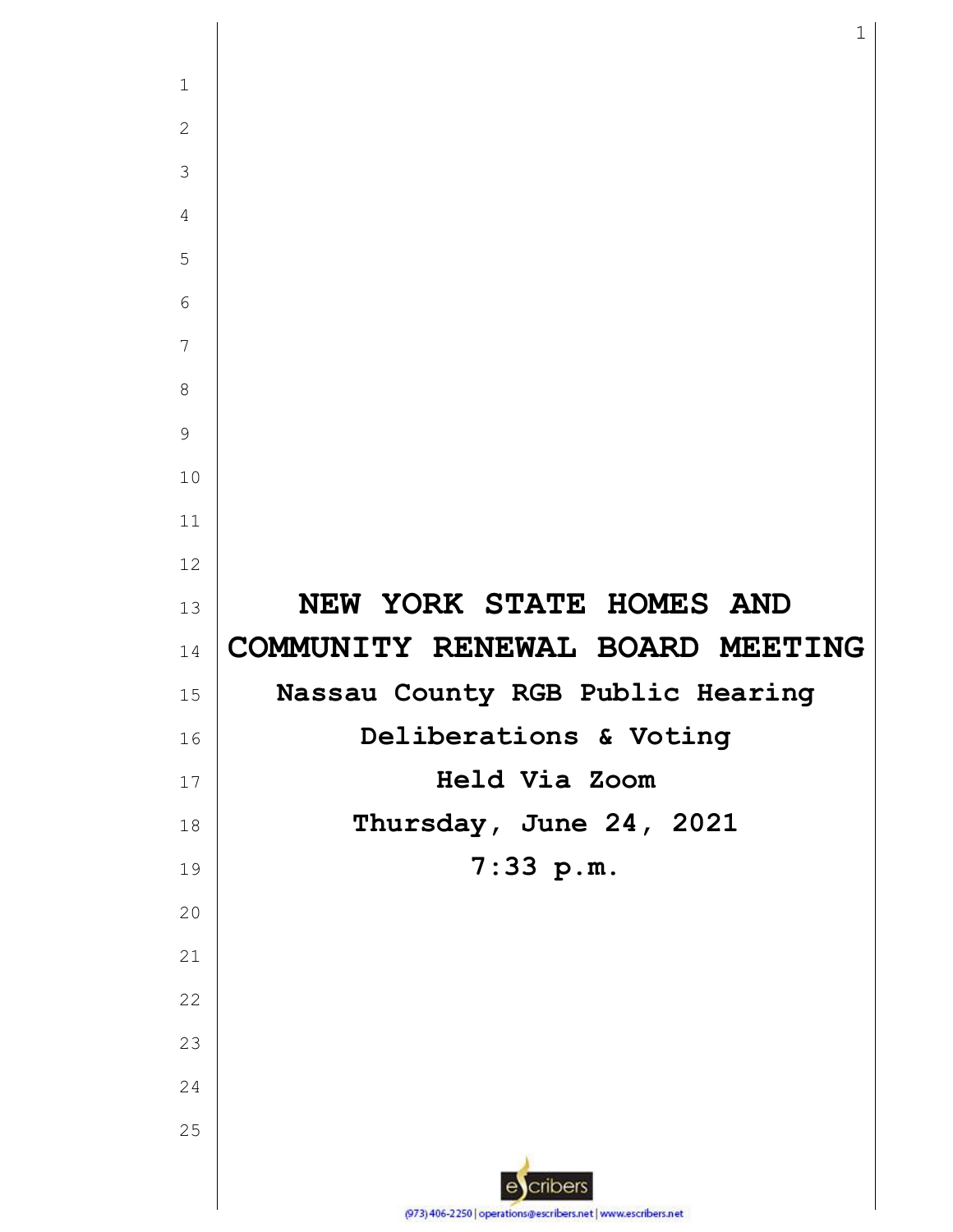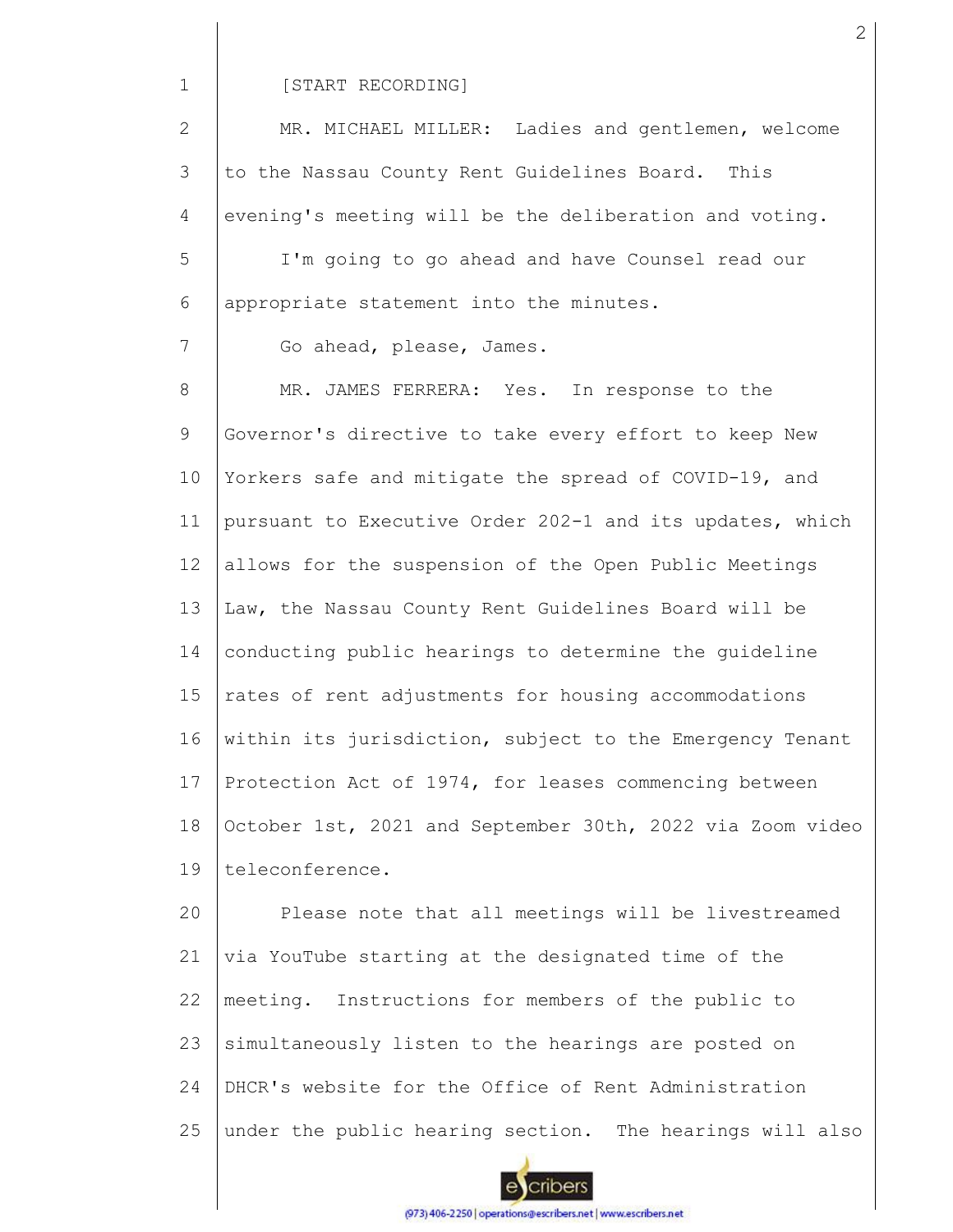1

25

#### [START RECORDING]

2 3 4 5 6 7 8 9 10 11 12 13 14 15 16 17 18 19 20 21 22 23 24 MR. MICHAEL MILLER: Ladies and gentlemen, welcome to the Nassau County Rent Guidelines Board. This evening's meeting will be the deliberation and voting. I'm going to go ahead and have Counsel read our appropriate statement into the minutes. Go ahead, please, James. MR. JAMES FERRERA: Yes. In response to the Governor's directive to take every effort to keep New Yorkers safe and mitigate the spread of COVID-19, and pursuant to Executive Order 202-1 and its updates, which allows for the suspension of the Open Public Meetings Law, the Nassau County Rent Guidelines Board will be conducting public hearings to determine the guideline rates of rent adjustments for housing accommodations within its jurisdiction, subject to the Emergency Tenant Protection Act of 1974, for leases commencing between October 1st, 2021 and September 30th, 2022 via Zoom video teleconference. Please note that all meetings will be livestreamed via YouTube starting at the designated time of the meeting. Instructions for members of the public to simultaneously listen to the hearings are posted on DHCR's website for the Office of Rent Administration

cribers

under the public hearing section. The hearings will also

(973) 406-2250 | operations@escribers.net | www.escribers.net

2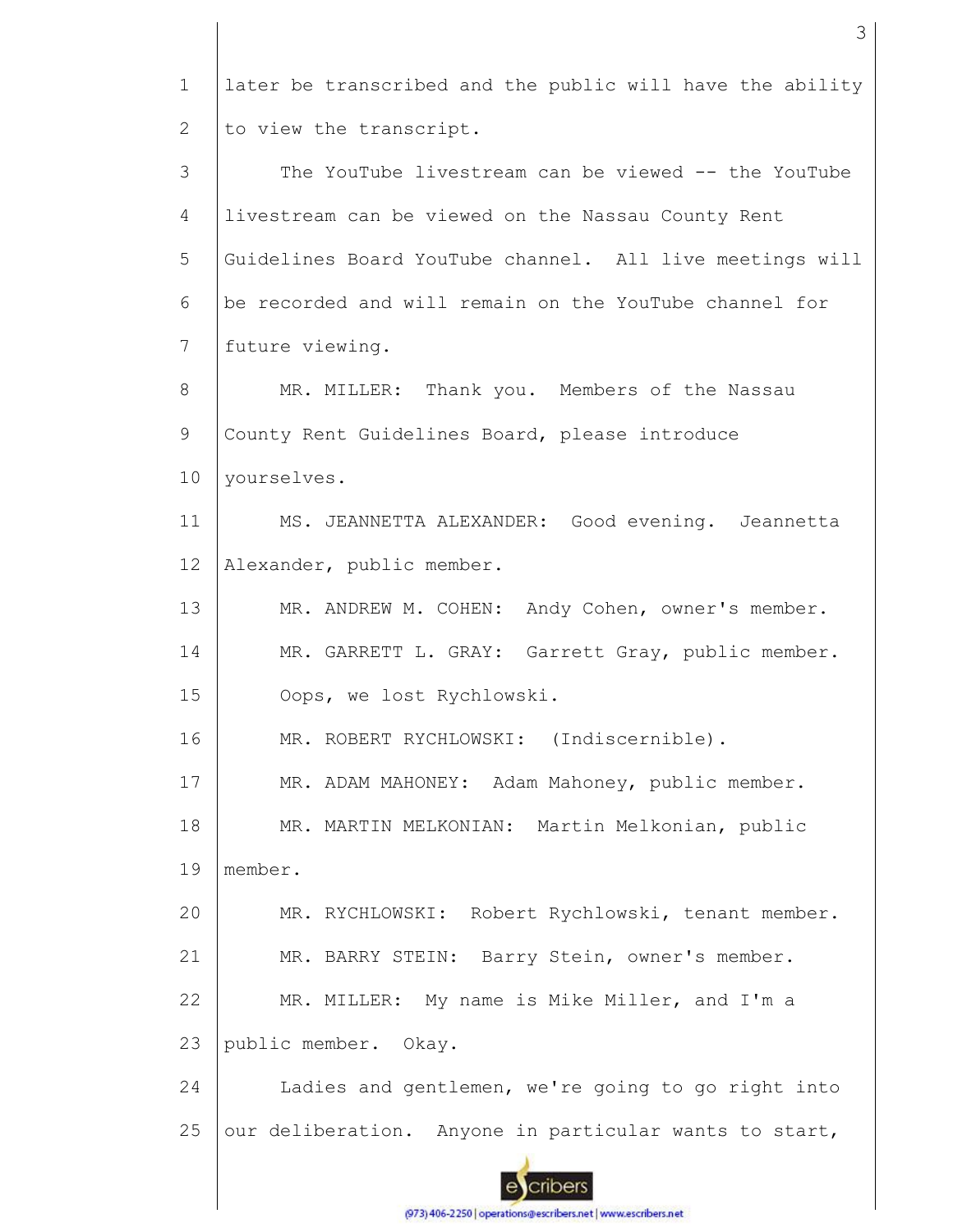1 later be transcribed and the public will have the ability to view the transcript. 2 3 The YouTube livestream can be viewed -- the YouTube 4 livestream can be viewed on the Nassau County Rent 5 Guidelines Board YouTube channel. All live meetings will 6 be recorded and will remain on the YouTube channel for 7 future viewing. 8 MR. MILLER: Thank you. Members of the Nassau 9 County Rent Guidelines Board, please introduce 10 yourselves. 11 MS. JEANNETTA ALEXANDER: Good evening. Jeannetta 12 Alexander, public member. 13 MR. ANDREW M. COHEN: Andy Cohen, owner's member. 14 MR. GARRETT L. GRAY: Garrett Gray, public member. 15 Oops, we lost Rychlowski. 16 MR. ROBERT RYCHLOWSKI: (Indiscernible). 17 MR. ADAM MAHONEY: Adam Mahoney, public member. 18 MR. MARTIN MELKONIAN: Martin Melkonian, public 19 member. 20 MR. RYCHLOWSKI: Robert Rychlowski, tenant member. 21 MR. BARRY STEIN: Barry Stein, owner's member. 22 MR. MILLER: My name is Mike Miller, and I'm a 23 public member. Okay. 24 Ladies and gentlemen, we're going to go right into 25 our deliberation. Anyone in particular wants to start, cribers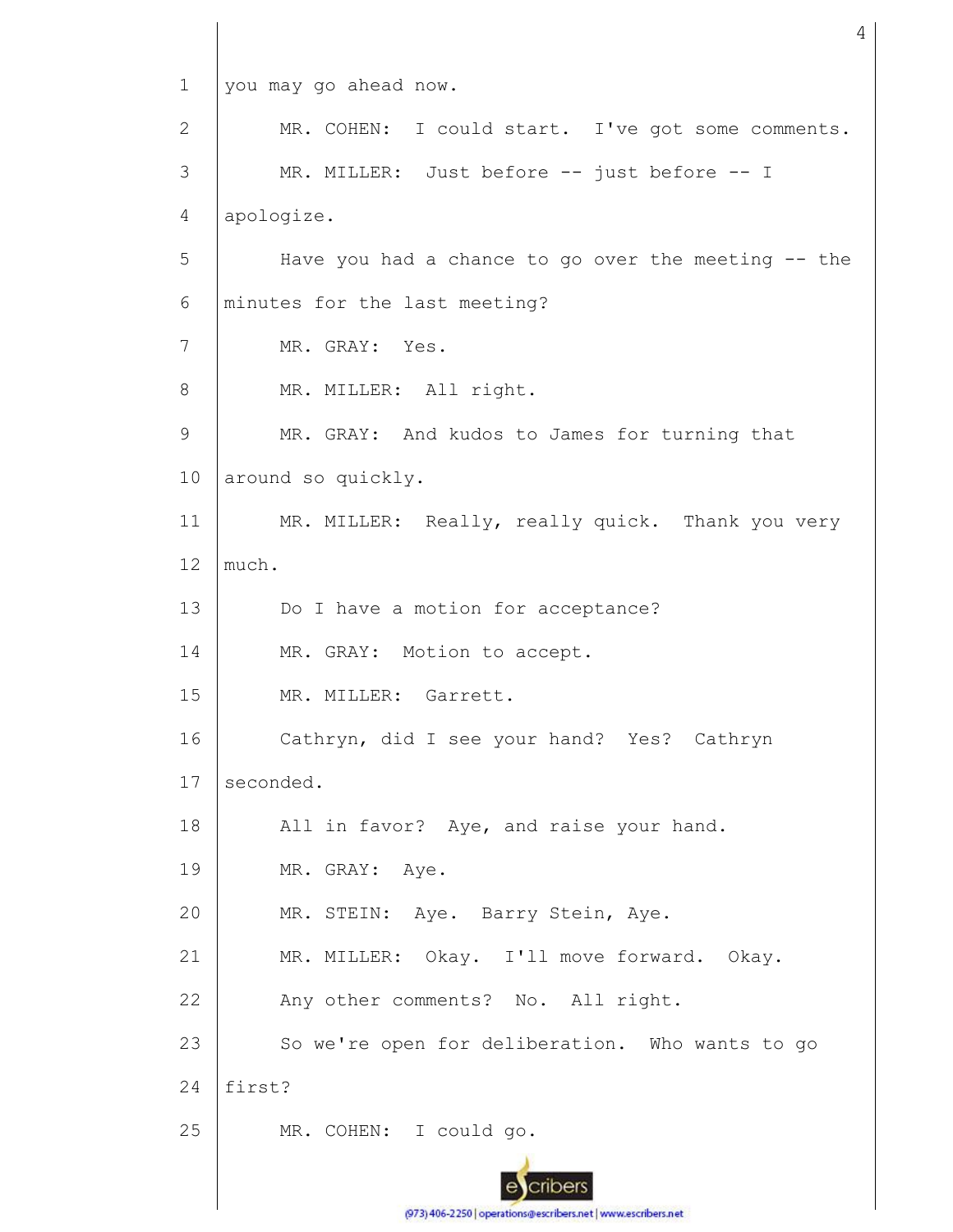1 2 3 4 5 6 7 8 9 10 11 12 13 14 15 16 17 18 19 20 21 22 23 24 25 you may go ahead now. MR. COHEN: I could start. I've got some comments. MR. MILLER: Just before -- just before -- I apologize. Have you had a chance to go over the meeting -- the minutes for the last meeting? MR. GRAY: Yes. MR. MILLER: All right. MR. GRAY: And kudos to James for turning that around so quickly. MR. MILLER: Really, really quick. Thank you very much. Do I have a motion for acceptance? MR. GRAY: Motion to accept. MR. MILLER: Garrett. Cathryn, did I see your hand? Yes? Cathryn seconded. All in favor? Aye, and raise your hand. MR. GRAY: Aye. MR. STEIN: Aye. Barry Stein, Aye. MR. MILLER: Okay. I'll move forward. Okay. Any other comments? No. All right. So we're open for deliberation. Who wants to go first? MR. COHEN: I could go.

4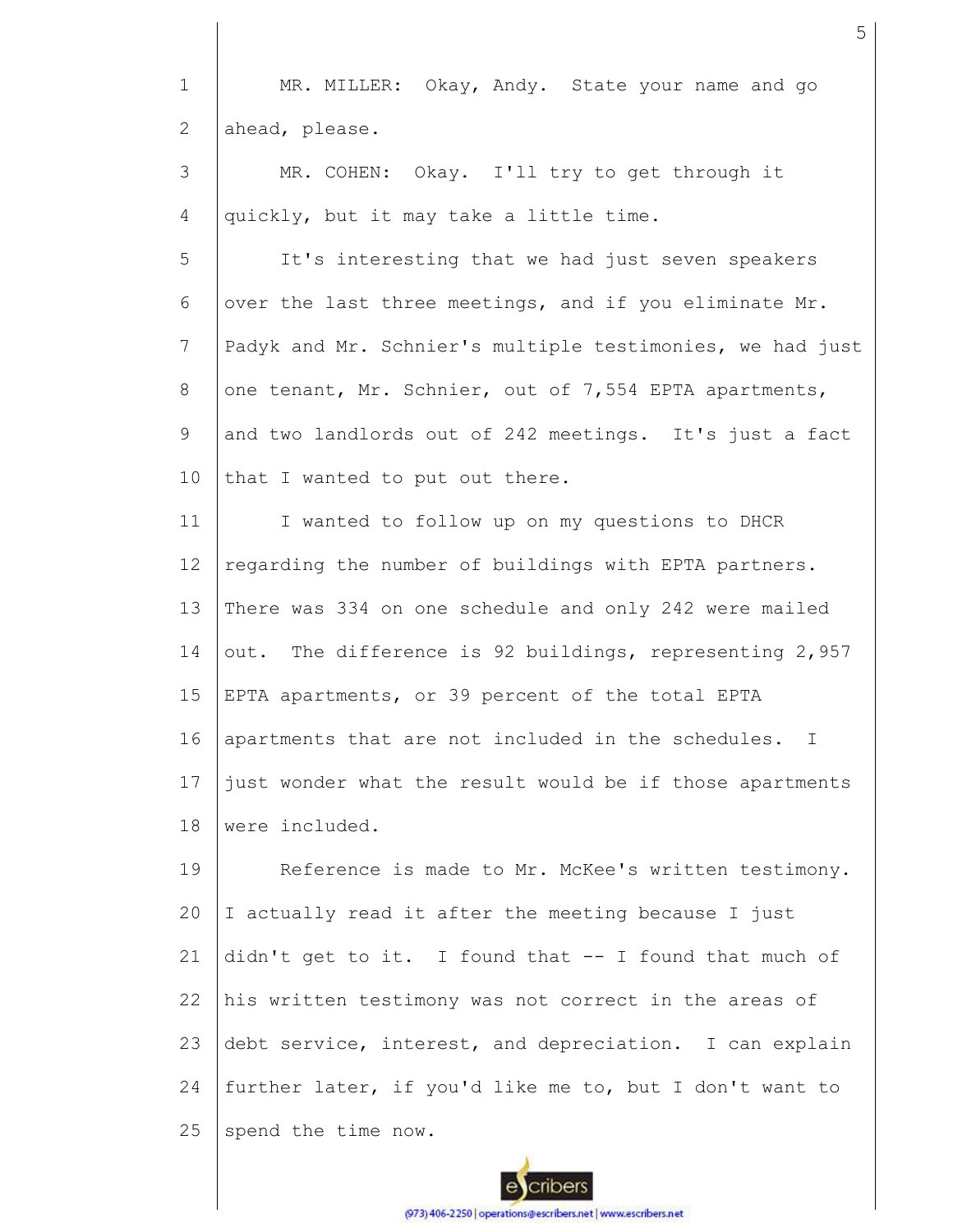1 2 MR. MILLER: Okay, Andy. State your name and go ahead, please.

3 4 MR. COHEN: Okay. I'll try to get through it quickly, but it may take a little time.

5 6 7 8 9 10 It's interesting that we had just seven speakers over the last three meetings, and if you eliminate Mr. Padyk and Mr. Schnier's multiple testimonies, we had just one tenant, Mr. Schnier, out of 7,554 EPTA apartments, and two landlords out of 242 meetings. It's just a fact that I wanted to put out there.

11 12 13 14 15 16 17 18 I wanted to follow up on my questions to DHCR regarding the number of buildings with EPTA partners. There was 334 on one schedule and only 242 were mailed out. The difference is 92 buildings, representing 2,957 EPTA apartments, or 39 percent of the total EPTA apartments that are not included in the schedules. I just wonder what the result would be if those apartments were included.

19 20 21 22 23 24 25 Reference is made to Mr. McKee's written testimony. I actually read it after the meeting because I just didn't get to it. I found that -- I found that much of his written testimony was not correct in the areas of debt service, interest, and depreciation. I can explain further later, if you'd like me to, but I don't want to spend the time now.

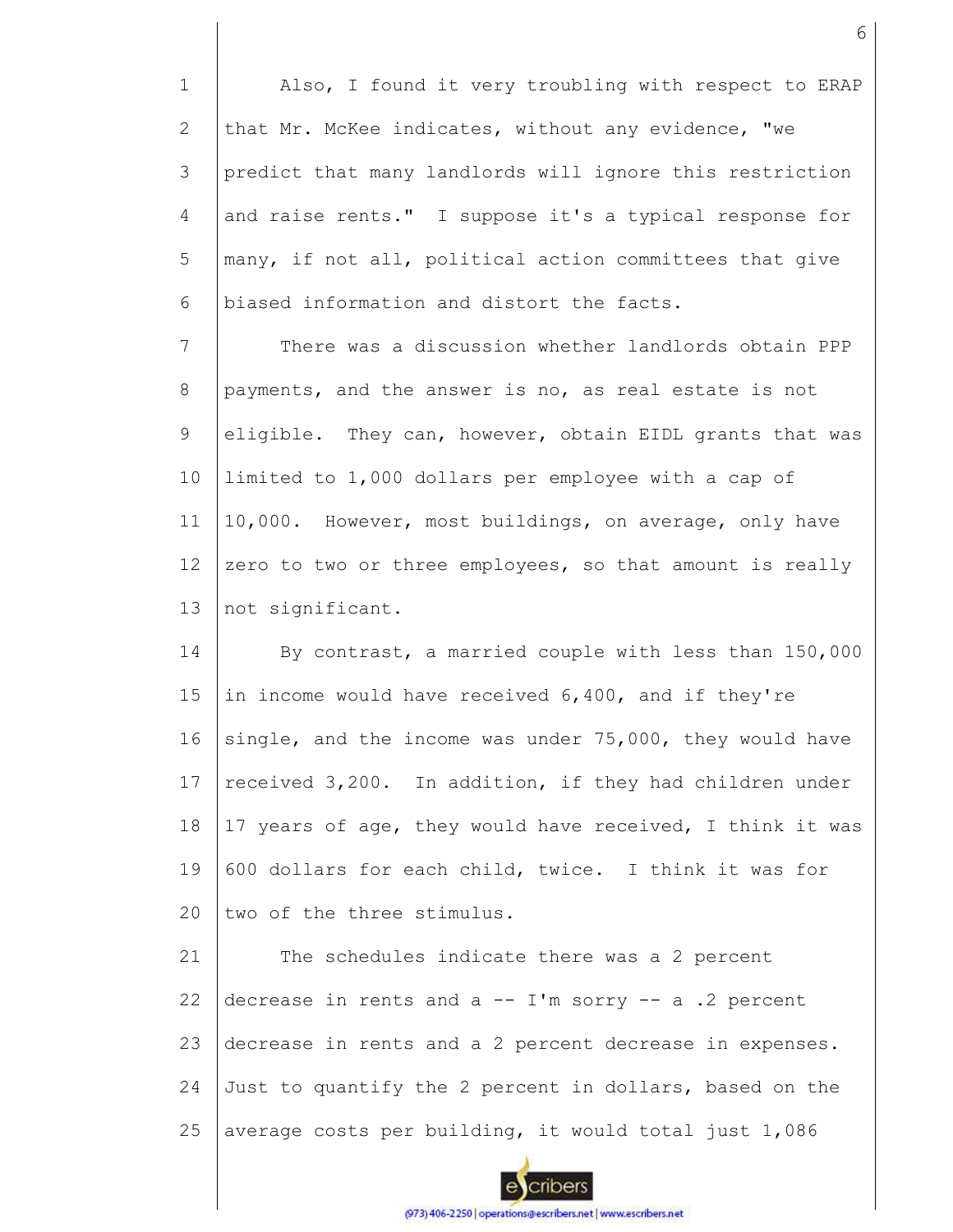1 2 3 4 5 6 Also, I found it very troubling with respect to ERAP that Mr. McKee indicates, without any evidence, "we predict that many landlords will ignore this restriction and raise rents." I suppose it's a typical response for many, if not all, political action committees that give biased information and distort the facts.

7 8 9 10 11 12 13 There was a discussion whether landlords obtain PPP payments, and the answer is no, as real estate is not eligible. They can, however, obtain EIDL grants that was limited to 1,000 dollars per employee with a cap of 10,000. However, most buildings, on average, only have zero to two or three employees, so that amount is really not significant.

14 15 16 17 18 19  $20$ By contrast, a married couple with less than 150,000 in income would have received 6,400, and if they're single, and the income was under 75,000, they would have received 3,200. In addition, if they had children under 17 years of age, they would have received, I think it was 600 dollars for each child, twice. I think it was for two of the three stimulus.

21 22 23 24 25 The schedules indicate there was a 2 percent decrease in rents and  $a - - I'm$  sorry  $- - a$ . 2 percent decrease in rents and a 2 percent decrease in expenses. Just to quantify the 2 percent in dollars, based on the average costs per building, it would total just 1,086

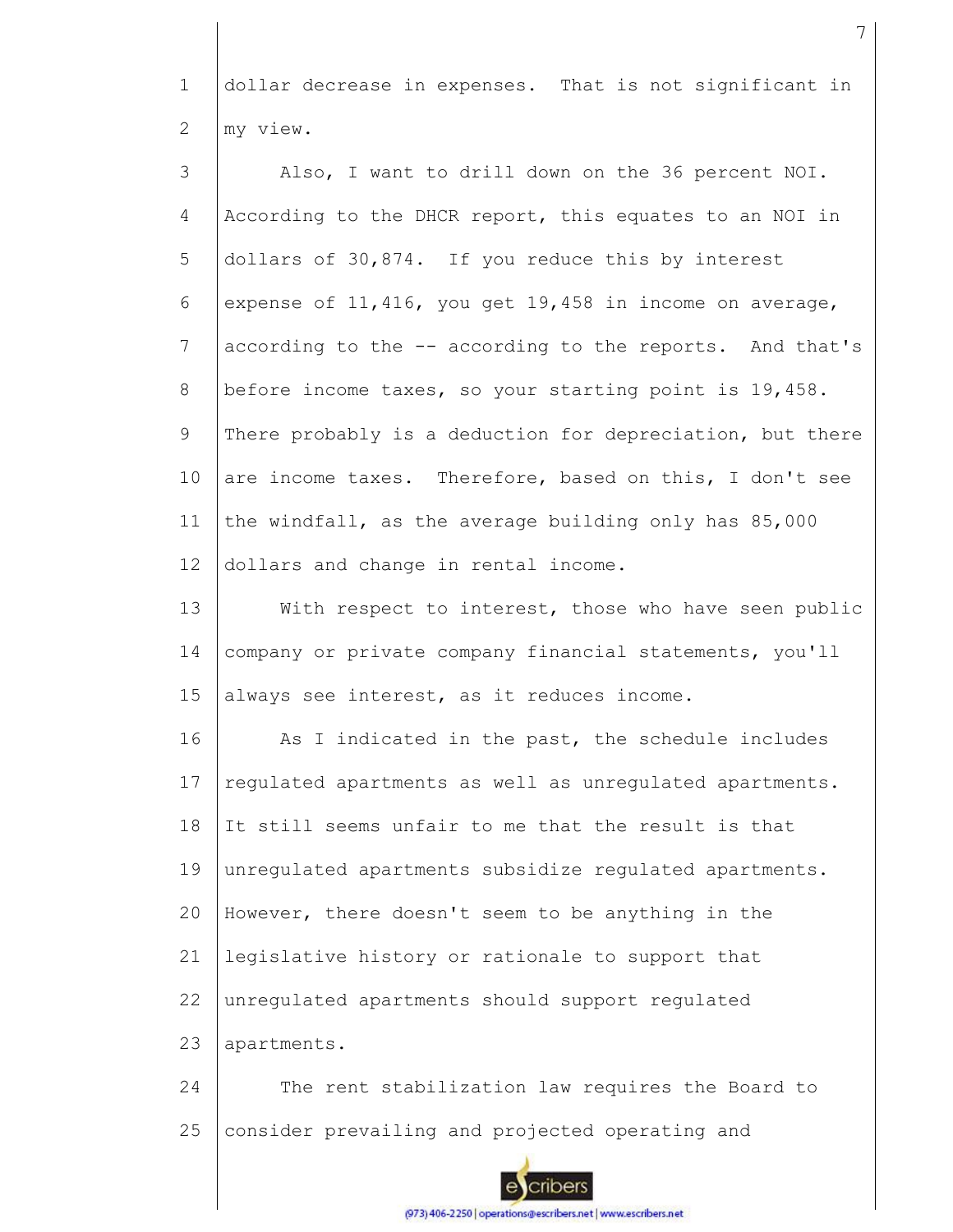1 2 dollar decrease in expenses. That is not significant in my view.

3 4 5 6 7 8 9 10 11 12 13 14 15 16 17 18 19 20 21 22 23 Also, I want to drill down on the 36 percent NOI. According to the DHCR report, this equates to an NOI in dollars of 30,874. If you reduce this by interest expense of 11,416, you get 19,458 in income on average, according to the -- according to the reports. And that's before income taxes, so your starting point is 19,458. There probably is a deduction for depreciation, but there are income taxes. Therefore, based on this, I don't see the windfall, as the average building only has 85,000 dollars and change in rental income. With respect to interest, those who have seen public company or private company financial statements, you'll always see interest, as it reduces income. As I indicated in the past, the schedule includes regulated apartments as well as unregulated apartments. It still seems unfair to me that the result is that unregulated apartments subsidize regulated apartments. However, there doesn't seem to be anything in the legislative history or rationale to support that unregulated apartments should support regulated apartments.

24 25 The rent stabilization law requires the Board to consider prevailing and projected operating and

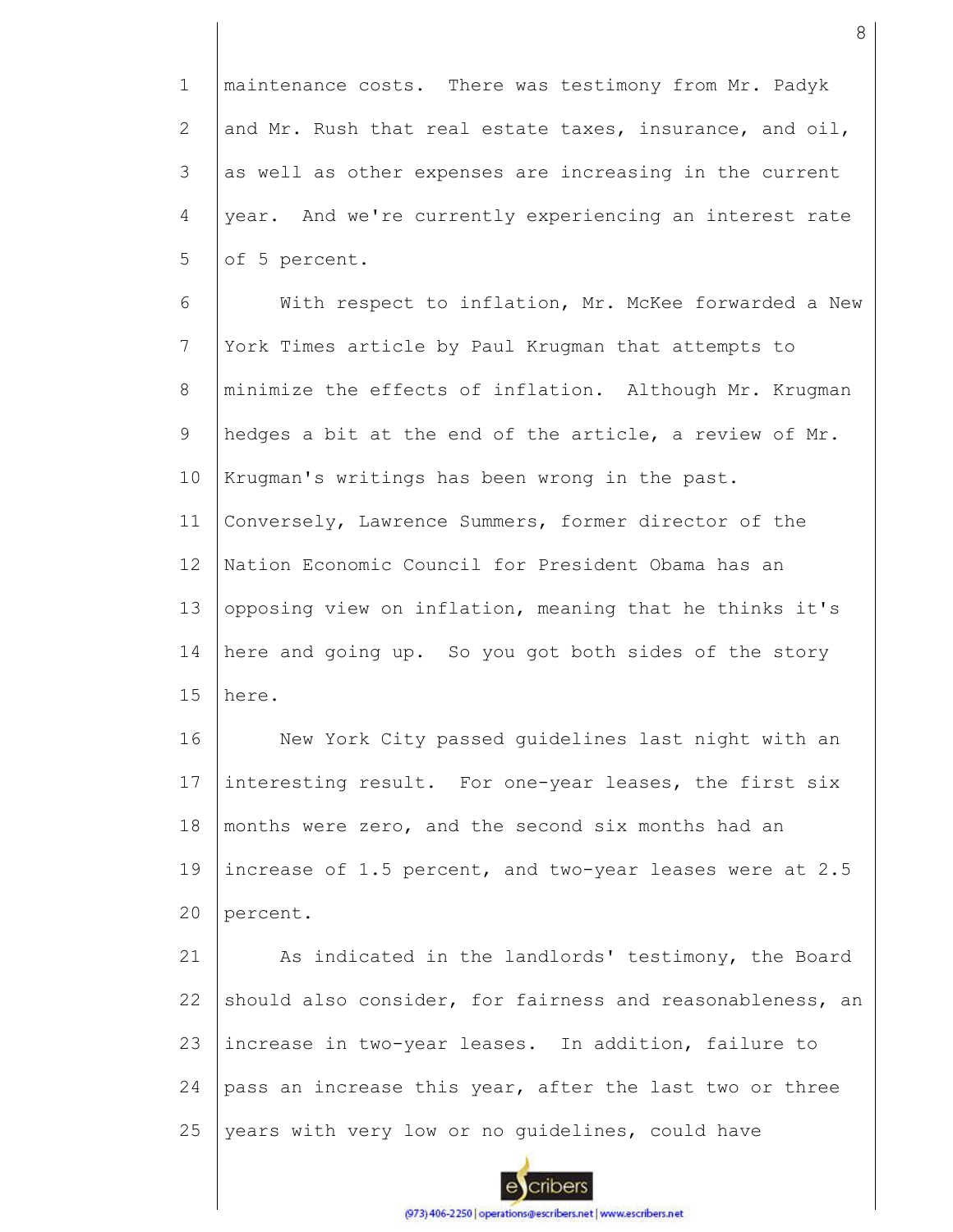1 2 3 4 5 maintenance costs. There was testimony from Mr. Padyk and Mr. Rush that real estate taxes, insurance, and oil, as well as other expenses are increasing in the current year. And we're currently experiencing an interest rate of 5 percent.

6 7 8 9 10 11 12 13 14 15 With respect to inflation, Mr. McKee forwarded a New York Times article by Paul Krugman that attempts to minimize the effects of inflation. Although Mr. Krugman hedges a bit at the end of the article, a review of Mr. Krugman's writings has been wrong in the past. Conversely, Lawrence Summers, former director of the Nation Economic Council for President Obama has an opposing view on inflation, meaning that he thinks it's here and going up. So you got both sides of the story here.

16 17 18 19 20 New York City passed guidelines last night with an interesting result. For one-year leases, the first six months were zero, and the second six months had an increase of 1.5 percent, and two-year leases were at 2.5 percent.

21 22 23 24 25 As indicated in the landlords' testimony, the Board should also consider, for fairness and reasonableness, an increase in two-year leases. In addition, failure to pass an increase this year, after the last two or three years with very low or no guidelines, could have

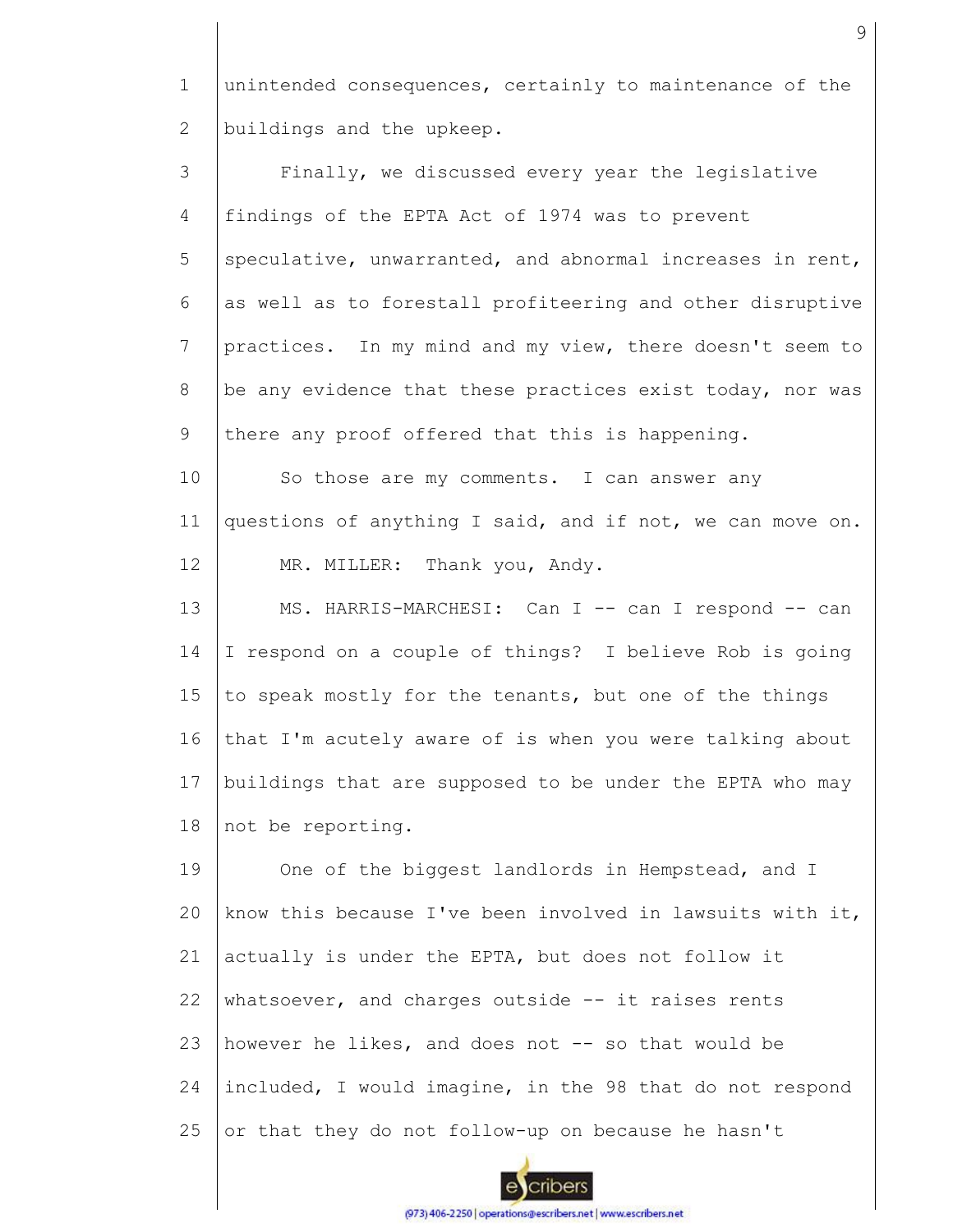1 2 unintended consequences, certainly to maintenance of the buildings and the upkeep.

3 4 5 6 7 8 9 10 11 12 13 14 15 16 17 Finally, we discussed every year the legislative findings of the EPTA Act of 1974 was to prevent speculative, unwarranted, and abnormal increases in rent, as well as to forestall profiteering and other disruptive practices. In my mind and my view, there doesn't seem to be any evidence that these practices exist today, nor was there any proof offered that this is happening. So those are my comments. I can answer any questions of anything I said, and if not, we can move on. MR. MILLER: Thank you, Andy. MS. HARRIS-MARCHESI: Can I -- can I respond -- can I respond on a couple of things? I believe Rob is going to speak mostly for the tenants, but one of the things that I'm acutely aware of is when you were talking about buildings that are supposed to be under the EPTA who may

18 not be reporting.

19  $20$ 21 22 23 24 25 One of the biggest landlords in Hempstead, and I know this because I've been involved in lawsuits with it, actually is under the EPTA, but does not follow it whatsoever, and charges outside  $--$  it raises rents however he likes, and does not -- so that would be included, I would imagine, in the 98 that do not respond or that they do not follow-up on because he hasn't

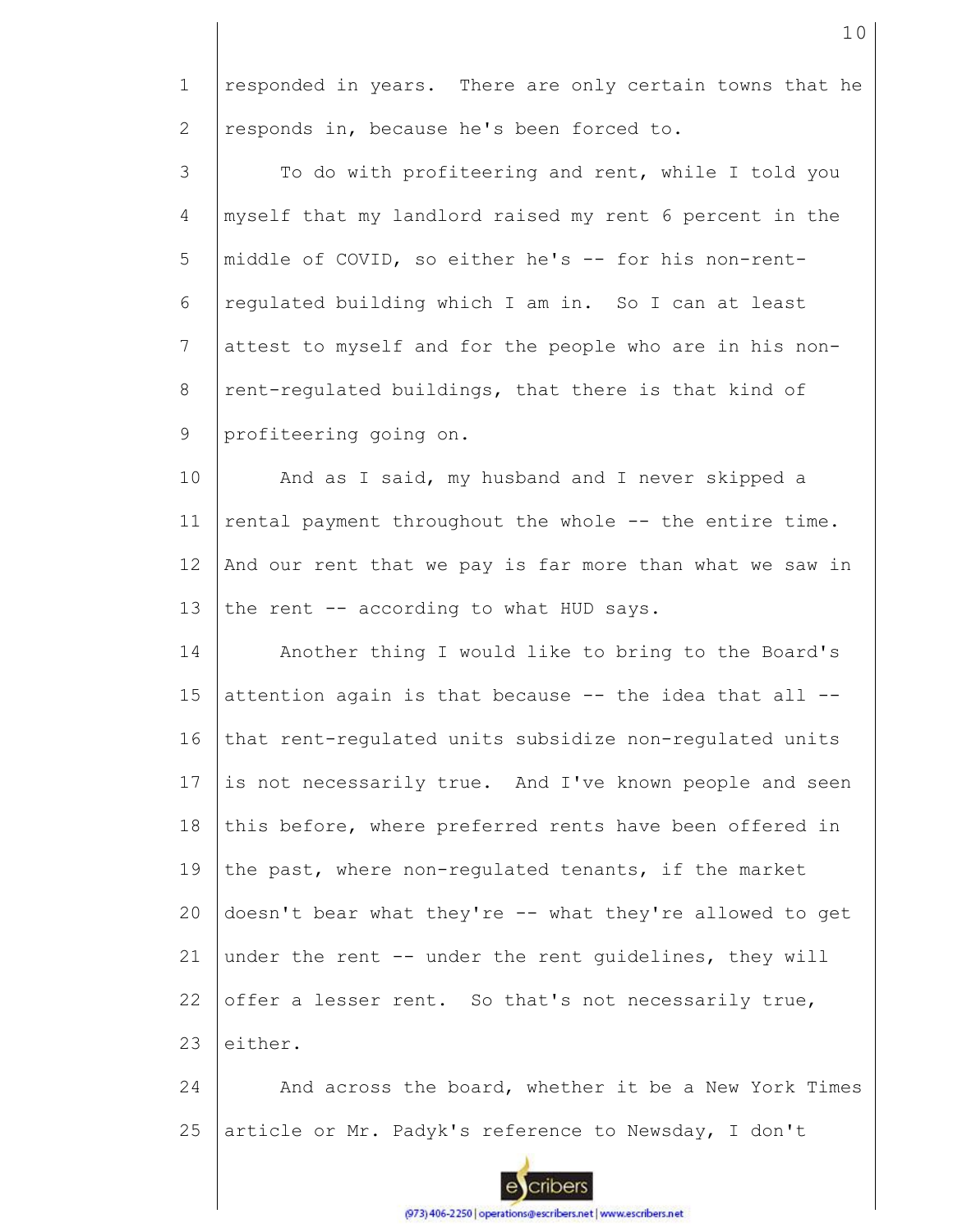1 2 responded in years. There are only certain towns that he responds in, because he's been forced to.

3 4 5 6 7 8 9 To do with profiteering and rent, while I told you myself that my landlord raised my rent 6 percent in the middle of COVID, so either he's -- for his non-rentregulated building which I am in. So I can at least attest to myself and for the people who are in his nonrent-regulated buildings, that there is that kind of profiteering going on.

10 11 12 13 And as I said, my husband and I never skipped a rental payment throughout the whole -- the entire time. And our rent that we pay is far more than what we saw in the rent -- according to what HUD says.

14 15 16 17 18 19 20 21 22 23 Another thing I would like to bring to the Board's attention again is that because -- the idea that all - that rent-regulated units subsidize non-regulated units is not necessarily true. And I've known people and seen this before, where preferred rents have been offered in the past, where non-regulated tenants, if the market doesn't bear what they're -- what they're allowed to get under the rent -- under the rent guidelines, they will offer a lesser rent. So that's not necessarily true, either.

24 25 And across the board, whether it be a New York Times article or Mr. Padyk's reference to Newsday, I don't

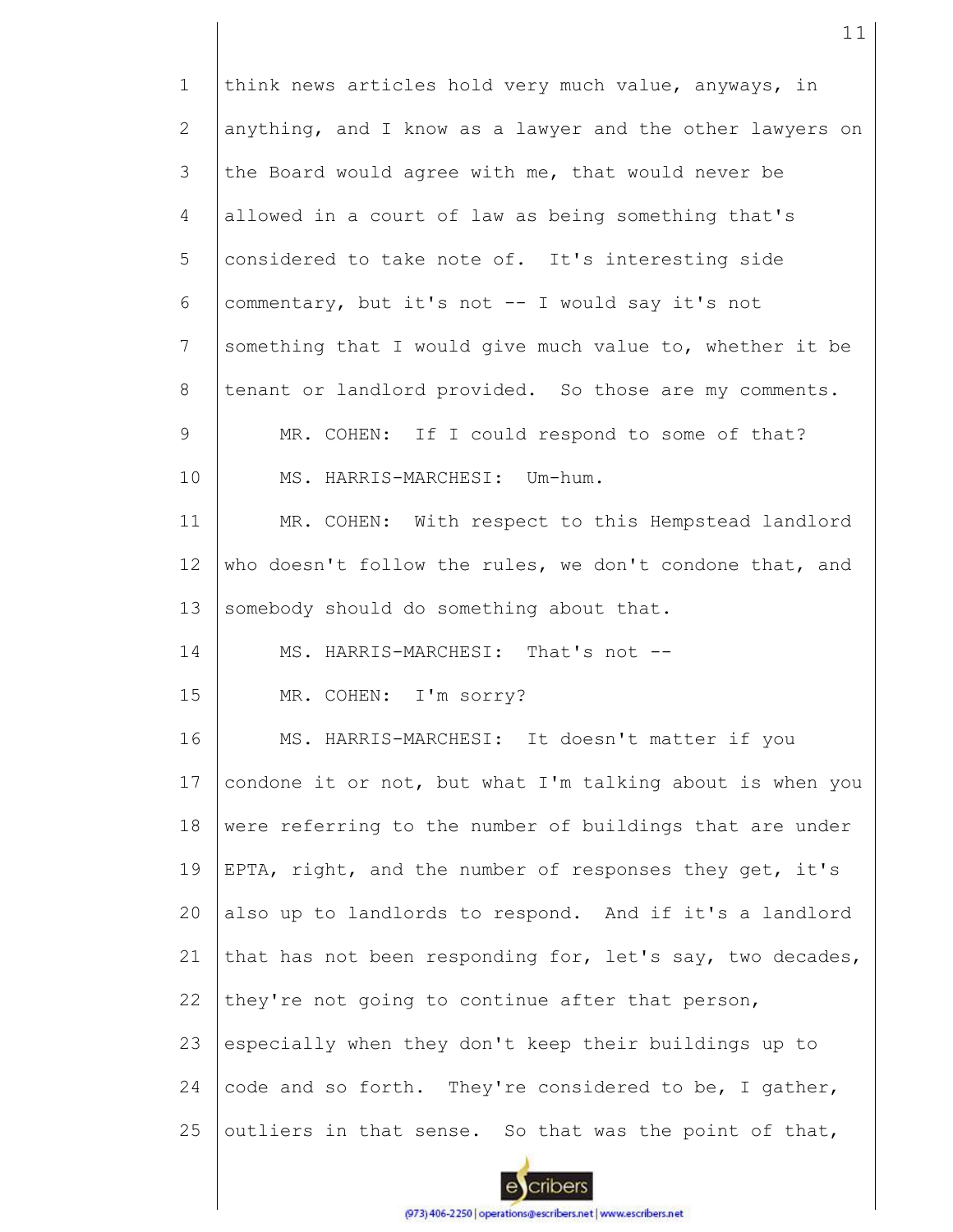1 2 3 4 5 6 7 8 9 10 11 12 13 14 15 16 17 18 19 20 21 22 23 24 25 think news articles hold very much value, anyways, in anything, and I know as a lawyer and the other lawyers on the Board would agree with me, that would never be allowed in a court of law as being something that's considered to take note of. It's interesting side commentary, but it's not -- I would say it's not something that I would give much value to, whether it be tenant or landlord provided. So those are my comments. MR. COHEN: If I could respond to some of that? MS. HARRIS-MARCHESI: Um-hum. MR. COHEN: With respect to this Hempstead landlord who doesn't follow the rules, we don't condone that, and somebody should do something about that. MS. HARRIS-MARCHESI: That's not --MR. COHEN: I'm sorry? MS. HARRIS-MARCHESI: It doesn't matter if you condone it or not, but what I'm talking about is when you were referring to the number of buildings that are under EPTA, right, and the number of responses they get, it's also up to landlords to respond. And if it's a landlord that has not been responding for, let's say, two decades, they're not going to continue after that person, especially when they don't keep their buildings up to code and so forth. They're considered to be, I gather, outliers in that sense. So that was the point of that,

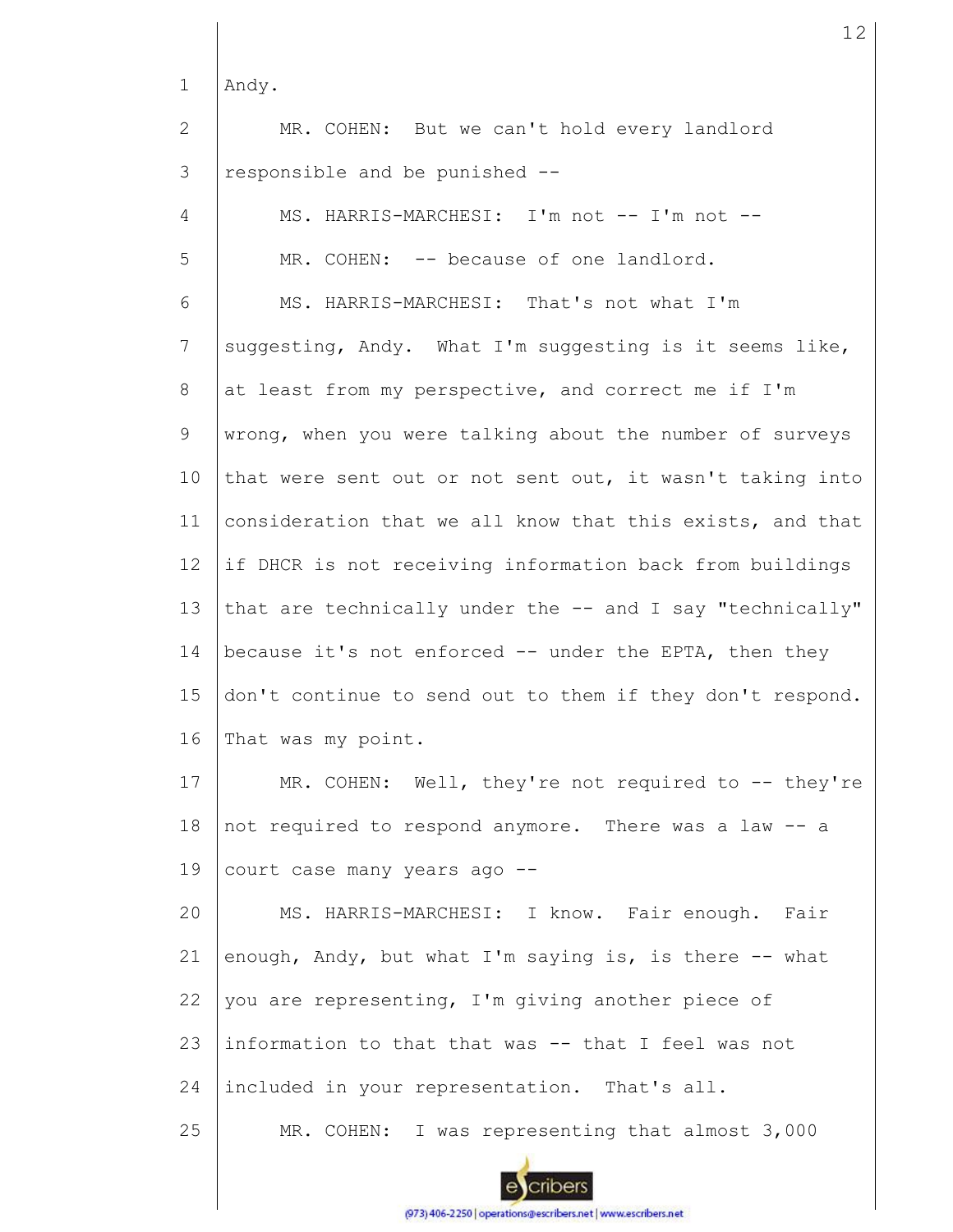1 Andy.

2 3 MR. COHEN: But we can't hold every landlord responsible and be punished --

| $\overline{4}$ | MS. HARRIS-MARCHESI: I'm not -- I'm not --                |
|----------------|-----------------------------------------------------------|
| 5              | MR. COHEN: -- because of one landlord.                    |
| 6              | MS. HARRIS-MARCHESI: That's not what I'm                  |
| 7              | suggesting, Andy. What I'm suggesting is it seems like,   |
| 8              | at least from my perspective, and correct me if I'm       |
| 9              | wrong, when you were talking about the number of surveys  |
| 10             | that were sent out or not sent out, it wasn't taking into |
| 11             | consideration that we all know that this exists, and that |
| 12             | if DHCR is not receiving information back from buildings  |
| 13             | that are technically under the -- and I say "technically" |
| 14             | because it's not enforced -- under the EPTA, then they    |
| 15             | don't continue to send out to them if they don't respond. |
| 16             | That was my point.                                        |
| 17             | MR. COHEN: Well, they're not required to $-$ - they're    |
| 18             | not required to respond anymore. There was a law -- a     |
| 19             | court case many years ago --                              |
| 20             | MS. HARRIS-MARCHESI: I know. Fair enough. Fair            |
| 21             | enough, Andy, but what I'm saying is, is there -- what    |
| 22             | you are representing, I'm giving another piece of         |
| 23             | information to that that was -- that I feel was not       |
| 24             | included in your representation. That's all.              |
| 25             | MR. COHEN: I was representing that almost 3,000           |

12

cribers

 $\epsilon$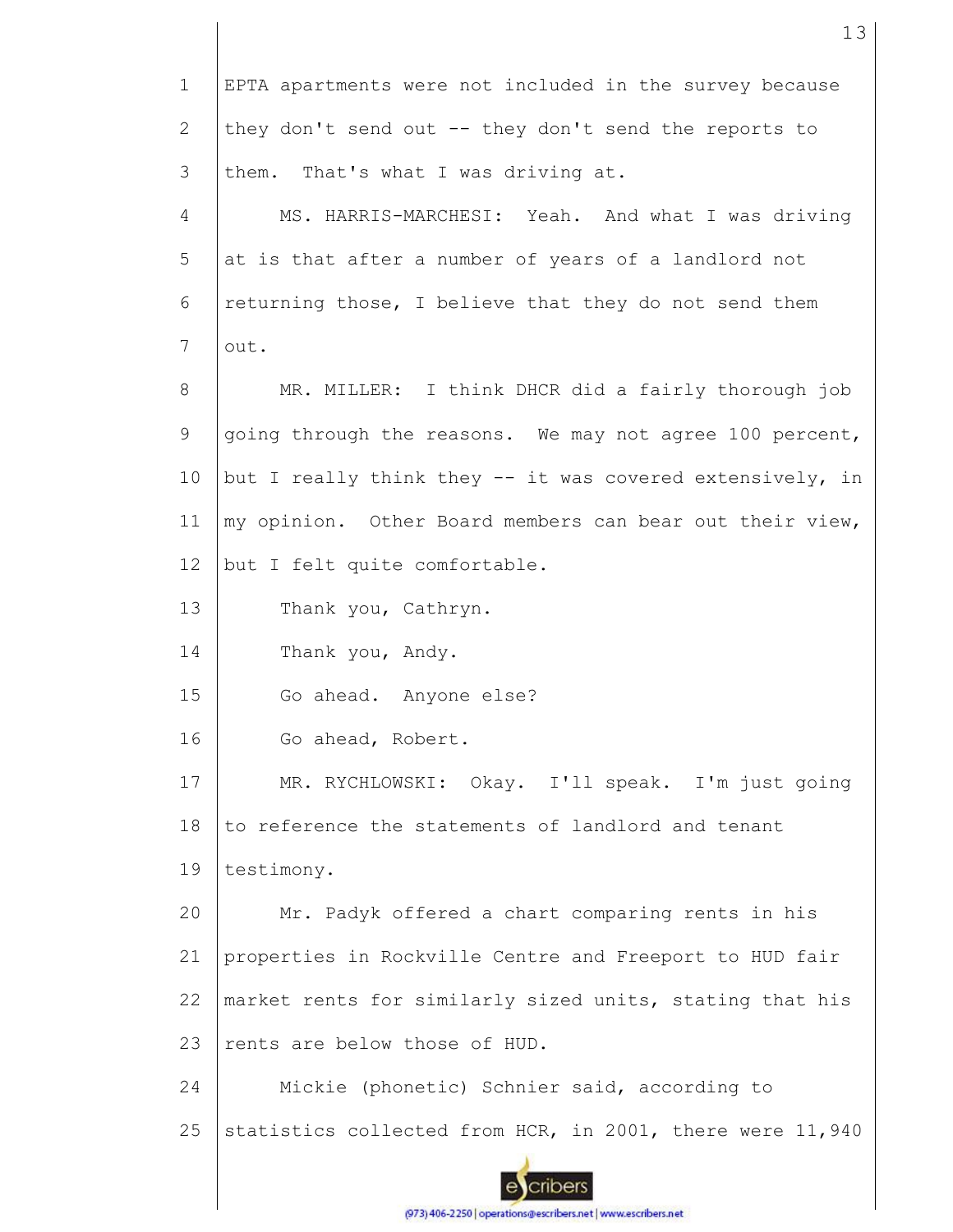1 EPTA apartments were not included in the survey because 2 they don't send out -- they don't send the reports to 3 them. That's what I was driving at. 4 MS. HARRIS-MARCHESI: Yeah. And what I was driving 5 at is that after a number of years of a landlord not 6 returning those, I believe that they do not send them 7 out. MR. MILLER: I think DHCR did a fairly thorough job 8 9 going through the reasons. We may not agree 100 percent, 10 but I really think they -- it was covered extensively, in my opinion. Other Board members can bear out their view, 11 12 but I felt quite comfortable. 13 Thank you, Cathryn. 14 Thank you, Andy. 15 Go ahead. Anyone else? 16 Go ahead, Robert. 17 MR. RYCHLOWSKI: Okay. I'll speak. I'm just going 18 to reference the statements of landlord and tenant 19 testimony. Mr. Padyk offered a chart comparing rents in his 20 21 properties in Rockville Centre and Freeport to HUD fair market rents for similarly sized units, stating that his 22 23 rents are below those of HUD. 24 Mickie (phonetic) Schnier said, according to 25 statistics collected from HCR, in 2001, there were 11,940 cribers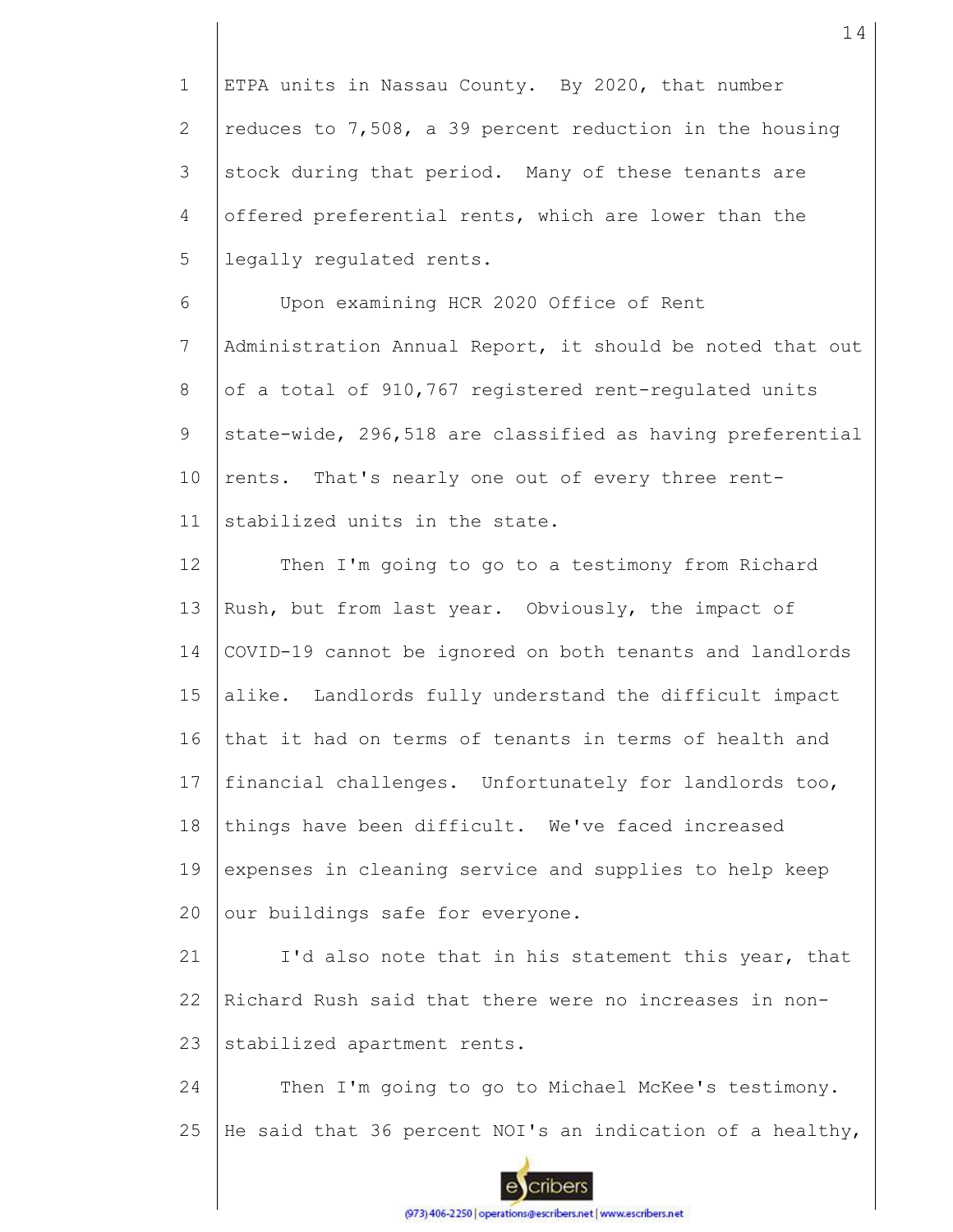1 2 3 4 5 ETPA units in Nassau County. By 2020, that number reduces to 7,508, a 39 percent reduction in the housing stock during that period. Many of these tenants are offered preferential rents, which are lower than the legally regulated rents.

6 7 8 9 10 11 Upon examining HCR 2020 Office of Rent Administration Annual Report, it should be noted that out of a total of 910,767 registered rent-regulated units state-wide, 296,518 are classified as having preferential rents. That's nearly one out of every three rentstabilized units in the state.

12 13 14 15 16 17 18 19  $20$ Then I'm going to go to a testimony from Richard Rush, but from last year. Obviously, the impact of COVID-19 cannot be ignored on both tenants and landlords alike. Landlords fully understand the difficult impact that it had on terms of tenants in terms of health and financial challenges. Unfortunately for landlords too, things have been difficult. We've faced increased expenses in cleaning service and supplies to help keep our buildings safe for everyone.

21 22 23 I'd also note that in his statement this year, that Richard Rush said that there were no increases in nonstabilized apartment rents.

24 25 Then I'm going to go to Michael McKee's testimony. He said that 36 percent NOI's an indication of a healthy,

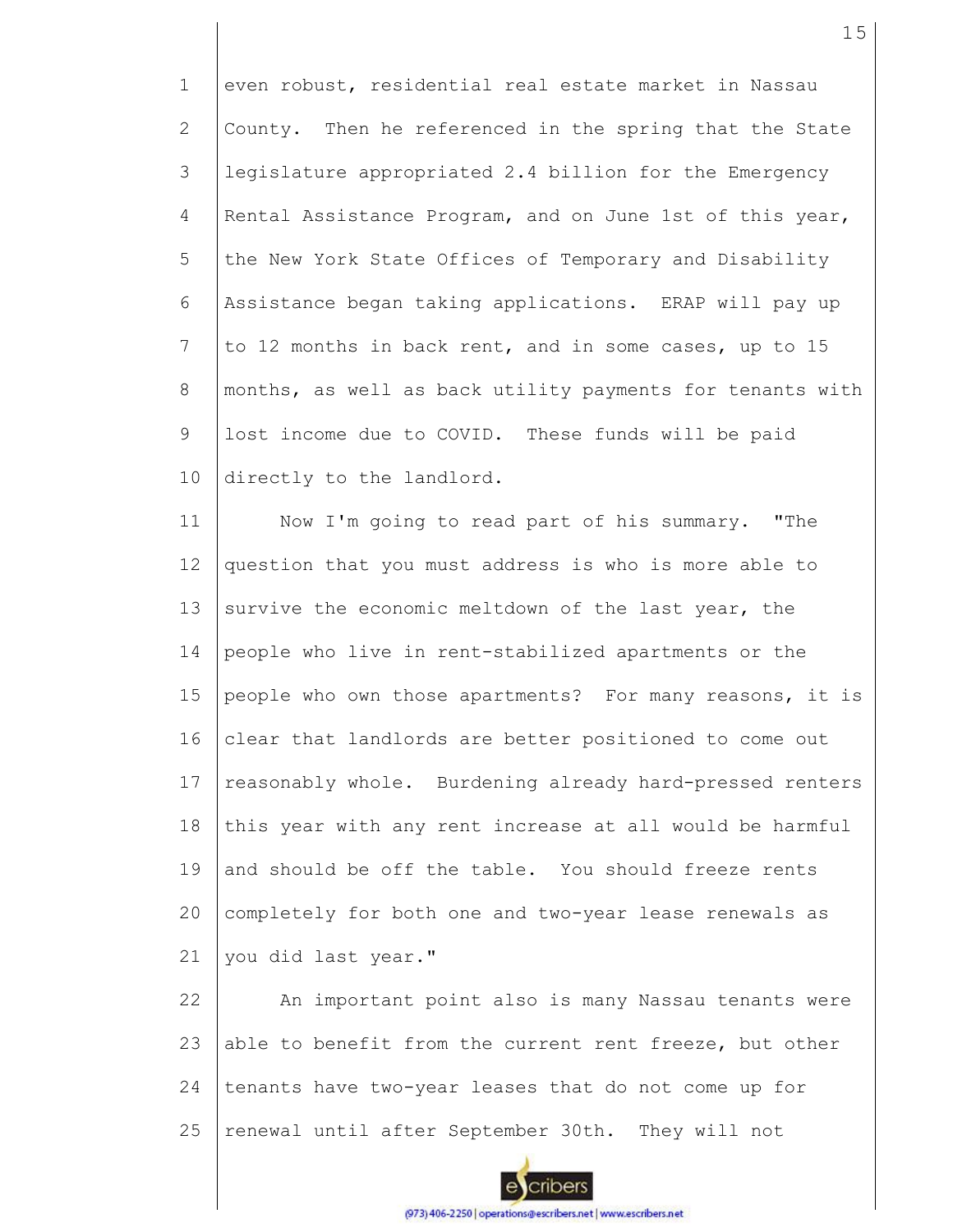1 2 3 4 5 6 7 8 9 10 even robust, residential real estate market in Nassau County. Then he referenced in the spring that the State legislature appropriated 2.4 billion for the Emergency Rental Assistance Program, and on June 1st of this year, the New York State Offices of Temporary and Disability Assistance began taking applications. ERAP will pay up to 12 months in back rent, and in some cases, up to 15 months, as well as back utility payments for tenants with lost income due to COVID. These funds will be paid directly to the landlord.

11 12 13 14 15 16 17 18 19 20 21 Now I'm going to read part of his summary. "The question that you must address is who is more able to survive the economic meltdown of the last year, the people who live in rent-stabilized apartments or the people who own those apartments? For many reasons, it is clear that landlords are better positioned to come out reasonably whole. Burdening already hard-pressed renters this year with any rent increase at all would be harmful and should be off the table. You should freeze rents completely for both one and two-year lease renewals as you did last year."

22 23 24 25 An important point also is many Nassau tenants were able to benefit from the current rent freeze, but other tenants have two-year leases that do not come up for renewal until after September 30th. They will not

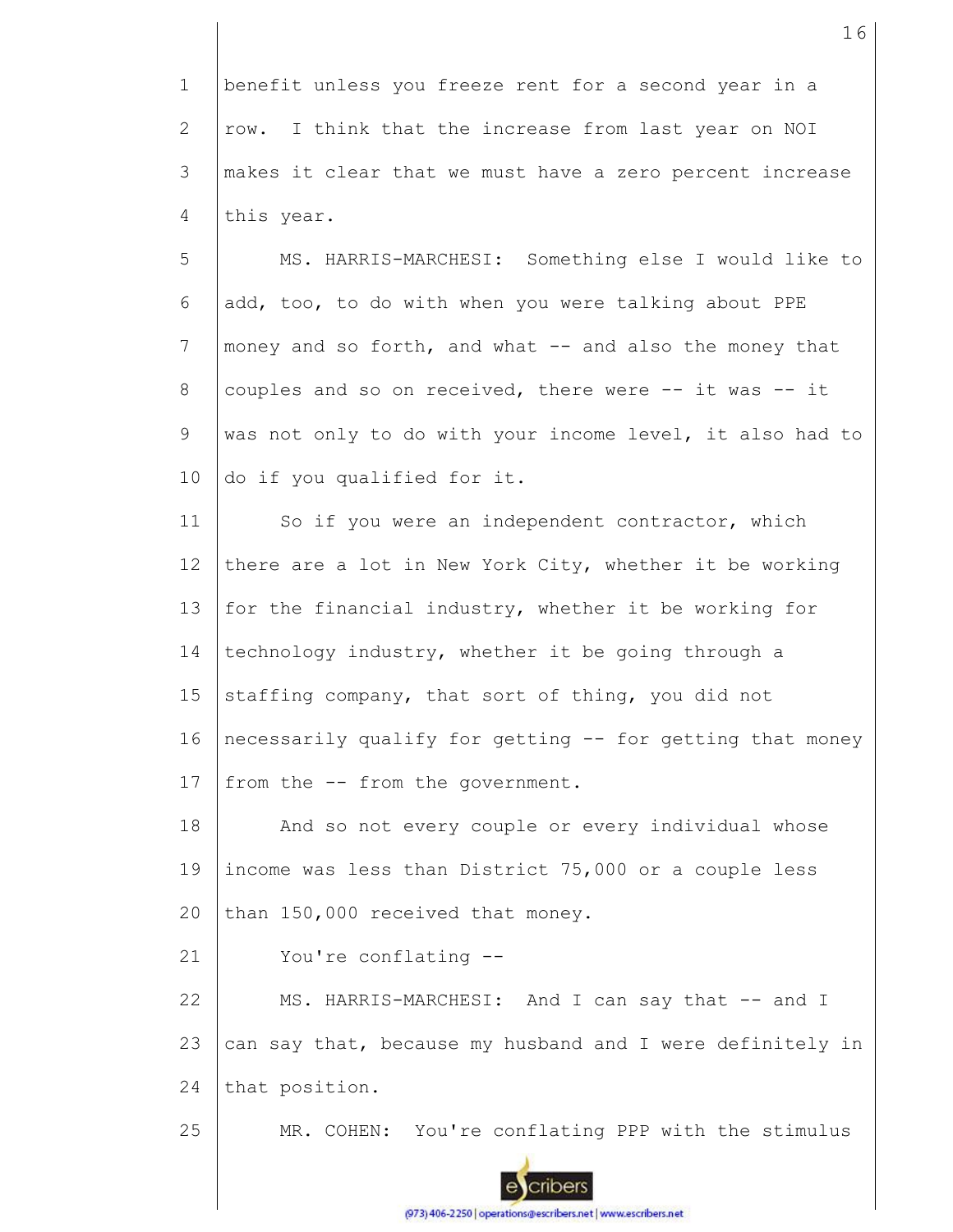1 2 3 4 benefit unless you freeze rent for a second year in a row. I think that the increase from last year on NOI makes it clear that we must have a zero percent increase this year.

5 6 7 8 9 10 MS. HARRIS-MARCHESI: Something else I would like to add, too, to do with when you were talking about PPE money and so forth, and what -- and also the money that couples and so on received, there were -- it was -- it was not only to do with your income level, it also had to do if you qualified for it.

11 12 13 14 15 16 17 So if you were an independent contractor, which there are a lot in New York City, whether it be working for the financial industry, whether it be working for technology industry, whether it be going through a staffing company, that sort of thing, you did not necessarily qualify for getting -- for getting that money from the -- from the government.

18 19 20 And so not every couple or every individual whose income was less than District 75,000 or a couple less than 150,000 received that money.

21 You're conflating --

22 23 24 MS. HARRIS-MARCHESI: And I can say that -- and I can say that, because my husband and I were definitely in that position.

25 MR. COHEN: You're conflating PPP with the stimulus

(973) 406-2250 | operations@escribers.net | www.escribers.net

cribers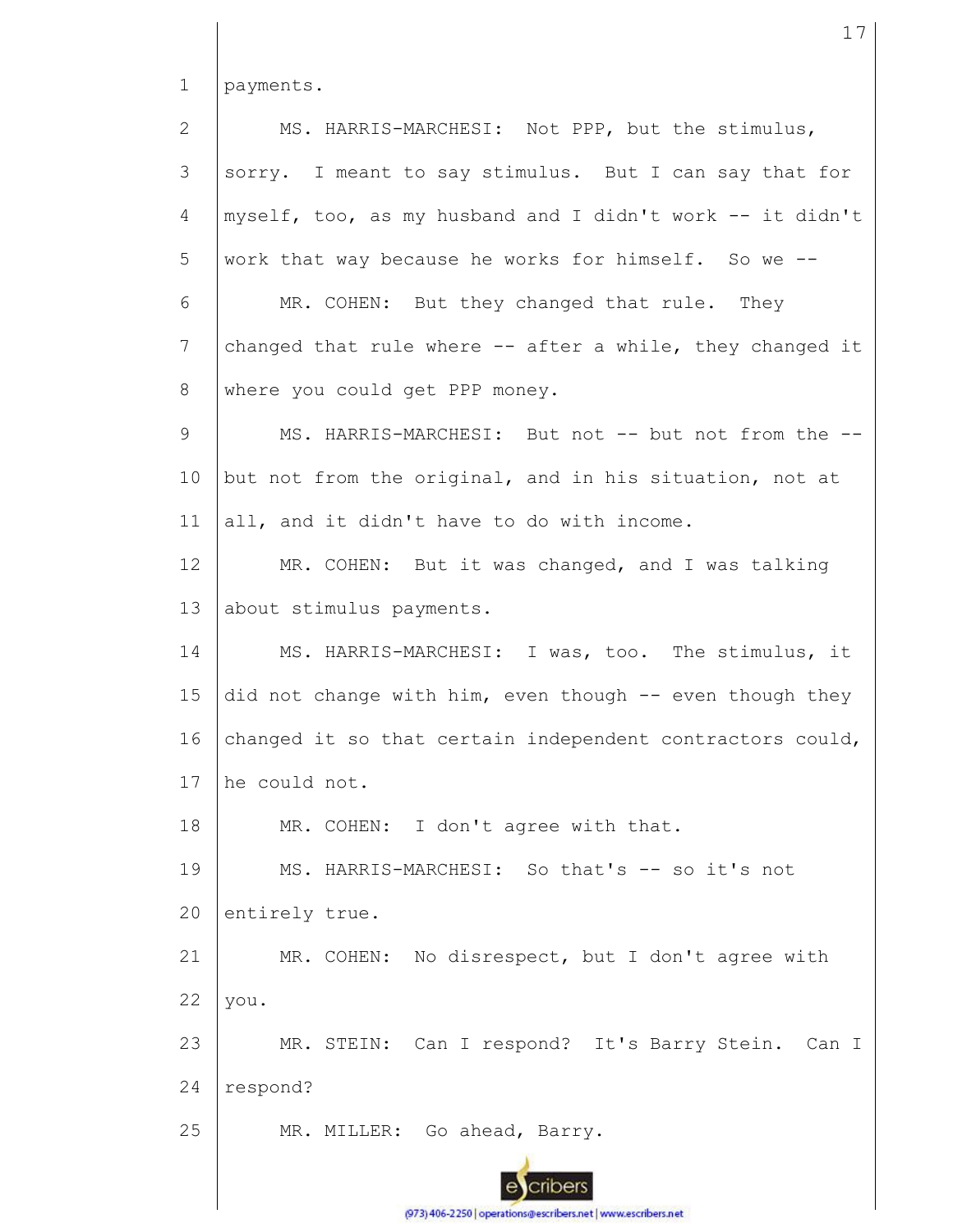1 2 3 4 5 6 7 8 9 10 11 12 13 14 15 16 17 18 19 20 21 22 23 24 25 payments. MS. HARRIS-MARCHESI: Not PPP, but the stimulus, sorry. I meant to say stimulus. But I can say that for myself, too, as my husband and I didn't work -- it didn't work that way because he works for himself. So we -- MR. COHEN: But they changed that rule. They changed that rule where -- after a while, they changed it where you could get PPP money. MS. HARRIS-MARCHESI: But not -- but not from the -but not from the original, and in his situation, not at all, and it didn't have to do with income. MR. COHEN: But it was changed, and I was talking about stimulus payments. MS. HARRIS-MARCHESI: I was, too. The stimulus, it did not change with him, even though -- even though they changed it so that certain independent contractors could, he could not. MR. COHEN: I don't agree with that. MS. HARRIS-MARCHESI: So that's -- so it's not entirely true. MR. COHEN: No disrespect, but I don't agree with you. MR. STEIN: Can I respond? It's Barry Stein. Can I respond? MR. MILLER: Go ahead, Barry.

17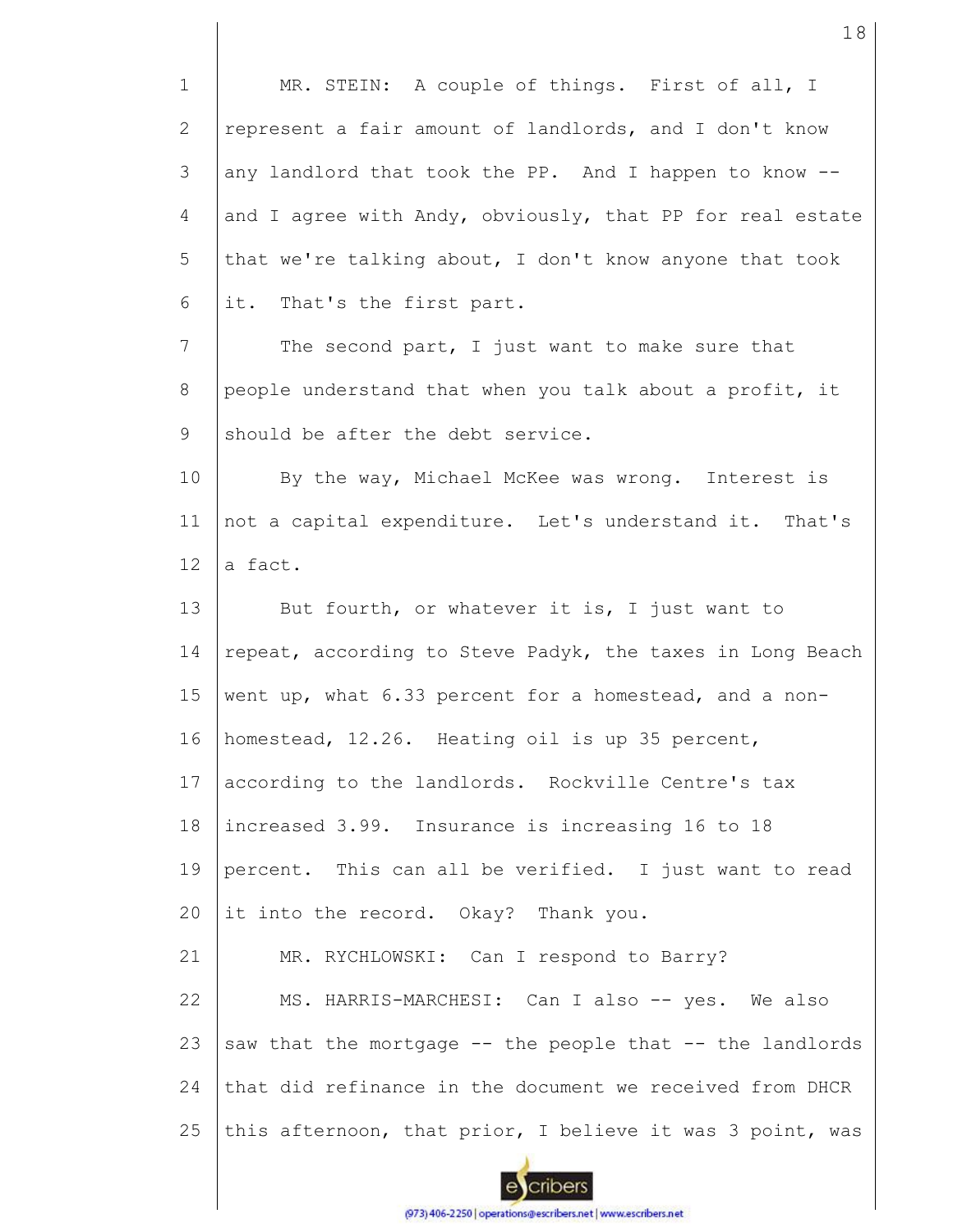| $\mathbf{1}$ | MR. STEIN: A couple of things. First of all, I            |
|--------------|-----------------------------------------------------------|
| 2            | represent a fair amount of landlords, and I don't know    |
| 3            | any landlord that took the PP. And I happen to know --    |
| 4            | and I agree with Andy, obviously, that PP for real estate |
| 5            | that we're talking about, I don't know anyone that took   |
| 6            | it. That's the first part.                                |
| 7            | The second part, I just want to make sure that            |
| 8            | people understand that when you talk about a profit, it   |
| 9            | should be after the debt service.                         |
| 10           | By the way, Michael McKee was wrong. Interest is          |
| 11           | not a capital expenditure. Let's understand it. That's    |
| 12           | a fact.                                                   |
| 13           | But fourth, or whatever it is, I just want to             |
| 14           | repeat, according to Steve Padyk, the taxes in Long Beach |
| 15           | went up, what 6.33 percent for a homestead, and a non-    |
| 16           | homestead, 12.26. Heating oil is up 35 percent,           |
| 17           | according to the landlords. Rockville Centre's tax        |
| 18           | increased 3.99. Insurance is increasing 16 to 18          |
| 19           | percent. This can all be verified. I just want to read    |
| 20           | it into the record. Okay? Thank you.                      |
| 21           | MR. RYCHLOWSKI: Can I respond to Barry?                   |
| 22           | MS. HARRIS-MARCHESI: Can I also -- yes. We also           |
| 23           | saw that the mortgage -- the people that -- the landlords |
| 24           | that did refinance in the document we received from DHCR  |
| 25           | this afternoon, that prior, I believe it was 3 point, was |

18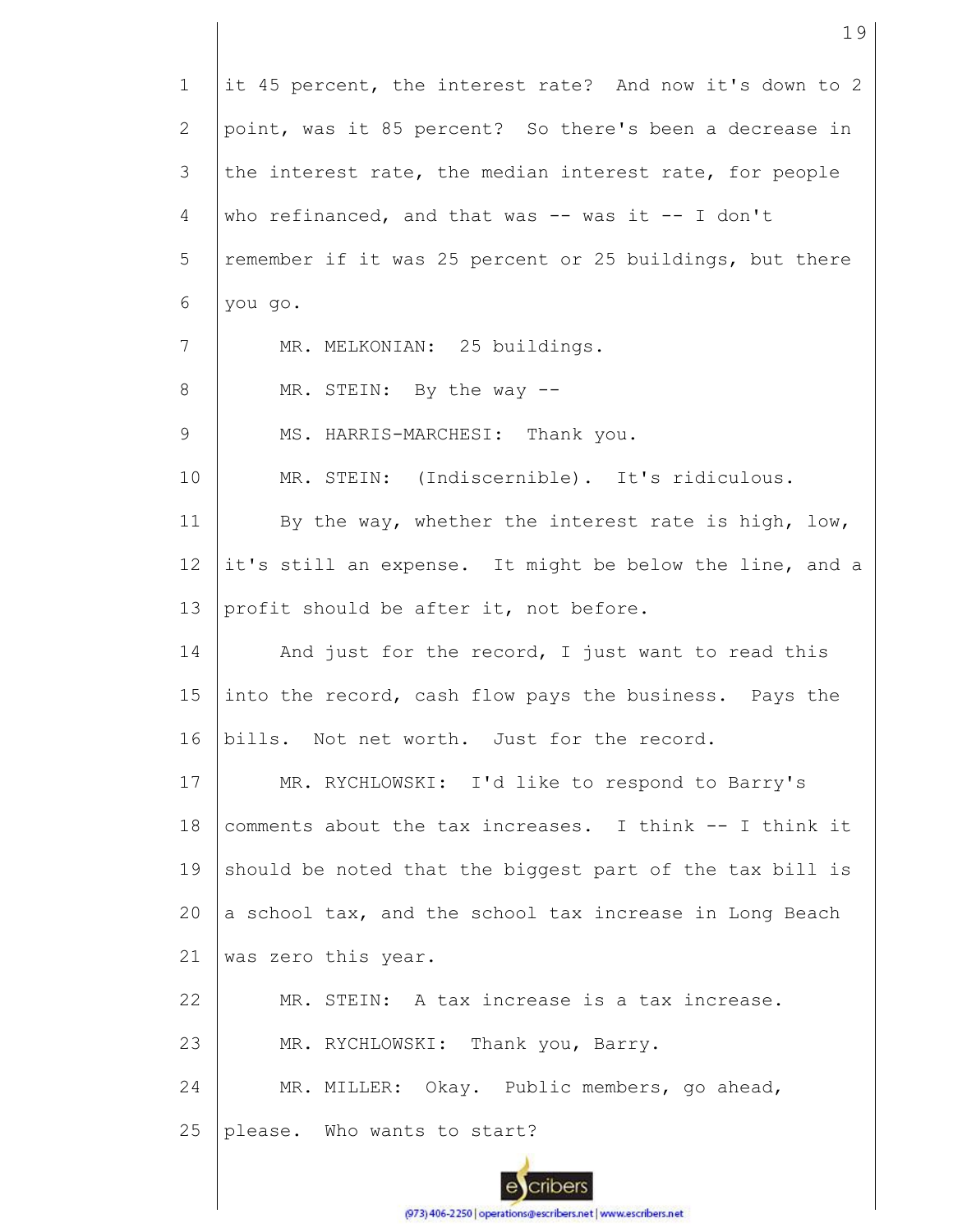1 2 3 4 5 6 7 8 9 10 11 12 13 14 15 16 17 18 19 20 21 22 23 24 25 it 45 percent, the interest rate? And now it's down to 2 point, was it 85 percent? So there's been a decrease in the interest rate, the median interest rate, for people who refinanced, and that was  $-$ - was it  $-$ - I don't remember if it was 25 percent or 25 buildings, but there you go. MR. MELKONIAN: 25 buildings. MR. STEIN: By the way -- MS. HARRIS-MARCHESI: Thank you. MR. STEIN: (Indiscernible). It's ridiculous. By the way, whether the interest rate is high, low, it's still an expense. It might be below the line, and a profit should be after it, not before. And just for the record, I just want to read this into the record, cash flow pays the business. Pays the bills. Not net worth. Just for the record. MR. RYCHLOWSKI: I'd like to respond to Barry's comments about the tax increases. I think -- I think it should be noted that the biggest part of the tax bill is a school tax, and the school tax increase in Long Beach was zero this year. MR. STEIN: A tax increase is a tax increase. MR. RYCHLOWSKI: Thank you, Barry. MR. MILLER: Okay. Public members, go ahead, please. Who wants to start?

19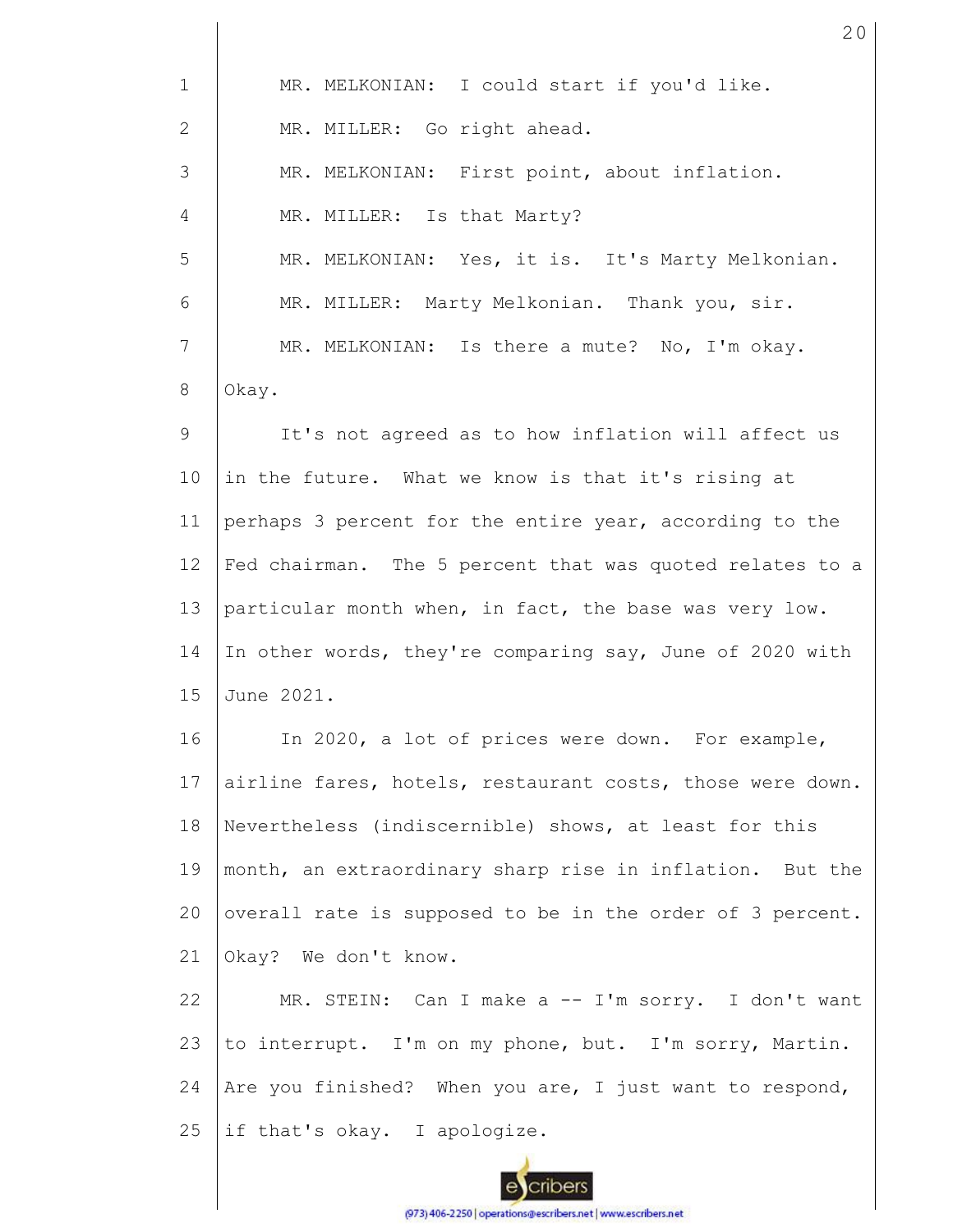1 2 3 4 5 6 7 8 9 10 11 12 13 14 15 16 17 18 19 20 21 22 23 24 25 MR. MELKONIAN: I could start if you'd like. MR. MILLER: Go right ahead. MR. MELKONIAN: First point, about inflation. MR. MILLER: Is that Marty? MR. MELKONIAN: Yes, it is. It's Marty Melkonian. MR. MILLER: Marty Melkonian. Thank you, sir. MR. MELKONIAN: Is there a mute? No, I'm okay. Okay. It's not agreed as to how inflation will affect us in the future. What we know is that it's rising at perhaps 3 percent for the entire year, according to the Fed chairman. The 5 percent that was quoted relates to a particular month when, in fact, the base was very low. In other words, they're comparing say, June of 2020 with June 2021. In 2020, a lot of prices were down. For example, airline fares, hotels, restaurant costs, those were down. Nevertheless (indiscernible) shows, at least for this month, an extraordinary sharp rise in inflation. But the overall rate is supposed to be in the order of 3 percent. Okay? We don't know. MR. STEIN: Can I make a -- I'm sorry. I don't want to interrupt. I'm on my phone, but. I'm sorry, Martin. Are you finished? When you are, I just want to respond, if that's okay. I apologize.

20

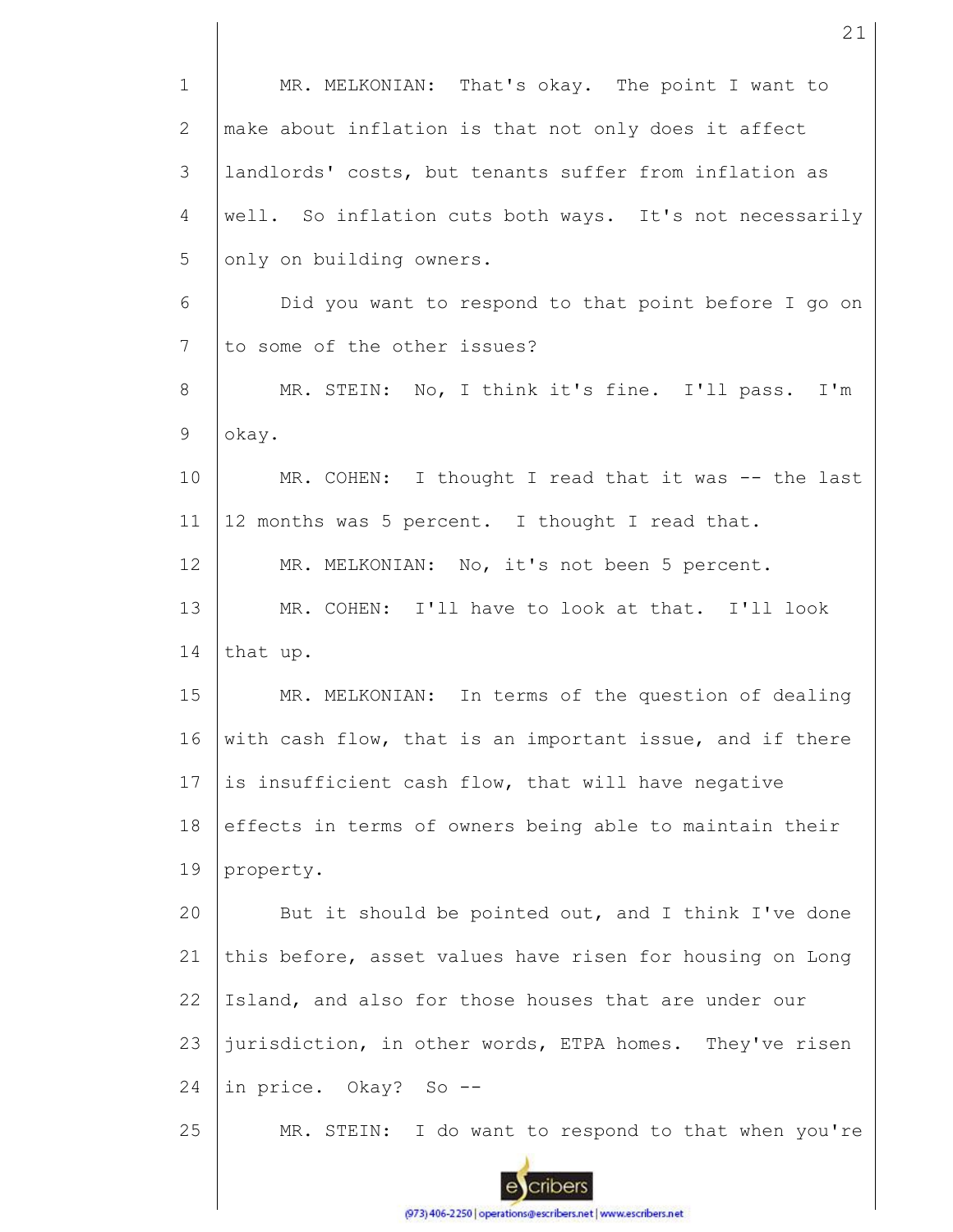| $\mathbf 1$     | MR. MELKONIAN: That's okay. The point I want to          |
|-----------------|----------------------------------------------------------|
| 2               | make about inflation is that not only does it affect     |
| 3               | landlords' costs, but tenants suffer from inflation as   |
| $\overline{4}$  | well. So inflation cuts both ways. It's not necessarily  |
| 5               | only on building owners.                                 |
| 6               | Did you want to respond to that point before I go on     |
| $7\phantom{.0}$ | to some of the other issues?                             |
| 8               | MR. STEIN: No, I think it's fine. I'll pass. I'm         |
| 9               | okay.                                                    |
| 10              | MR. COHEN: I thought I read that it was -- the last      |
| 11              | 12 months was 5 percent. I thought I read that.          |
| 12              | MR. MELKONIAN: No, it's not been 5 percent.              |
| 13              | MR. COHEN: I'll have to look at that. I'll look          |
| 14              | that up.                                                 |
| 15              | MR. MELKONIAN: In terms of the question of dealing       |
| 16              | with cash flow, that is an important issue, and if there |
| 17              | is insufficient cash flow, that will have negative       |
| 18              | effects in terms of owners being able to maintain their  |
| 19              | property.                                                |
| 20              | But it should be pointed out, and I think I've done      |
| 21              | this before, asset values have risen for housing on Long |
| 22              | Island, and also for those houses that are under our     |
| 23              | jurisdiction, in other words, ETPA homes. They've risen  |
| 24              | in price. Okay? So --                                    |
| 25              | MR. STEIN: I do want to respond to that when you're      |

21

escribers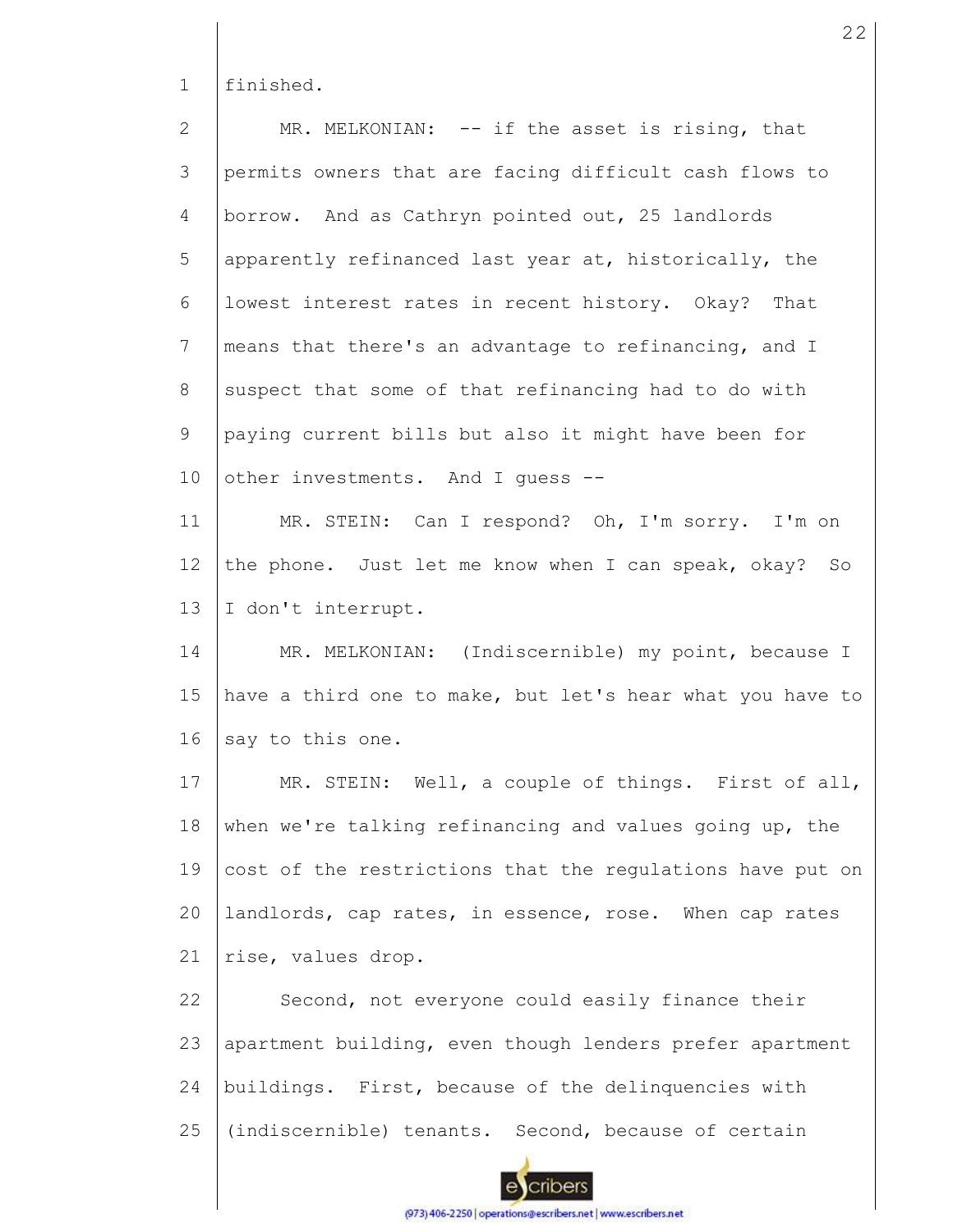1 finished.

2 3 4 5 6 7 8 9 10 11 12 13 14 15 16 17 18 19 20 MR. MELKONIAN: -- if the asset is rising, that permits owners that are facing difficult cash flows to borrow. And as Cathryn pointed out, 25 landlords apparently refinanced last year at, historically, the lowest interest rates in recent history. Okay? That means that there's an advantage to refinancing, and I suspect that some of that refinancing had to do with paying current bills but also it might have been for other investments. And I guess -- MR. STEIN: Can I respond? Oh, I'm sorry. I'm on the phone. Just let me know when I can speak, okay? So I don't interrupt. MR. MELKONIAN: (Indiscernible) my point, because I have a third one to make, but let's hear what you have to say to this one. MR. STEIN: Well, a couple of things. First of all, when we're talking refinancing and values going up, the cost of the restrictions that the regulations have put on landlords, cap rates, in essence, rose. When cap rates

21 rise, values drop.

22 23 24 25 Second, not everyone could easily finance their apartment building, even though lenders prefer apartment buildings. First, because of the delinquencies with (indiscernible) tenants. Second, because of certain



(973) 406-2250 | operations@escribers.net | www.escribers.net

22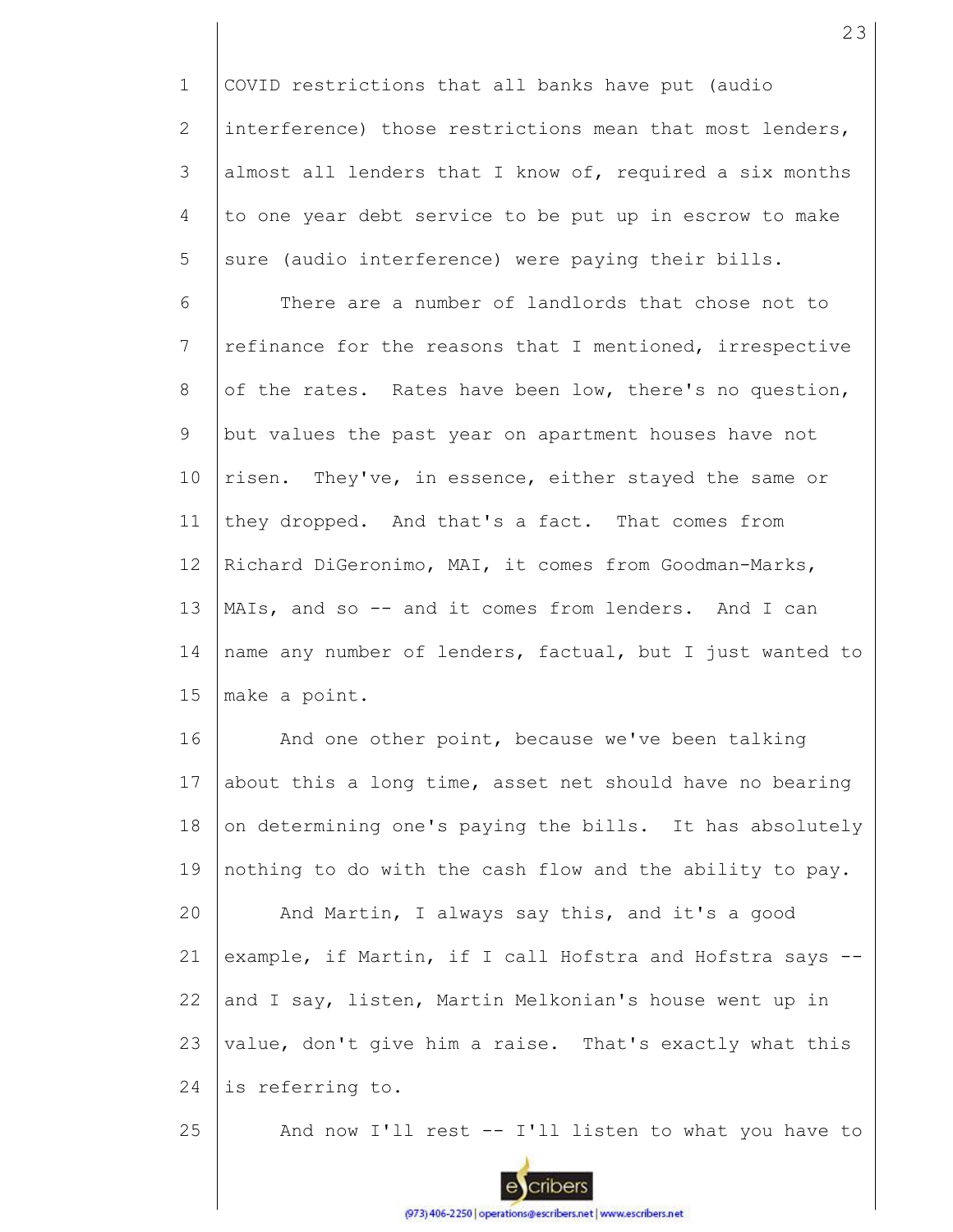1 2 3 4 5 COVID restrictions that all banks have put (audio interference) those restrictions mean that most lenders, almost all lenders that I know of, required a six months to one year debt service to be put up in escrow to make sure (audio interference) were paying their bills.

6 7 8 9 10 11 12 13 14 15 There are a number of landlords that chose not to refinance for the reasons that I mentioned, irrespective of the rates. Rates have been low, there's no question, but values the past year on apartment houses have not risen. They've, in essence, either stayed the same or they dropped. And that's a fact. That comes from Richard DiGeronimo, MAI, it comes from Goodman-Marks, MAIs, and so -- and it comes from lenders. And I can name any number of lenders, factual, but I just wanted to make a point.

16 17 18 19 20 21 22 23 24 And one other point, because we've been talking about this a long time, asset net should have no bearing on determining one's paying the bills. It has absolutely nothing to do with the cash flow and the ability to pay. And Martin, I always say this, and it's a good example, if Martin, if I call Hofstra and Hofstra says - and I say, listen, Martin Melkonian's house went up in value, don't give him a raise. That's exactly what this is referring to.

And now I'll rest -- I'll listen to what you have to

25

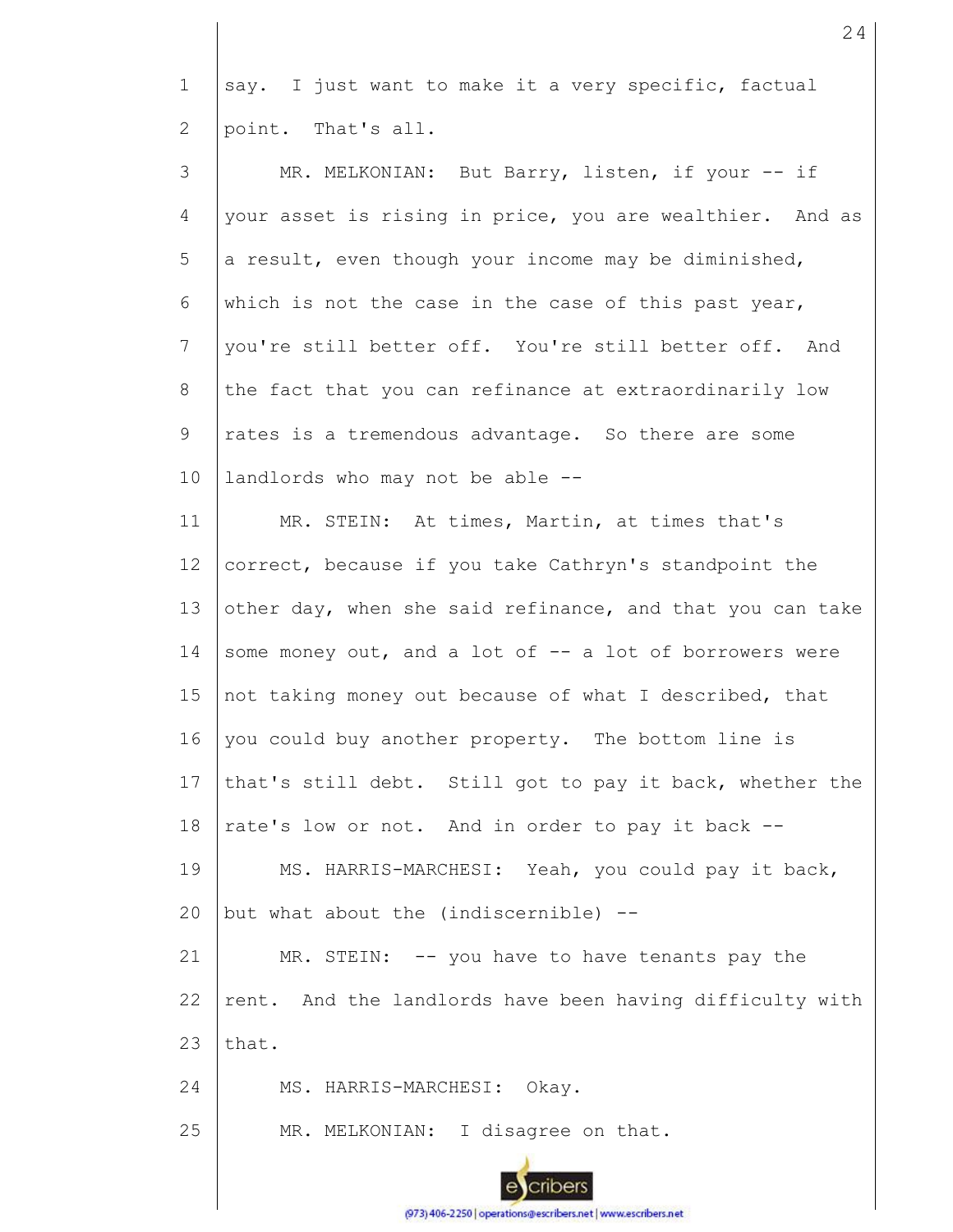1 2 say. I just want to make it a very specific, factual point. That's all.

| 3  | MR. MELKONIAN: But Barry, listen, if your -- if           |
|----|-----------------------------------------------------------|
| 4  | your asset is rising in price, you are wealthier. And as  |
| 5  | a result, even though your income may be diminished,      |
| 6  | which is not the case in the case of this past year,      |
| 7  | you're still better off. You're still better off. And     |
| 8  | the fact that you can refinance at extraordinarily low    |
| 9  | rates is a tremendous advantage. So there are some        |
| 10 | landlords who may not be able --                          |
| 11 | MR. STEIN: At times, Martin, at times that's              |
| 12 | correct, because if you take Cathryn's standpoint the     |
| 13 | other day, when she said refinance, and that you can take |
| 14 | some money out, and a lot of -- a lot of borrowers were   |
| 15 | not taking money out because of what I described, that    |
| 16 | you could buy another property. The bottom line is        |
| 17 | that's still debt. Still got to pay it back, whether the  |
| 18 | rate's low or not. And in order to pay it back --         |
| 19 | MS. HARRIS-MARCHESI: Yeah, you could pay it back,         |
| 20 | but what about the (indiscernible) --                     |
| 21 | MR. STEIN: -- you have to have tenants pay the            |
| 22 | rent. And the landlords have been having difficulty with  |
| 23 | that.                                                     |
| 24 | MS. HARRIS-MARCHESI: Okay.                                |
| 25 | MR. MELKONIAN: I disagree on that.                        |
|    |                                                           |

24

cribers

 $e$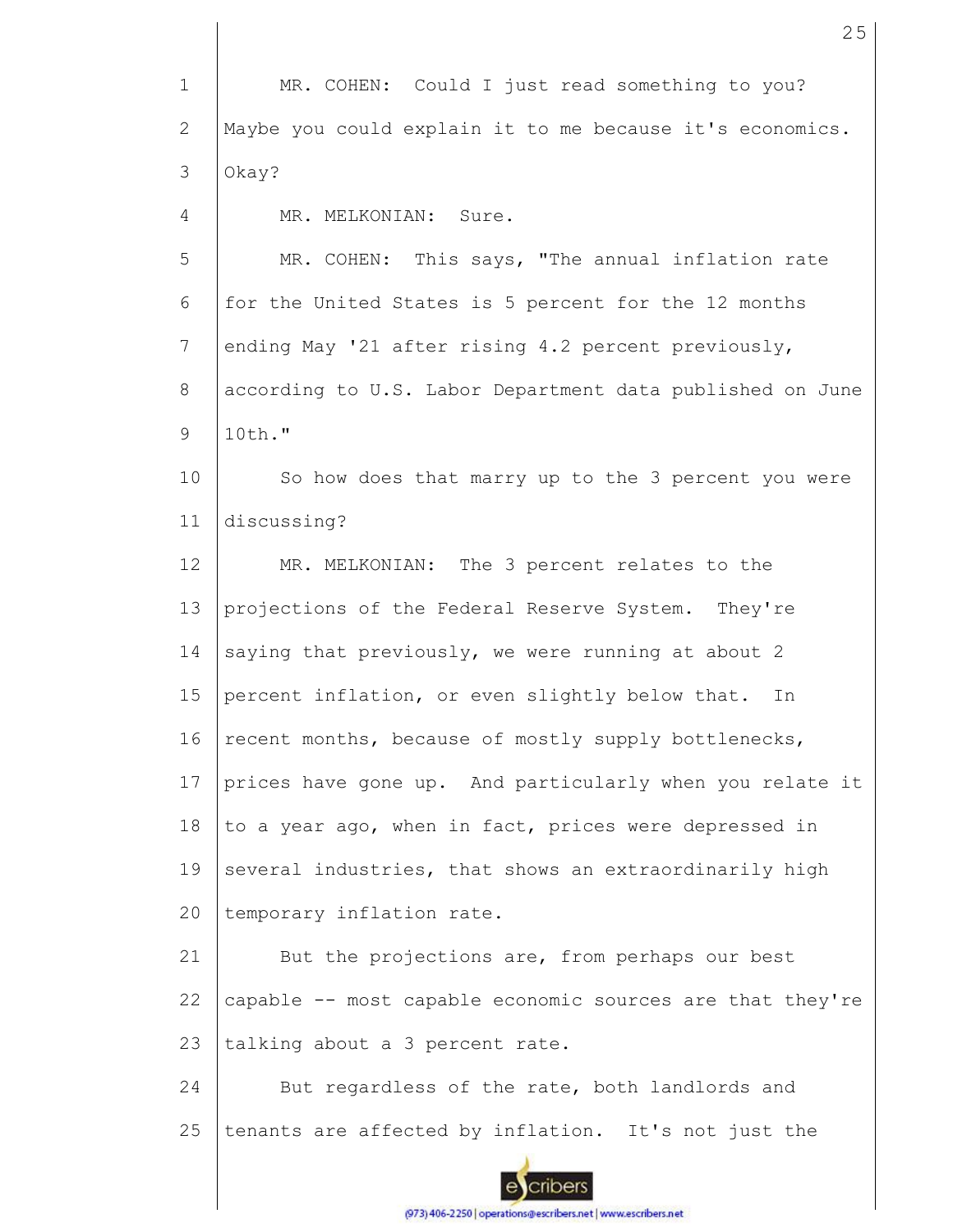1 2 3 MR. COHEN: Could I just read something to you? Maybe you could explain it to me because it's economics. Okay?

4 MR. MELKONIAN: Sure.

5 6 7 8 9 MR. COHEN: This says, "The annual inflation rate for the United States is 5 percent for the 12 months ending May '21 after rising 4.2 percent previously, according to U.S. Labor Department data published on June 10th."

10 11 So how does that marry up to the 3 percent you were discussing?

12 13 14 15 16 17 18 19 20 MR. MELKONIAN: The 3 percent relates to the projections of the Federal Reserve System. They're saying that previously, we were running at about 2 percent inflation, or even slightly below that. In recent months, because of mostly supply bottlenecks, prices have gone up. And particularly when you relate it to a year ago, when in fact, prices were depressed in several industries, that shows an extraordinarily high temporary inflation rate.

21 22 23 But the projections are, from perhaps our best capable -- most capable economic sources are that they're talking about a 3 percent rate.

24 25 But regardless of the rate, both landlords and tenants are affected by inflation. It's not just the

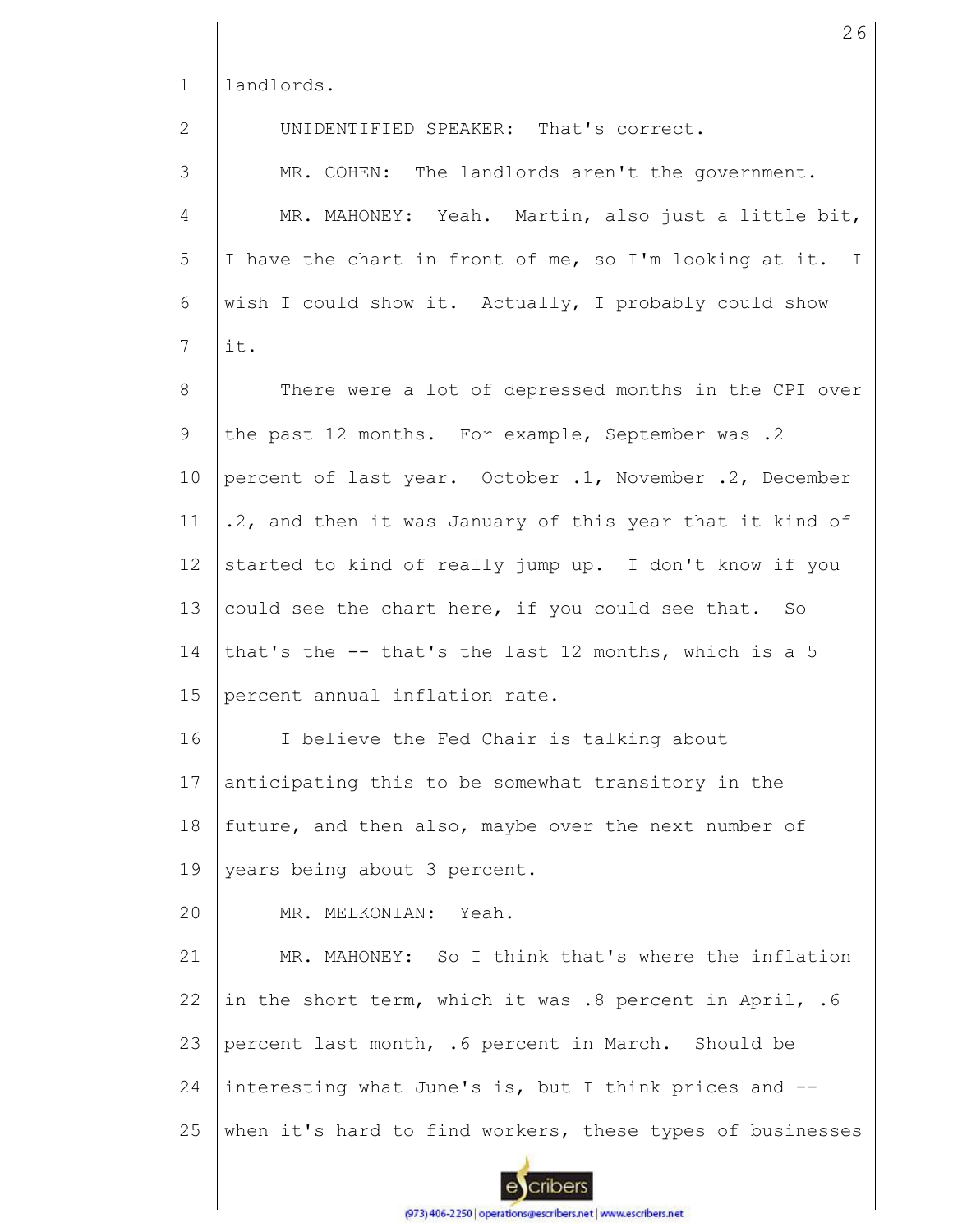1 landlords.

2 3 4 5 6 7 8 9 10 11 12 13 14 15 16 17 18 19 20 21 22 23 24 25 UNIDENTIFIED SPEAKER: That's correct. MR. COHEN: The landlords aren't the government. MR. MAHONEY: Yeah. Martin, also just a little bit, I have the chart in front of me, so I'm looking at it. I wish I could show it. Actually, I probably could show it. There were a lot of depressed months in the CPI over the past 12 months. For example, September was .2 percent of last year. October .1, November .2, December .2, and then it was January of this year that it kind of started to kind of really jump up. I don't know if you could see the chart here, if you could see that. So that's the -- that's the last 12 months, which is a 5 percent annual inflation rate. I believe the Fed Chair is talking about anticipating this to be somewhat transitory in the future, and then also, maybe over the next number of years being about 3 percent. MR. MELKONIAN: Yeah. MR. MAHONEY: So I think that's where the inflation in the short term, which it was .8 percent in April, .6 percent last month, .6 percent in March. Should be interesting what June's is, but I think prices and - when it's hard to find workers, these types of businesses

cribers

(973) 406-2250 | operations@escribers.net | www.escribers.net

26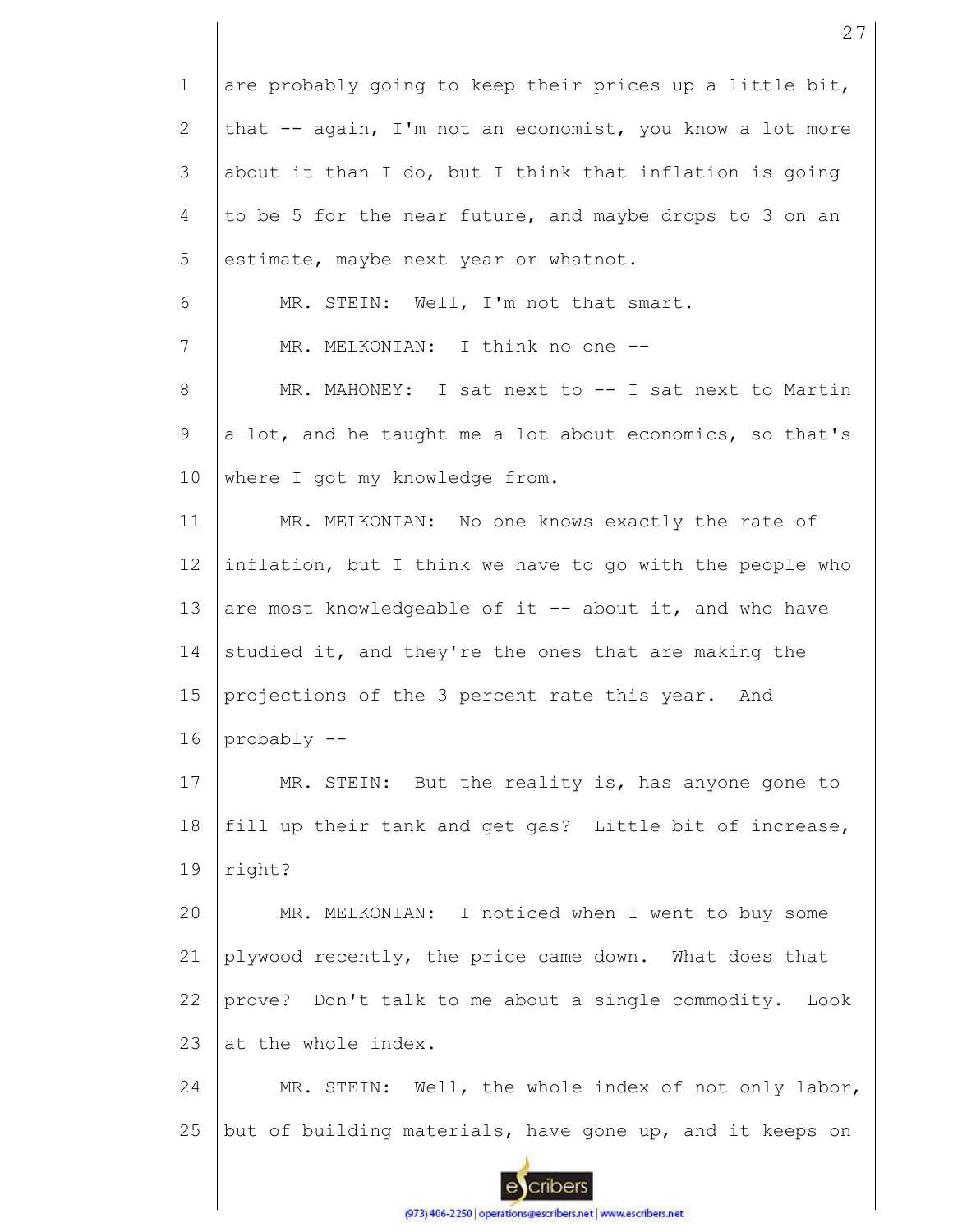1 2 3 4 5 6 7 8 9 10 11 12 13 14 15 16 17 18 19 20 21 22 23 24 25 are probably going to keep their prices up a little bit, that -- again, I'm not an economist, you know a lot more about it than I do, but I think that inflation is going to be 5 for the near future, and maybe drops to 3 on an estimate, maybe next year or whatnot. MR. STEIN: Well, I'm not that smart. MR. MELKONIAN: I think no one --MR. MAHONEY: I sat next to -- I sat next to Martin a lot, and he taught me a lot about economics, so that's where I got my knowledge from. MR. MELKONIAN: No one knows exactly the rate of inflation, but I think we have to go with the people who are most knowledgeable of it -- about it, and who have studied it, and they're the ones that are making the projections of the 3 percent rate this year. And probably -- MR. STEIN: But the reality is, has anyone gone to fill up their tank and get gas? Little bit of increase, right? MR. MELKONIAN: I noticed when I went to buy some plywood recently, the price came down. What does that prove? Don't talk to me about a single commodity. Look at the whole index. MR. STEIN: Well, the whole index of not only labor, but of building materials, have gone up, and it keeps on

27

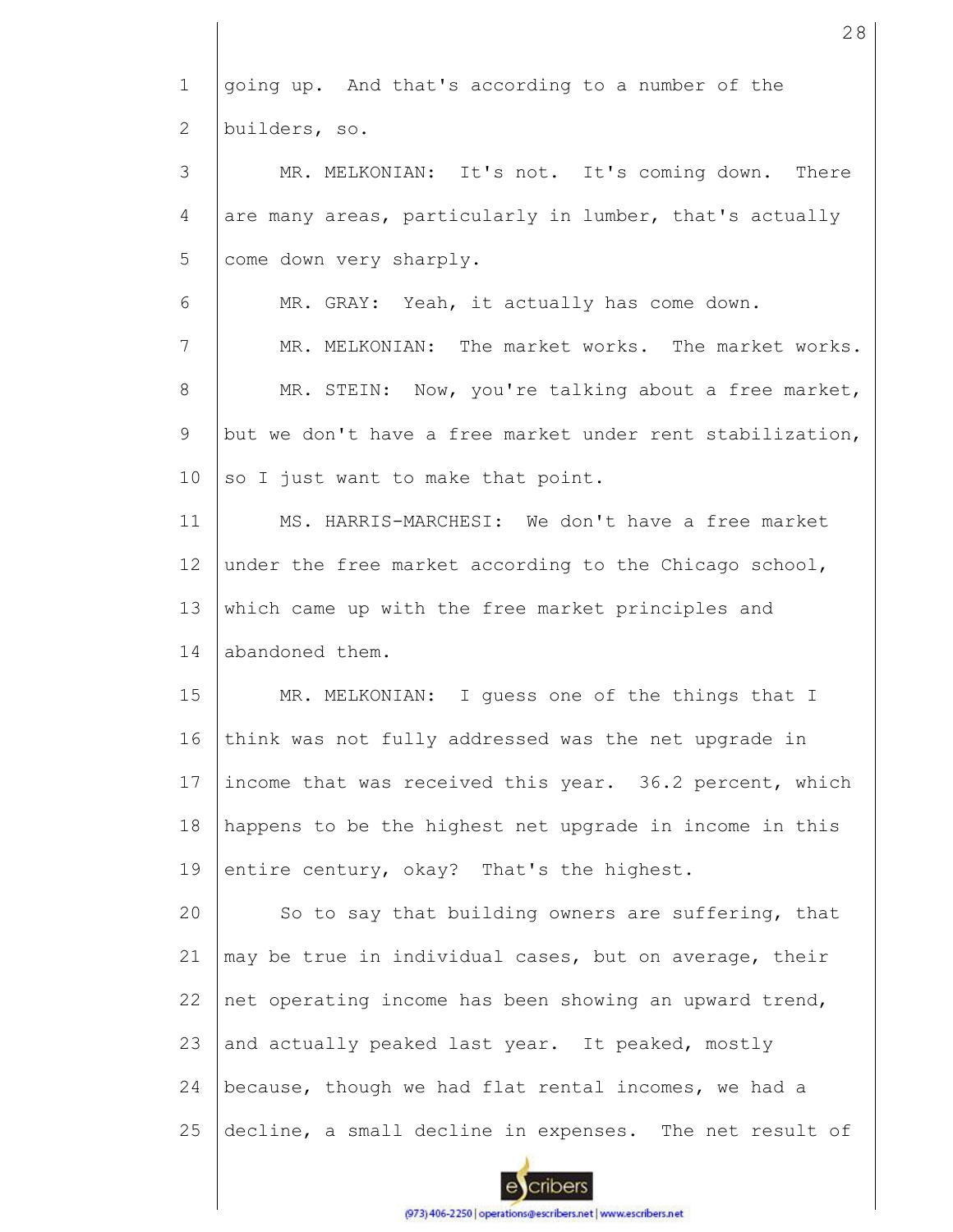1 2 3 4 5 6 7 8 9 10 11 12 13 14 15 16 17 18 19 20 21 22 23 24 25 going up. And that's according to a number of the builders, so. MR. MELKONIAN: It's not. It's coming down. There are many areas, particularly in lumber, that's actually come down very sharply. MR. GRAY: Yeah, it actually has come down. MR. MELKONIAN: The market works. The market works. MR. STEIN: Now, you're talking about a free market, but we don't have a free market under rent stabilization, so I just want to make that point. MS. HARRIS-MARCHESI: We don't have a free market under the free market according to the Chicago school, which came up with the free market principles and abandoned them. MR. MELKONIAN: I guess one of the things that I think was not fully addressed was the net upgrade in income that was received this year. 36.2 percent, which happens to be the highest net upgrade in income in this entire century, okay? That's the highest. So to say that building owners are suffering, that may be true in individual cases, but on average, their net operating income has been showing an upward trend, and actually peaked last year. It peaked, mostly because, though we had flat rental incomes, we had a decline, a small decline in expenses. The net result of

28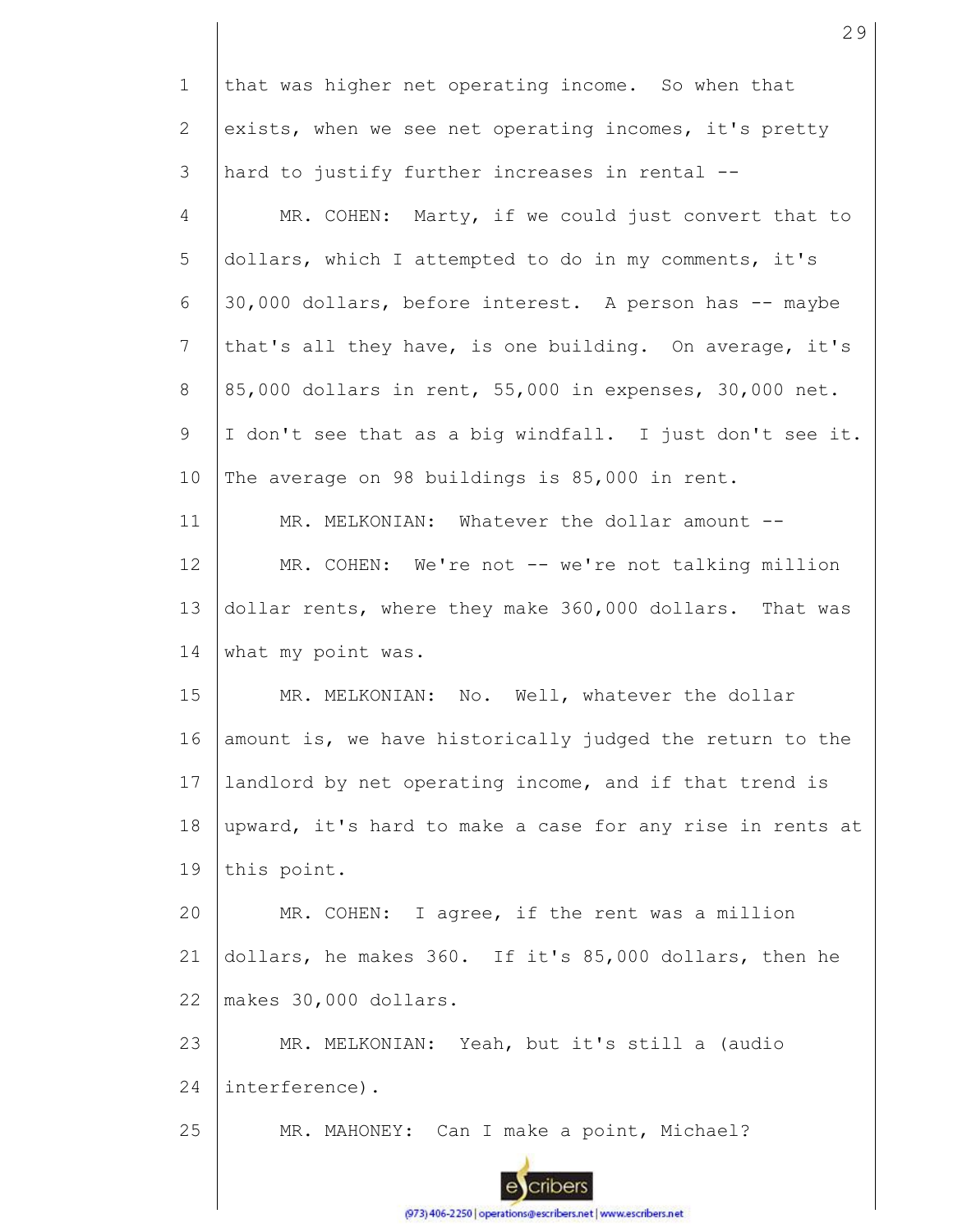| $\mathbf 1$  | that was higher net operating income. So when that        |
|--------------|-----------------------------------------------------------|
| $\mathbf{2}$ | exists, when we see net operating incomes, it's pretty    |
| 3            | hard to justify further increases in rental --            |
| 4            | MR. COHEN: Marty, if we could just convert that to        |
| 5            | dollars, which I attempted to do in my comments, it's     |
| 6            | 30,000 dollars, before interest. A person has -- maybe    |
| 7            | that's all they have, is one building. On average, it's   |
| 8            | 85,000 dollars in rent, 55,000 in expenses, 30,000 net.   |
| 9            | I don't see that as a big windfall. I just don't see it.  |
| 10           | The average on 98 buildings is 85,000 in rent.            |
| 11           | MR. MELKONIAN: Whatever the dollar amount --              |
| 12           | MR. COHEN: We're not -- we're not talking million         |
| 13           | dollar rents, where they make 360,000 dollars. That was   |
| 14           | what my point was.                                        |
| 15           | MR. MELKONIAN: No. Well, whatever the dollar              |
| 16           | amount is, we have historically judged the return to the  |
| 17           | landlord by net operating income, and if that trend is    |
| 18           | upward, it's hard to make a case for any rise in rents at |
| 19           | this point.                                               |
| 20           | MR. COHEN: I agree, if the rent was a million             |
| 21           | dollars, he makes 360. If it's 85,000 dollars, then he    |
| 22           | makes 30,000 dollars.                                     |
| 23           | MR. MELKONIAN: Yeah, but it's still a (audio              |
| 24           | interference).                                            |
| 25           | MR. MAHONEY: Can I make a point, Michael?                 |
|              |                                                           |

(973) 406-2250 | operations@escribers.net | www.escribers.net

I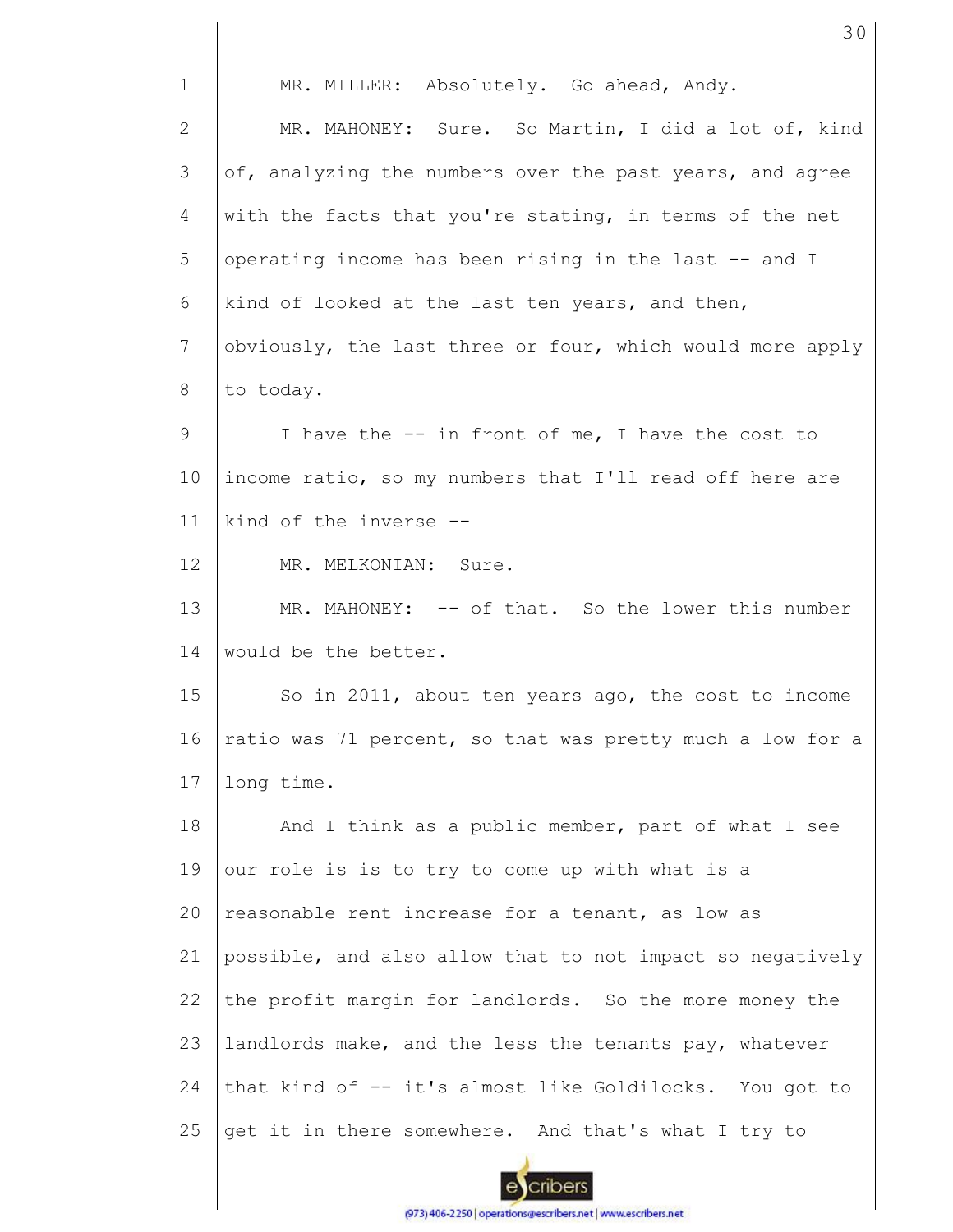| $\mathbf{1}$    | MR. MILLER: Absolutely. Go ahead, Andy.                   |
|-----------------|-----------------------------------------------------------|
| $\mathbf{2}$    | MR. MAHONEY: Sure. So Martin, I did a lot of, kind        |
| 3               | of, analyzing the numbers over the past years, and agree  |
| 4               | with the facts that you're stating, in terms of the net   |
| 5               | operating income has been rising in the last -- and I     |
| 6               | kind of looked at the last ten years, and then,           |
| $7\phantom{.0}$ | obviously, the last three or four, which would more apply |
| 8               | to today.                                                 |
| 9               | I have the -- in front of me, I have the cost to          |
| 10              | income ratio, so my numbers that I'll read off here are   |
| 11              | kind of the inverse --                                    |
| 12              | MR. MELKONIAN: Sure.                                      |
| 13              | MR. MAHONEY: -- of that. So the lower this number         |
| 14              | would be the better.                                      |
| 15              | So in 2011, about ten years ago, the cost to income       |
| 16              | ratio was 71 percent, so that was pretty much a low for a |
| 17              | long time.                                                |
| 18              | And I think as a public member, part of what I see        |
| 19              | our role is is to try to come up with what is a           |
| 20              | reasonable rent increase for a tenant, as low as          |
| 21              | possible, and also allow that to not impact so negatively |
| 22              | the profit margin for landlords. So the more money the    |
| 23              | landlords make, and the less the tenants pay, whatever    |
| 24              | that kind of -- it's almost like Goldilocks. You got to   |
| 25              | get it in there somewhere. And that's what I try to       |
|                 |                                                           |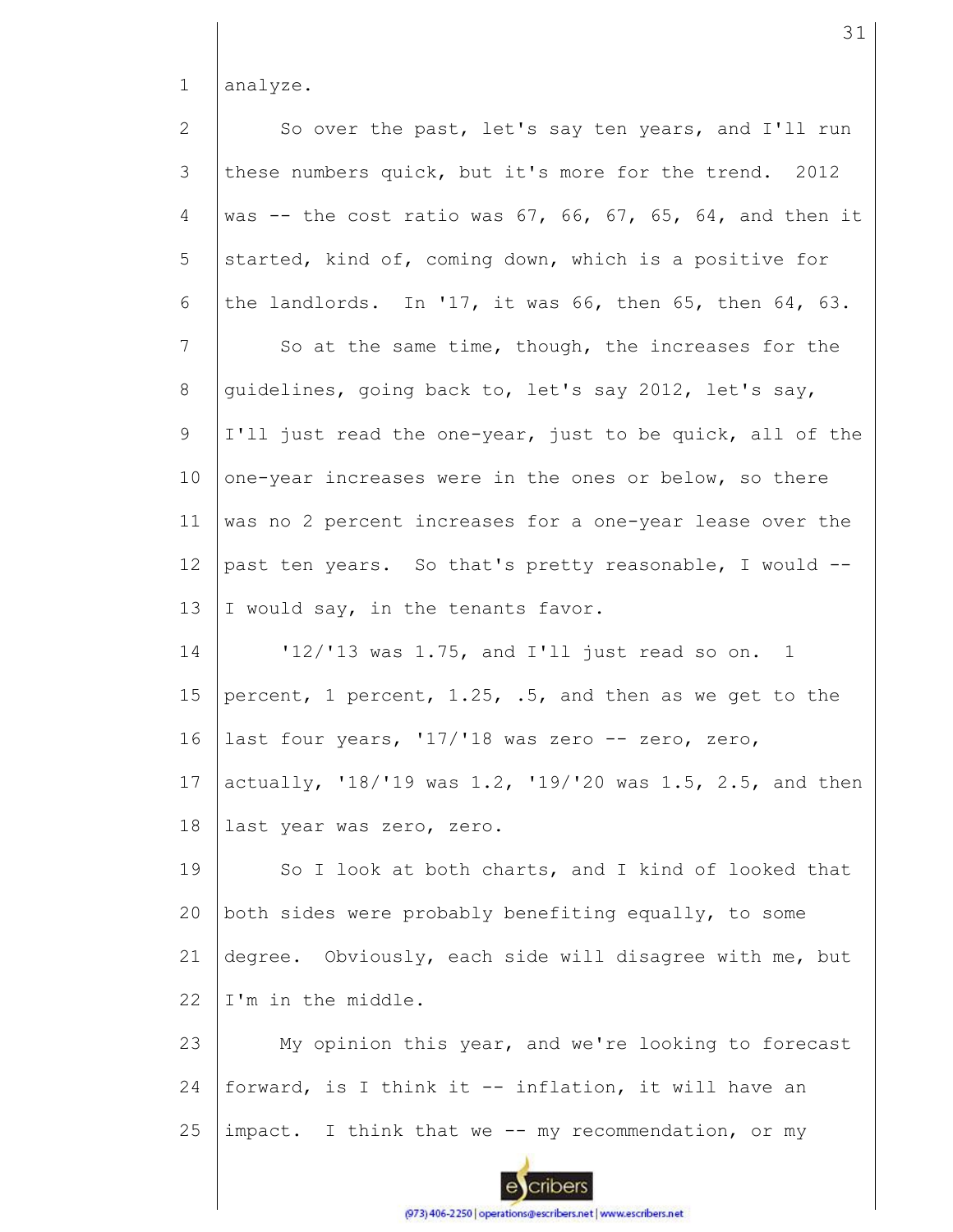1 analyze.

So over the past, let's say ten years, and I'll run 2 3 these numbers quick, but it's more for the trend. 2012 was  $-$  the cost ratio was 67, 66, 67, 65, 64, and then it 4 5 started, kind of, coming down, which is a positive for the landlords. In '17, it was 66, then 65, then 64, 63. 6 So at the same time, though, the increases for the 7 8 guidelines, going back to, let's say 2012, let's say, 9 I'll just read the one-year, just to be quick, all of the 10 one-year increases were in the ones or below, so there was no 2 percent increases for a one-year lease over the 11 12 past ten years. So that's pretty reasonable, I would -- 13 I would say, in the tenants favor. '12/'13 was 1.75, and I'll just read so on. 1 14 15 percent, 1 percent, 1.25, .5, and then as we get to the 16 last four years, '17/'18 was zero -- zero, zero, 17 actually, '18/'19 was 1.2, '19/'20 was 1.5, 2.5, and then 18 last year was zero, zero. So I look at both charts, and I kind of looked that 19 both sides were probably benefiting equally, to some 20 21 degree. Obviously, each side will disagree with me, but I'm in the middle. 22 23 My opinion this year, and we're looking to forecast forward, is I think it -- inflation, it will have an 24 25 impact. I think that we -- my recommendation, or my cribers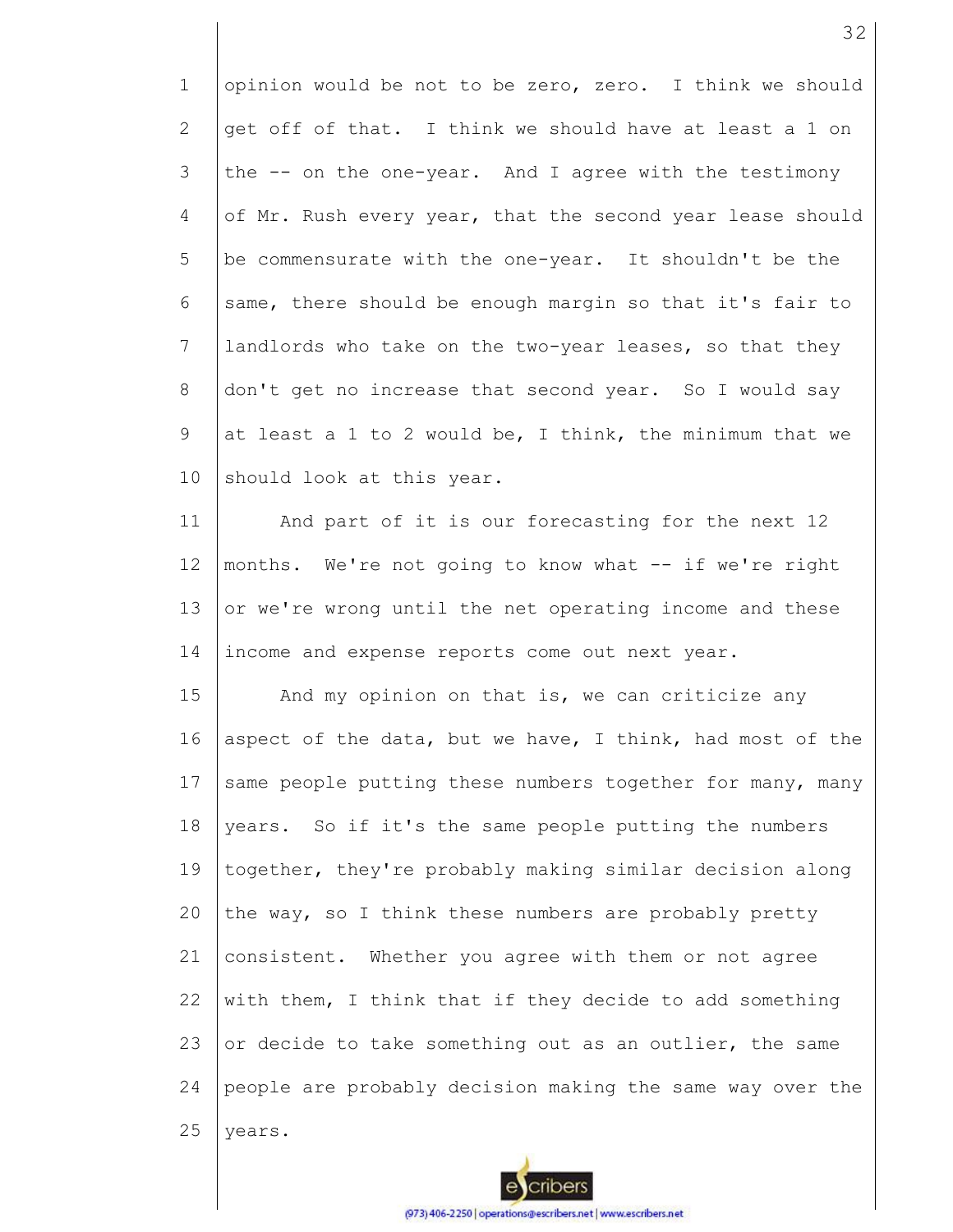1 2 3 4 5 6 7 8 9 10 opinion would be not to be zero, zero. I think we should get off of that. I think we should have at least a 1 on the -- on the one-year. And I agree with the testimony of Mr. Rush every year, that the second year lease should be commensurate with the one-year. It shouldn't be the same, there should be enough margin so that it's fair to landlords who take on the two-year leases, so that they don't get no increase that second year. So I would say at least a 1 to 2 would be, I think, the minimum that we should look at this year.

11 12 13 14 And part of it is our forecasting for the next 12 months. We're not going to know what -- if we're right or we're wrong until the net operating income and these income and expense reports come out next year.

15 16 17 18 19 20 21 22 23 24 25 And my opinion on that is, we can criticize any aspect of the data, but we have, I think, had most of the same people putting these numbers together for many, many years. So if it's the same people putting the numbers together, they're probably making similar decision along the way, so I think these numbers are probably pretty consistent. Whether you agree with them or not agree with them, I think that if they decide to add something or decide to take something out as an outlier, the same people are probably decision making the same way over the years.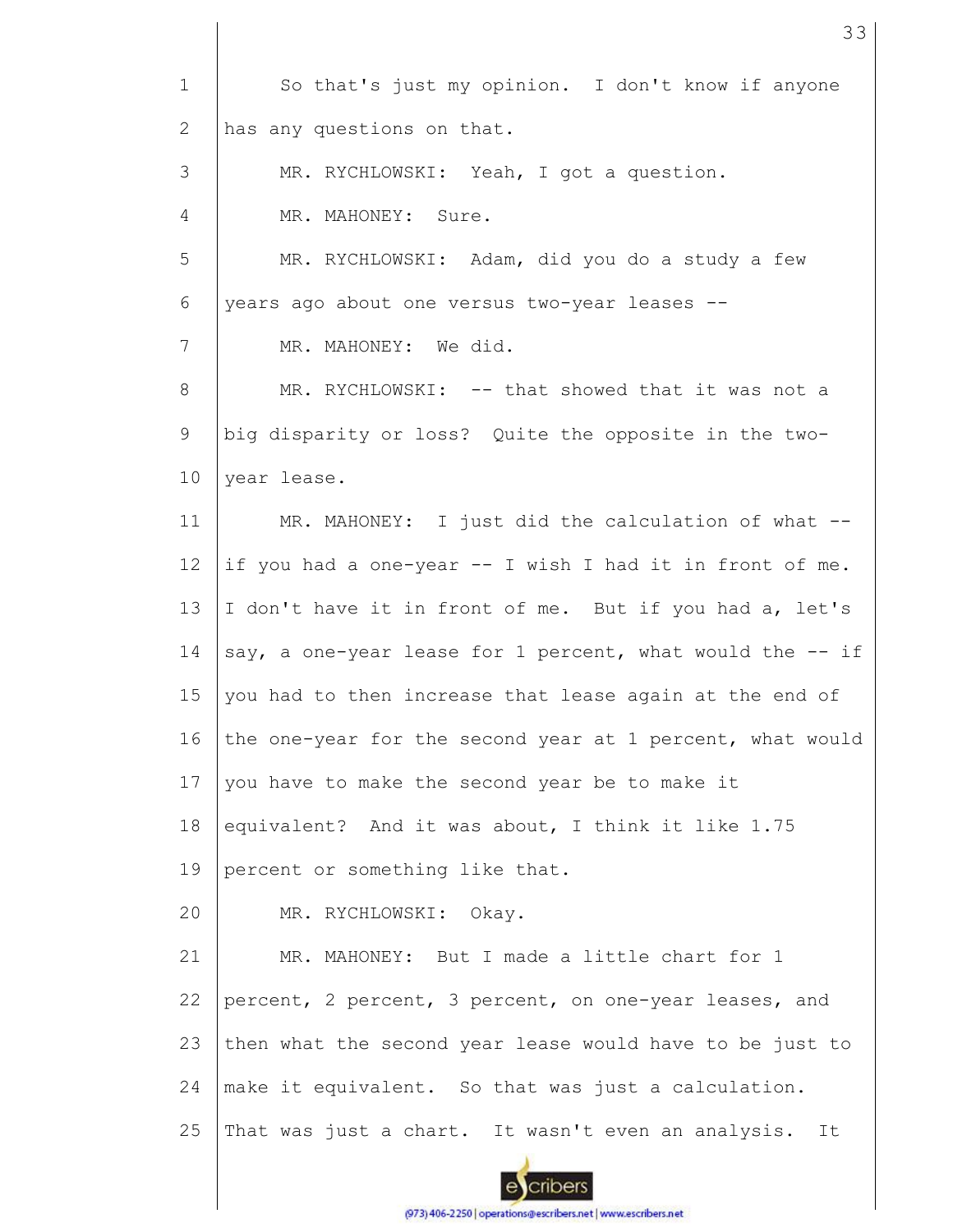| $\mathbf 1$    | So that's just my opinion. I don't know if anyone         |
|----------------|-----------------------------------------------------------|
| 2              | has any questions on that.                                |
| 3              | MR. RYCHLOWSKI: Yeah, I got a question.                   |
| $\overline{4}$ | MR. MAHONEY: Sure.                                        |
| 5              | MR. RYCHLOWSKI: Adam, did you do a study a few            |
| 6              | years ago about one versus two-year leases --             |
| 7              | MR. MAHONEY: We did.                                      |
| 8              | MR. RYCHLOWSKI: -- that showed that it was not a          |
| 9              | big disparity or loss? Quite the opposite in the two-     |
| 10             | year lease.                                               |
| 11             | MR. MAHONEY: I just did the calculation of what --        |
| 12             | if you had a one-year -- I wish I had it in front of me.  |
| 13             | I don't have it in front of me. But if you had a, let's   |
| 14             | say, a one-year lease for 1 percent, what would the -- if |
| 15             | you had to then increase that lease again at the end of   |
| 16             | the one-year for the second year at 1 percent, what would |
| 17             | you have to make the second year be to make it            |
| 18             | equivalent? And it was about, I think it like 1.75        |
| 19             | percent or something like that.                           |
| 20             | MR. RYCHLOWSKI: Okay.                                     |
| 21             | MR. MAHONEY: But I made a little chart for 1              |
| 22             | percent, 2 percent, 3 percent, on one-year leases, and    |
| 23             | then what the second year lease would have to be just to  |
| 24             | make it equivalent. So that was just a calculation.       |
| 25             | That was just a chart. It wasn't even an analysis.<br>It  |
|                |                                                           |

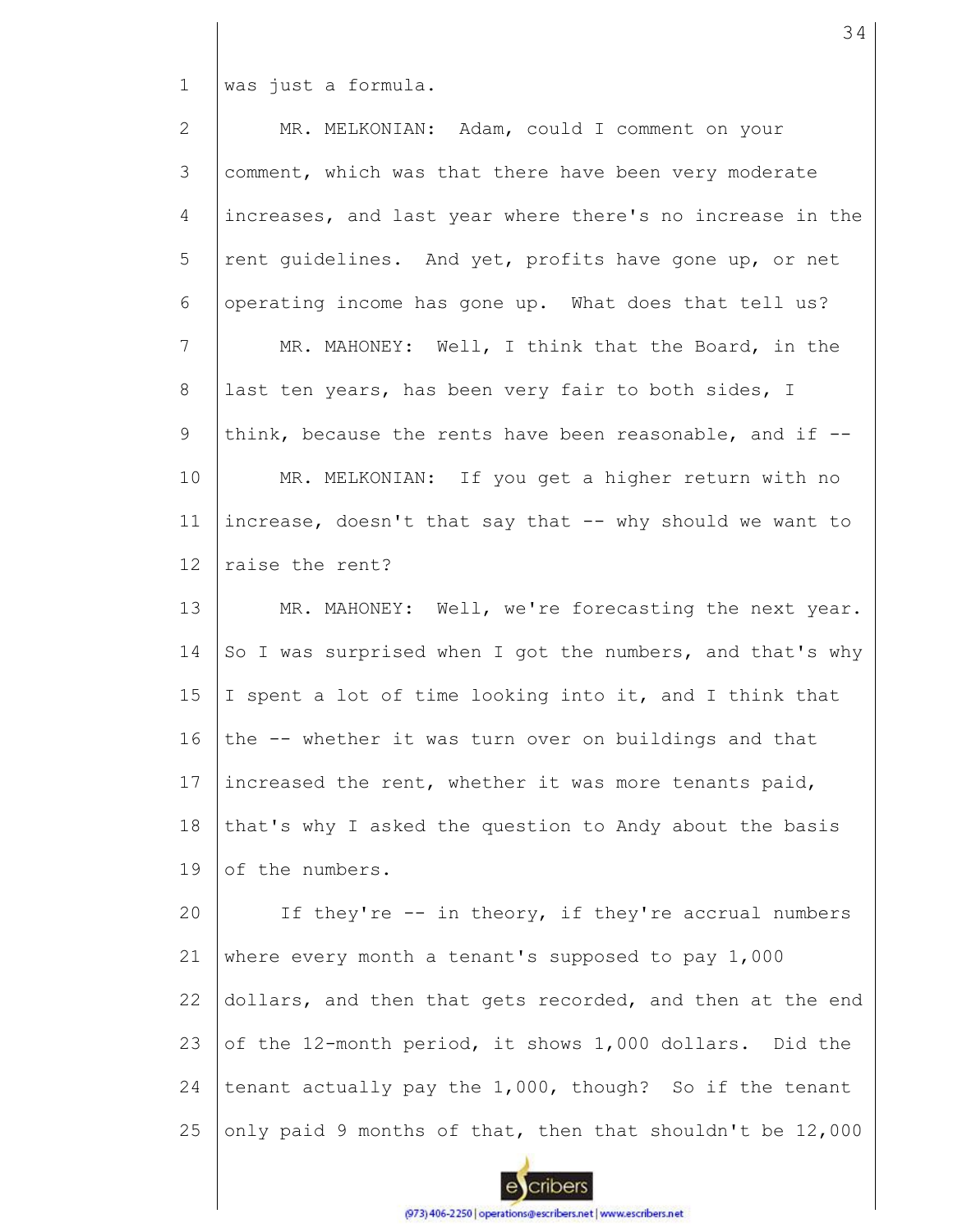1 was just a formula.

2 3 4 5 6 7 8 9 10 11 12 13 14 15 16 17 18 19 MR. MELKONIAN: Adam, could I comment on your comment, which was that there have been very moderate increases, and last year where there's no increase in the rent guidelines. And yet, profits have gone up, or net operating income has gone up. What does that tell us? MR. MAHONEY: Well, I think that the Board, in the last ten years, has been very fair to both sides, I think, because the rents have been reasonable, and if  $-$ -MR. MELKONIAN: If you get a higher return with no increase, doesn't that say that -- why should we want to raise the rent? MR. MAHONEY: Well, we're forecasting the next year. So I was surprised when I got the numbers, and that's why I spent a lot of time looking into it, and I think that the -- whether it was turn over on buildings and that increased the rent, whether it was more tenants paid, that's why I asked the question to Andy about the basis of the numbers.

20 21 22 23 24 25 If they're -- in theory, if they're accrual numbers where every month a tenant's supposed to pay 1,000 dollars, and then that gets recorded, and then at the end of the 12-month period, it shows 1,000 dollars. Did the tenant actually pay the 1,000, though? So if the tenant only paid 9 months of that, then that shouldn't be 12,000

cribers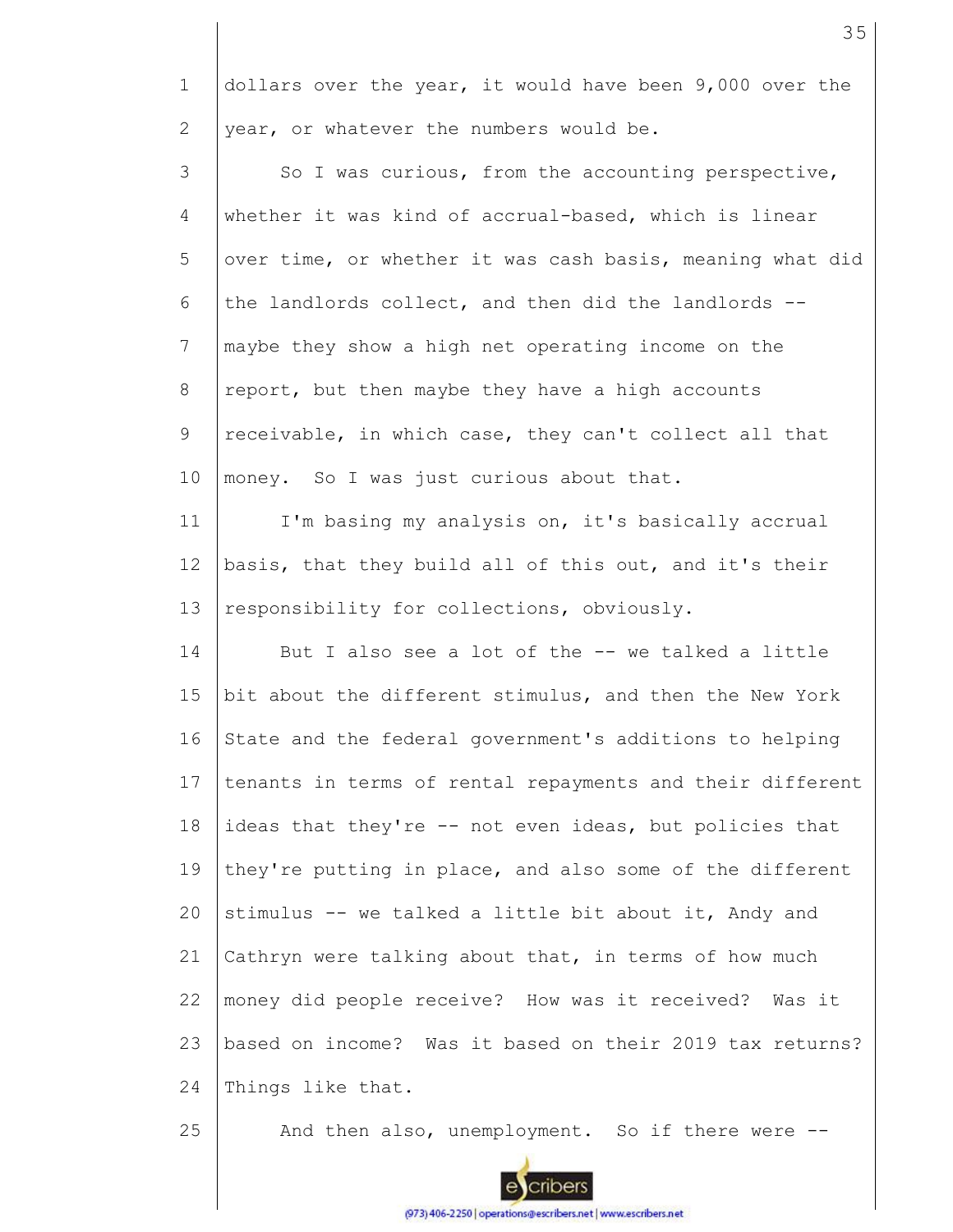1 2 dollars over the year, it would have been 9,000 over the year, or whatever the numbers would be.

3 4 5 6 7 8 9 10 So I was curious, from the accounting perspective, whether it was kind of accrual-based, which is linear over time, or whether it was cash basis, meaning what did the landlords collect, and then did the landlords - maybe they show a high net operating income on the report, but then maybe they have a high accounts receivable, in which case, they can't collect all that money. So I was just curious about that.

11 12 13 I'm basing my analysis on, it's basically accrual basis, that they build all of this out, and it's their responsibility for collections, obviously.

14 15 16 17 18 19  $20$ 21 22 23 24 But I also see a lot of the -- we talked a little bit about the different stimulus, and then the New York State and the federal government's additions to helping tenants in terms of rental repayments and their different ideas that they're -- not even ideas, but policies that they're putting in place, and also some of the different stimulus -- we talked a little bit about it, Andy and Cathryn were talking about that, in terms of how much money did people receive? How was it received? Was it based on income? Was it based on their 2019 tax returns? Things like that.

25 And then also, unemployment. So if there were --

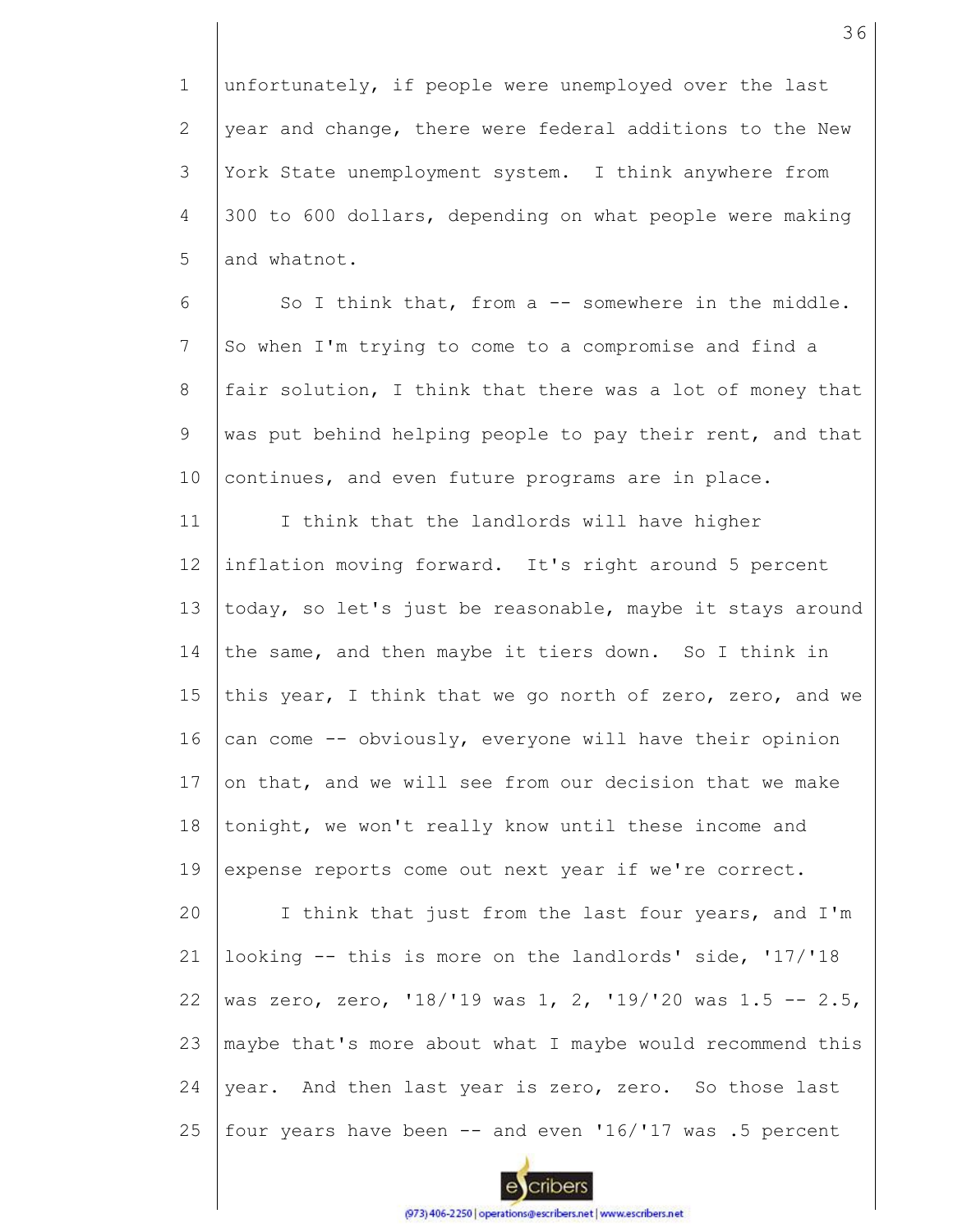1 2 3 4 5 unfortunately, if people were unemployed over the last year and change, there were federal additions to the New York State unemployment system. I think anywhere from 300 to 600 dollars, depending on what people were making and whatnot.

6 7 8 9 10 So I think that, from a -- somewhere in the middle. So when I'm trying to come to a compromise and find a fair solution, I think that there was a lot of money that was put behind helping people to pay their rent, and that continues, and even future programs are in place.

11 12 13 14 15 16 17 18 19 20 21 22 23 24 25 I think that the landlords will have higher inflation moving forward. It's right around 5 percent today, so let's just be reasonable, maybe it stays around the same, and then maybe it tiers down. So I think in this year, I think that we go north of zero, zero, and we can come -- obviously, everyone will have their opinion on that, and we will see from our decision that we make tonight, we won't really know until these income and expense reports come out next year if we're correct. I think that just from the last four years, and I'm looking -- this is more on the landlords' side, '17/'18 was zero, zero, '18/'19 was 1, 2, '19/'20 was 1.5 -- 2.5, maybe that's more about what I maybe would recommend this year. And then last year is zero, zero. So those last four years have been  $-$  and even  $116/117$  was .5 percent

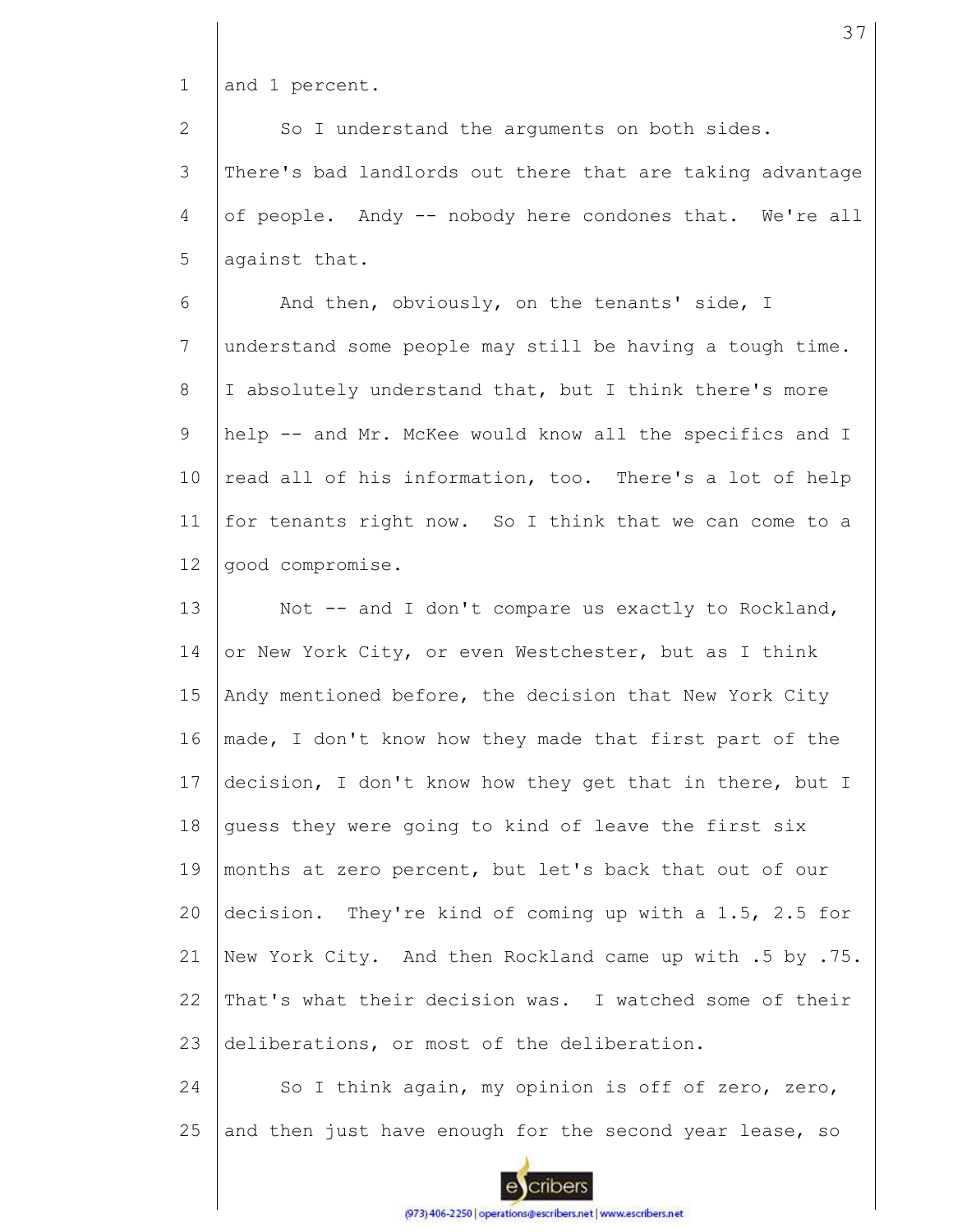1 and 1 percent.

2 3 4 5 So I understand the arguments on both sides. There's bad landlords out there that are taking advantage of people. Andy -- nobody here condones that. We're all against that.

6 7 8 9 10 11 12 And then, obviously, on the tenants' side, I understand some people may still be having a tough time. I absolutely understand that, but I think there's more help -- and Mr. McKee would know all the specifics and I read all of his information, too. There's a lot of help for tenants right now. So I think that we can come to a good compromise.

13 14 15 16 17 18 19 20 21 22 23 Not -- and I don't compare us exactly to Rockland, or New York City, or even Westchester, but as I think Andy mentioned before, the decision that New York City made, I don't know how they made that first part of the decision, I don't know how they get that in there, but I guess they were going to kind of leave the first six months at zero percent, but let's back that out of our decision. They're kind of coming up with a 1.5, 2.5 for New York City. And then Rockland came up with .5 by .75. That's what their decision was. I watched some of their deliberations, or most of the deliberation.

24 25 So I think again, my opinion is off of zero, zero, and then just have enough for the second year lease, so

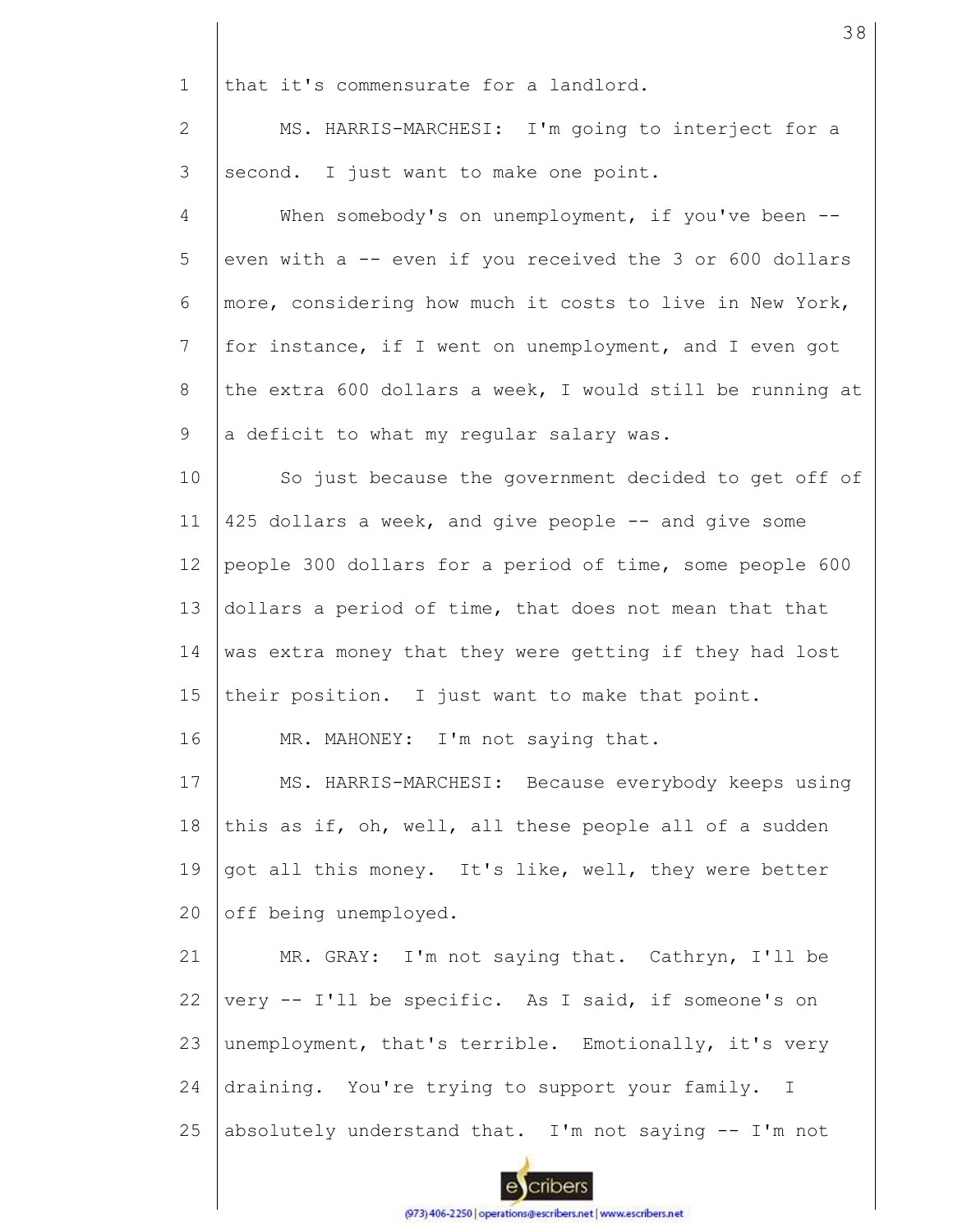1 that it's commensurate for a landlord. 2 MS. HARRIS-MARCHESI: I'm going to interject for a 3 second. I just want to make one point. 4 When somebody's on unemployment, if you've been --5 even with a -- even if you received the 3 or 600 dollars 6 more, considering how much it costs to live in New York, 7 for instance, if I went on unemployment, and I even got 8 the extra 600 dollars a week, I would still be running at 9 a deficit to what my regular salary was. 10 So just because the government decided to get off of 425 dollars a week, and give people -- and give some 11 12 people 300 dollars for a period of time, some people 600 13 dollars a period of time, that does not mean that that 14 was extra money that they were getting if they had lost 15 their position. I just want to make that point. 16 MR. MAHONEY: I'm not saying that. 17 MS. HARRIS-MARCHESI: Because everybody keeps using 18 this as if, oh, well, all these people all of a sudden 19 got all this money. It's like, well, they were better off being unemployed. 20 21 MR. GRAY: I'm not saying that. Cathryn, I'll be very -- I'll be specific. As I said, if someone's on 22 23 unemployment, that's terrible. Emotionally, it's very 24 draining. You're trying to support your family. I 25 absolutely understand that. I'm not saying -- I'm not cribers

38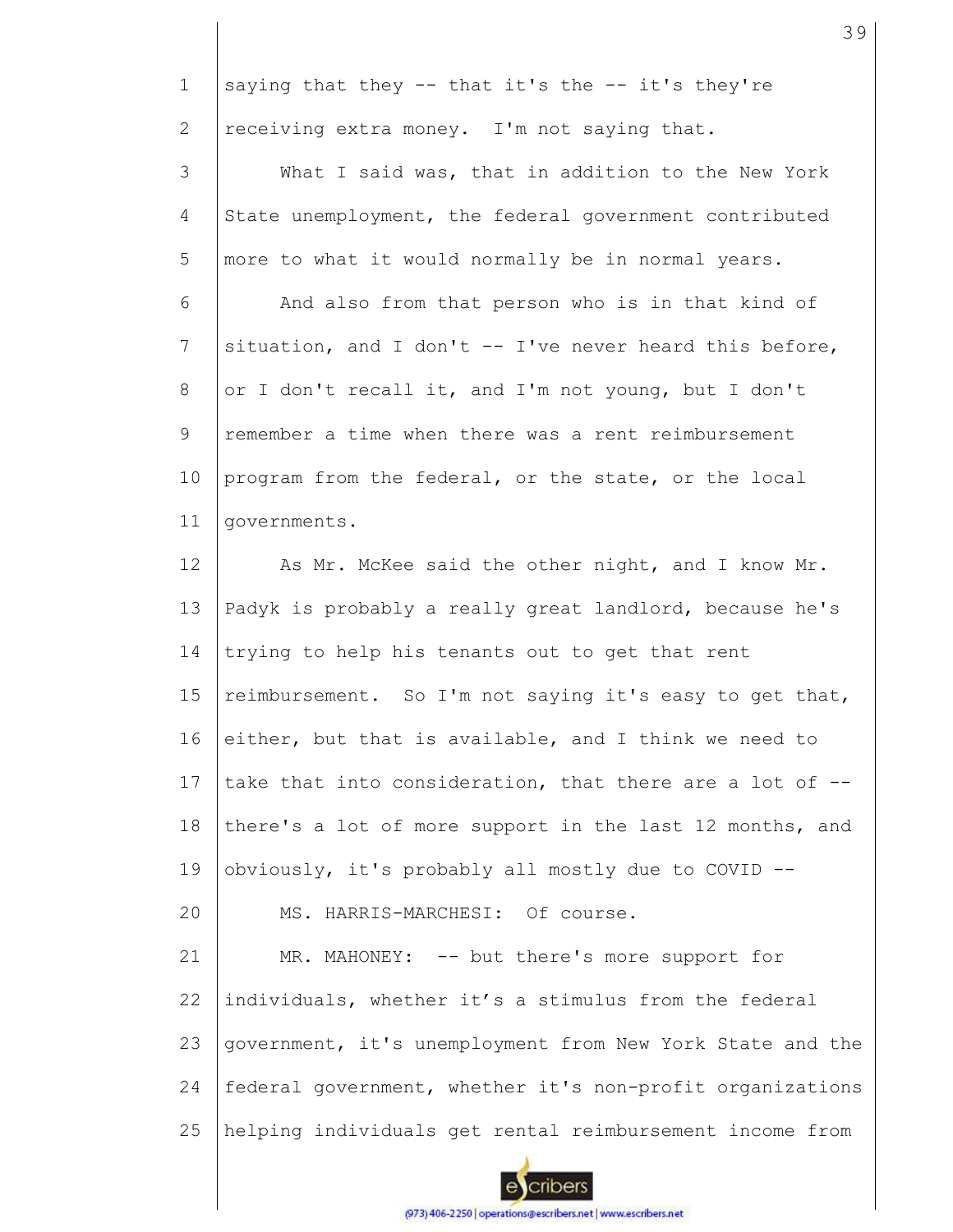1 2 3 4 5 6 7 8 9 10 11 12 13 14 15 16 17 18 19 20 21 22 23 24 25 saying that they  $-$  that it's the  $-$  it's they're receiving extra money. I'm not saying that. What I said was, that in addition to the New York State unemployment, the federal government contributed more to what it would normally be in normal years. And also from that person who is in that kind of situation, and I don't  $--$  I've never heard this before, or I don't recall it, and I'm not young, but I don't remember a time when there was a rent reimbursement program from the federal, or the state, or the local governments. As Mr. McKee said the other night, and I know Mr. Padyk is probably a really great landlord, because he's trying to help his tenants out to get that rent reimbursement. So I'm not saying it's easy to get that, either, but that is available, and I think we need to take that into consideration, that there are a lot of - there's a lot of more support in the last 12 months, and obviously, it's probably all mostly due to COVID -- MS. HARRIS-MARCHESI: Of course. MR. MAHONEY: -- but there's more support for individuals, whether it's a stimulus from the federal government, it's unemployment from New York State and the federal government, whether it's non-profit organizations helping individuals get rental reimbursement income from

39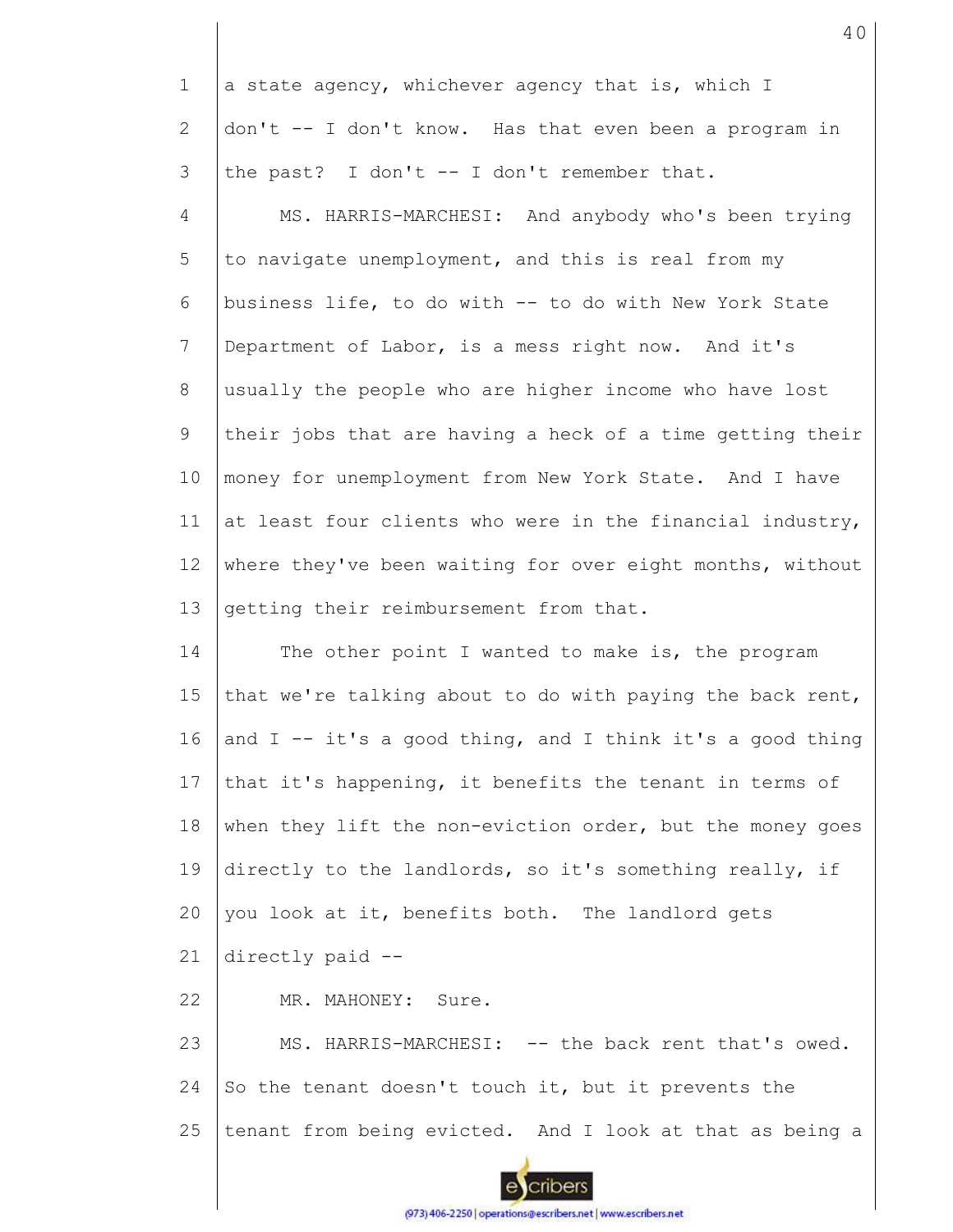| $\mathbf 1$           | a state agency, whichever agency that is, which I           |
|-----------------------|-------------------------------------------------------------|
| $\mathbf{2}^{\prime}$ | don't -- I don't know. Has that even been a program in      |
| 3                     | the past? I don't -- I don't remember that.                 |
| 4                     | MS. HARRIS-MARCHESI: And anybody who's been trying          |
| 5                     | to navigate unemployment, and this is real from my          |
| 6                     | business life, to do with -- to do with New York State      |
| 7                     | Department of Labor, is a mess right now. And it's          |
| 8                     | usually the people who are higher income who have lost      |
| 9                     | their jobs that are having a heck of a time getting their   |
| 10                    | money for unemployment from New York State. And I have      |
| 11                    | at least four clients who were in the financial industry,   |
| 12                    | where they've been waiting for over eight months, without   |
| 13                    | getting their reimbursement from that.                      |
| 14                    | The other point I wanted to make is, the program            |
| 15                    | that we're talking about to do with paying the back rent,   |
|                       |                                                             |
| 16                    | and $I$ -- it's a good thing, and I think it's a good thing |
| 17                    | that it's happening, it benefits the tenant in terms of     |
| 18                    | when they lift the non-eviction order, but the money goes   |
| 19                    | directly to the landlords, so it's something really, if     |
| 20                    | you look at it, benefits both. The landlord gets            |
| 21                    | directly paid --                                            |
| 22                    | MR. MAHONEY: Sure.                                          |
| 23                    | MS. HARRIS-MARCHESI: -- the back rent that's owed.          |
| 24                    | So the tenant doesn't touch it, but it prevents the         |
| 25                    | tenant from being evicted. And I look at that as being a    |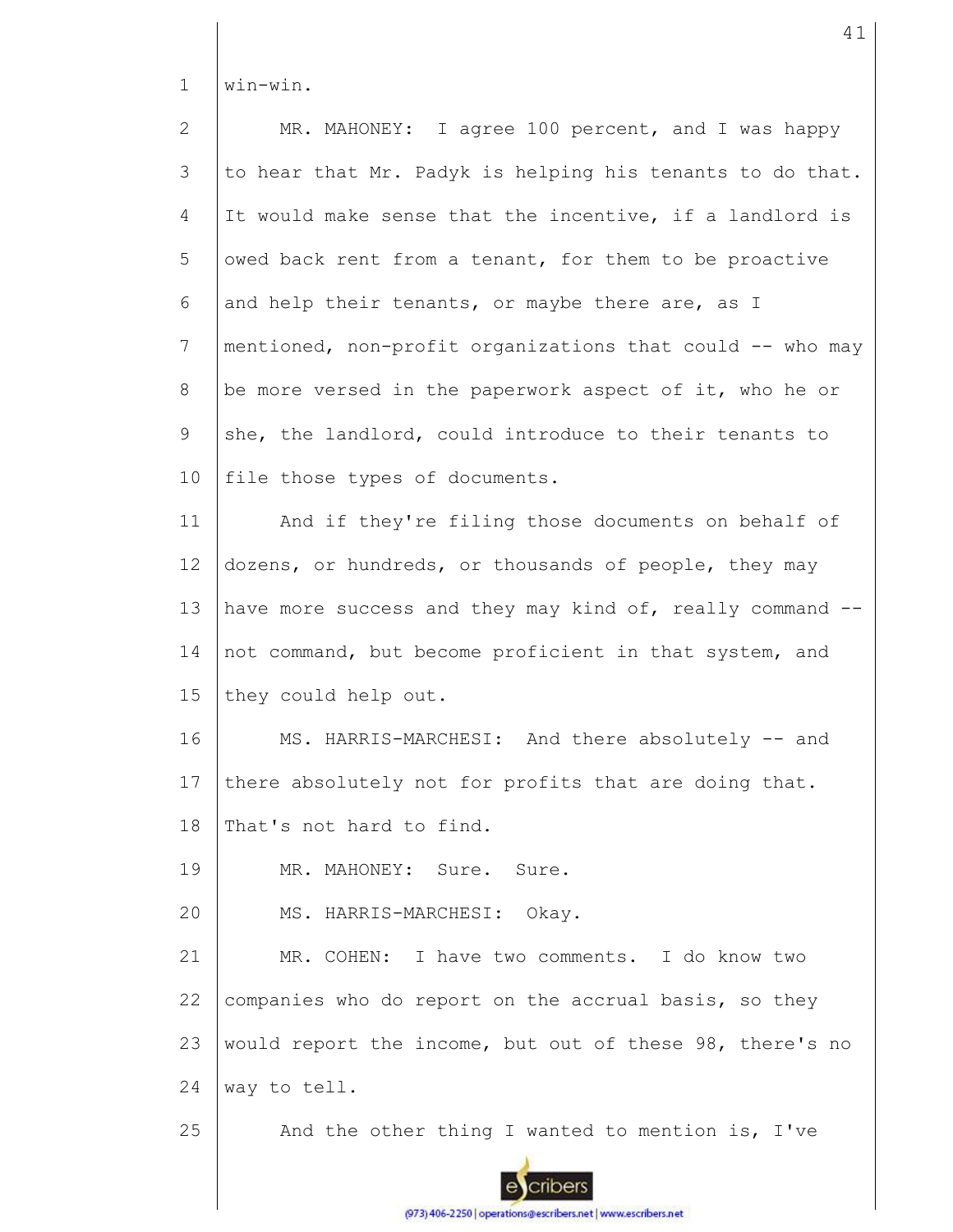1 win-win.

| $\overline{2}$  | MR. MAHONEY: I agree 100 percent, and I was happy         |
|-----------------|-----------------------------------------------------------|
| 3               | to hear that Mr. Padyk is helping his tenants to do that. |
| 4               | It would make sense that the incentive, if a landlord is  |
| 5               | owed back rent from a tenant, for them to be proactive    |
| 6               | and help their tenants, or maybe there are, as I          |
| $7\phantom{.}$  | mentioned, non-profit organizations that could -- who may |
| 8               | be more versed in the paperwork aspect of it, who he or   |
| 9               | she, the landlord, could introduce to their tenants to    |
| 10              | file those types of documents.                            |
| 11              | And if they're filing those documents on behalf of        |
| 12 <sup>°</sup> | dozens, or hundreds, or thousands of people, they may     |
| 13              | have more success and they may kind of, really command -- |
| 14              | not command, but become proficient in that system, and    |
| 15              | they could help out.                                      |
| 16              | MS. HARRIS-MARCHESI: And there absolutely -- and          |
| 17              | there absolutely not for profits that are doing that.     |
| 18              | That's not hard to find.                                  |
| 19              | MR. MAHONEY: Sure. Sure.                                  |
| 20              | MS. HARRIS-MARCHESI: Okay.                                |
| 21              | MR. COHEN:<br>I have two comments. I do know two          |
| 22              | companies who do report on the accrual basis, so they     |
| 23              | would report the income, but out of these 98, there's no  |
| 24              | way to tell.                                              |
| 25              | And the other thing I wanted to mention is, I've          |

ecribers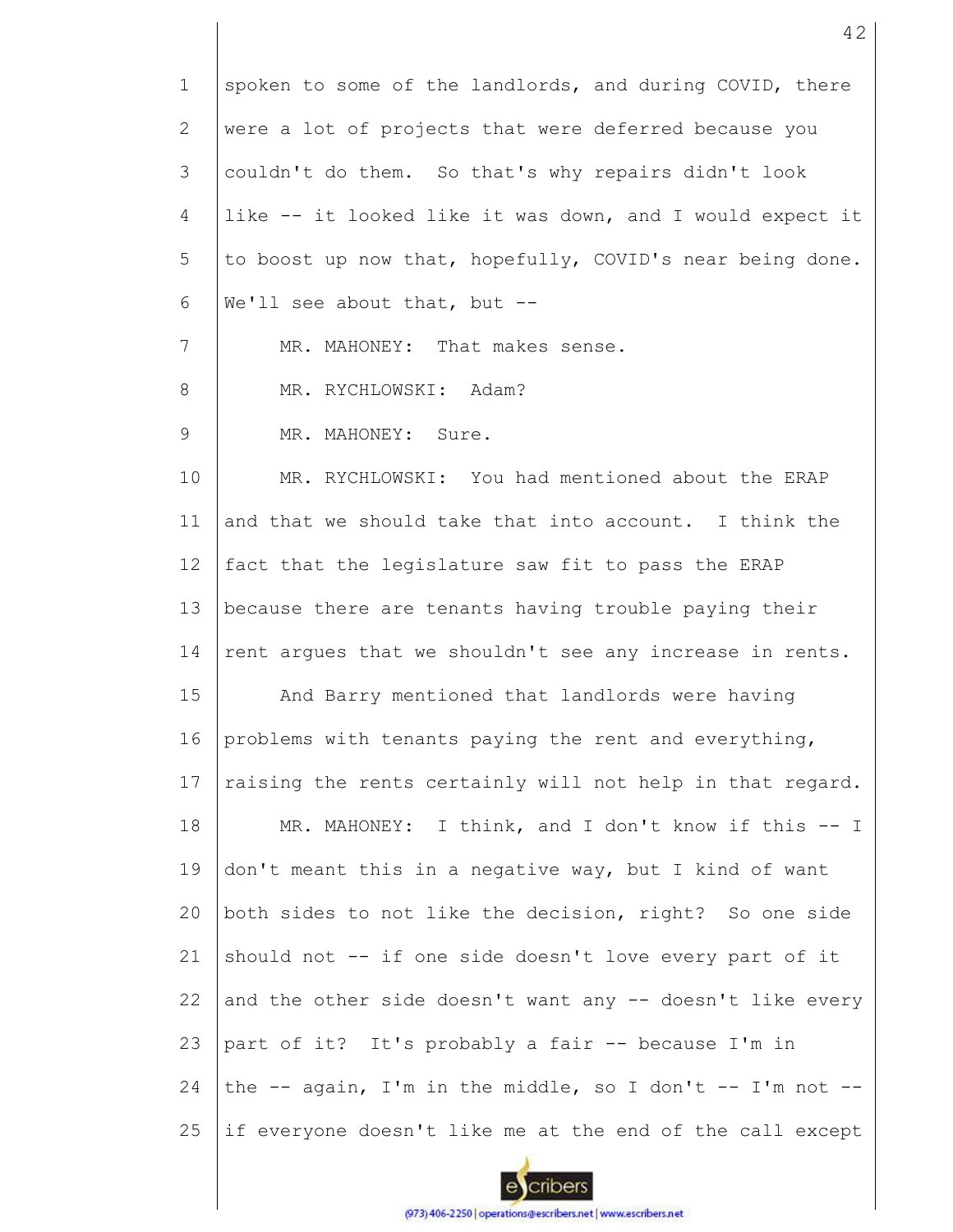| $\mathbf 1$ | spoken to some of the landlords, and during COVID, there  |
|-------------|-----------------------------------------------------------|
| 2           | were a lot of projects that were deferred because you     |
| 3           | couldn't do them. So that's why repairs didn't look       |
| 4           | like -- it looked like it was down, and I would expect it |
| 5           | to boost up now that, hopefully, COVID's near being done. |
| 6           | We'll see about that, but --                              |
| 7           | MR. MAHONEY: That makes sense.                            |
| 8           | MR. RYCHLOWSKI: Adam?                                     |
| 9           | MR. MAHONEY: Sure.                                        |
| 10          | MR. RYCHLOWSKI: You had mentioned about the ERAP          |
| 11          | and that we should take that into account. I think the    |
| 12          | fact that the legislature saw fit to pass the ERAP        |
| 13          | because there are tenants having trouble paying their     |
| 14          | rent argues that we shouldn't see any increase in rents.  |
| 15          | And Barry mentioned that landlords were having            |
| 16          | problems with tenants paying the rent and everything,     |
| 17          | raising the rents certainly will not help in that regard. |
| 18          | MR. MAHONEY: I think, and I don't know if this -- I       |
| 19          | don't meant this in a negative way, but I kind of want    |
| 20          | both sides to not like the decision, right? So one side   |
| 21          | should not -- if one side doesn't love every part of it   |
| 22          | and the other side doesn't want any -- doesn't like every |
| 23          | part of it? It's probably a fair -- because I'm in        |
| 24          | the -- again, I'm in the middle, so I don't -- I'm not -- |
| 25          | if everyone doesn't like me at the end of the call except |
|             |                                                           |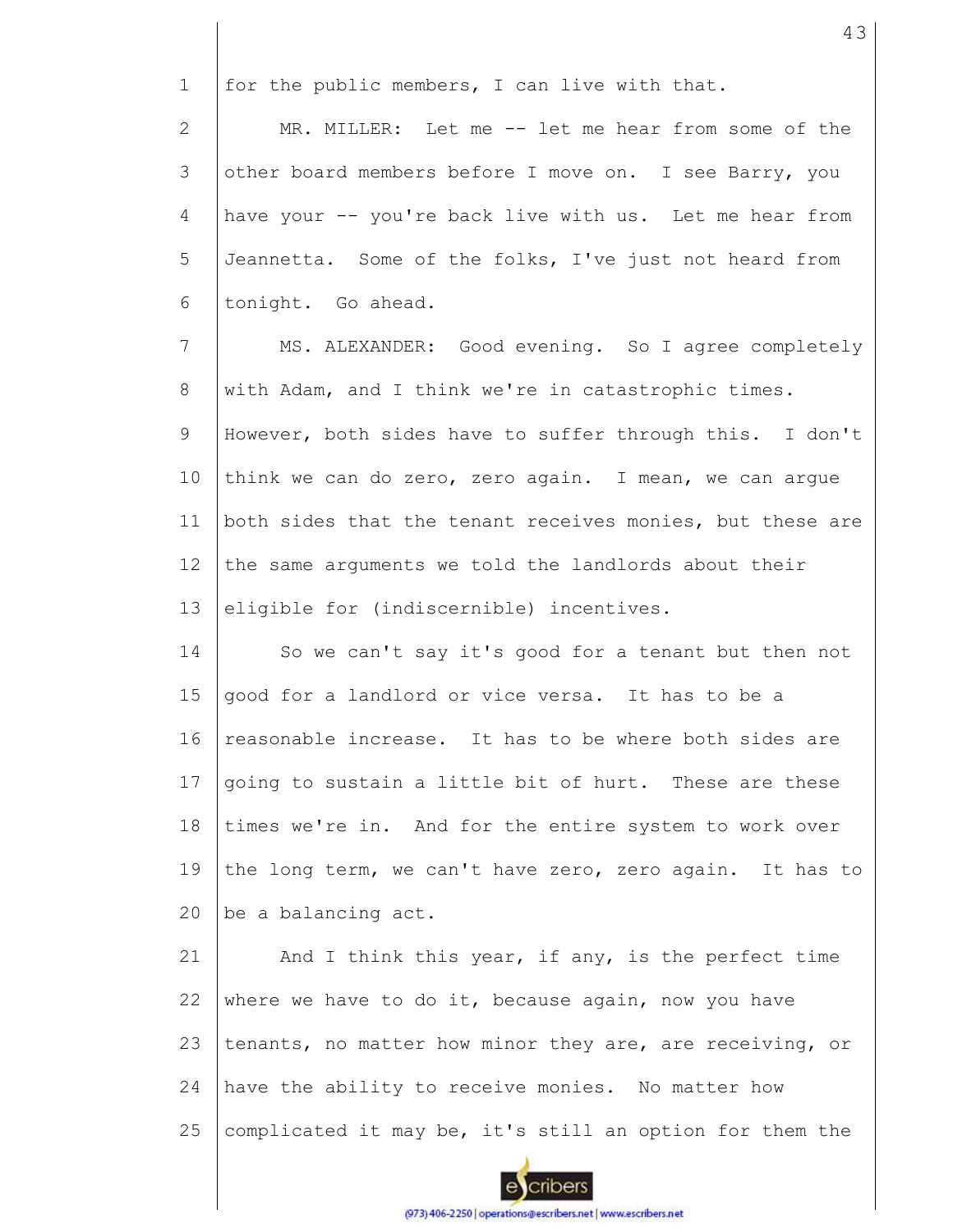1 for the public members, I can live with that.

2 3 4 5 6 MR. MILLER: Let me -- let me hear from some of the other board members before I move on. I see Barry, you have your -- you're back live with us. Let me hear from Jeannetta. Some of the folks, I've just not heard from tonight. Go ahead.

7 8 9 10 11 12 13 MS. ALEXANDER: Good evening. So I agree completely with Adam, and I think we're in catastrophic times. However, both sides have to suffer through this. I don't think we can do zero, zero again. I mean, we can argue both sides that the tenant receives monies, but these are the same arguments we told the landlords about their eligible for (indiscernible) incentives.

14 15 16 17 18 19  $20$ So we can't say it's good for a tenant but then not good for a landlord or vice versa. It has to be a reasonable increase. It has to be where both sides are going to sustain a little bit of hurt. These are these times we're in. And for the entire system to work over the long term, we can't have zero, zero again. It has to be a balancing act.

21 22 23 24 25 And I think this year, if any, is the perfect time where we have to do it, because again, now you have tenants, no matter how minor they are, are receiving, or have the ability to receive monies. No matter how complicated it may be, it's still an option for them the

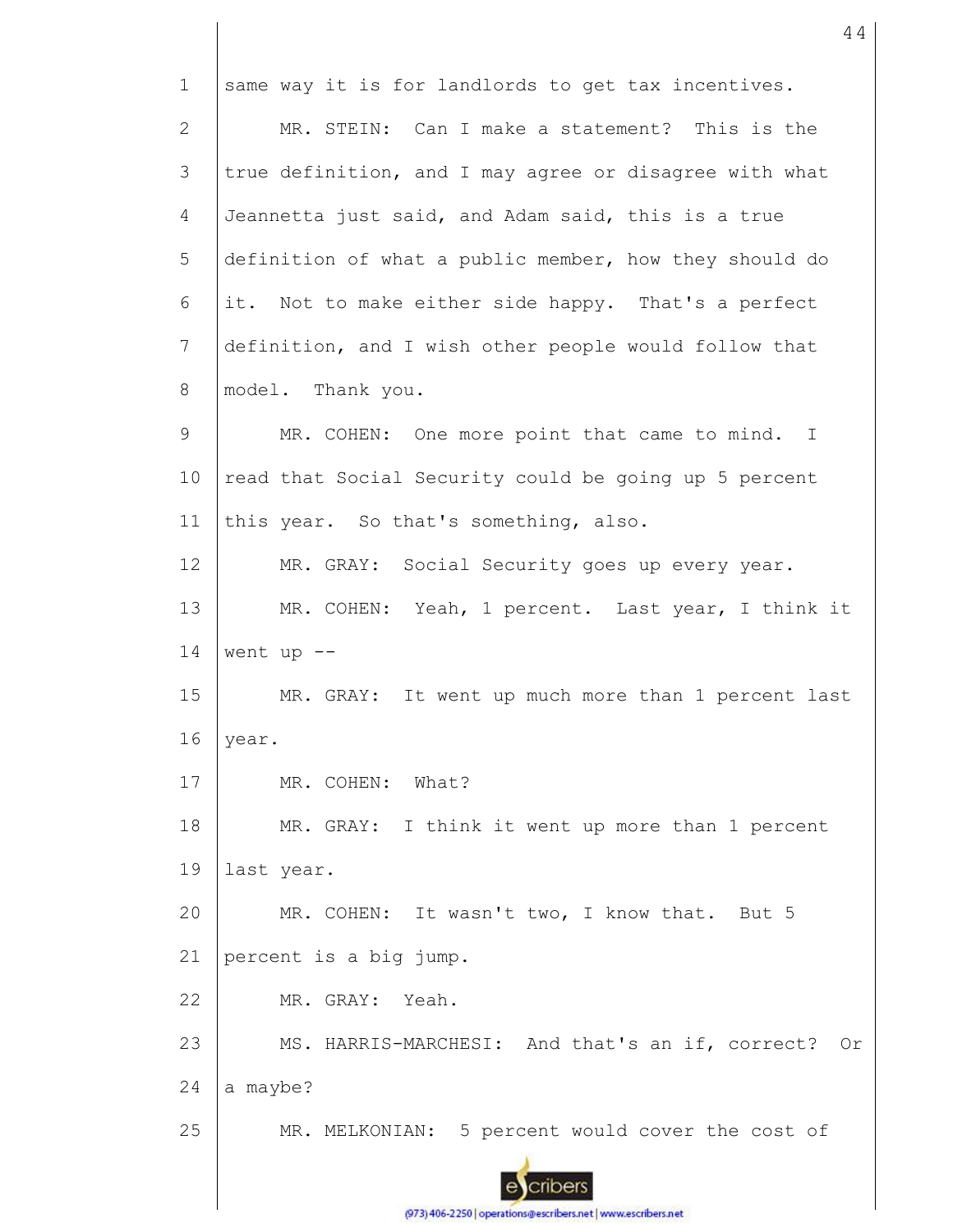1 same way it is for landlords to get tax incentives. MR. STEIN: Can I make a statement? This is the 2 3 true definition, and I may agree or disagree with what 4 Jeannetta just said, and Adam said, this is a true 5 definition of what a public member, how they should do it. Not to make either side happy. That's a perfect 6 7 definition, and I wish other people would follow that 8 model. Thank you. 9 MR. COHEN: One more point that came to mind. I 10 read that Social Security could be going up 5 percent 11 this year. So that's something, also. 12 MR. GRAY: Social Security goes up every year. 13 MR. COHEN: Yeah, 1 percent. Last year, I think it 14 went up  $--$ 15 MR. GRAY: It went up much more than 1 percent last 16 year. 17 MR. COHEN: What? 18 MR. GRAY: I think it went up more than 1 percent 19 last year. MR. COHEN: It wasn't two, I know that. But 5 20 21 percent is a big jump. 22 MR. GRAY: Yeah. 23 MS. HARRIS-MARCHESI: And that's an if, correct? Or 24 a maybe? 25 MR. MELKONIAN: 5 percent would cover the cost of cribers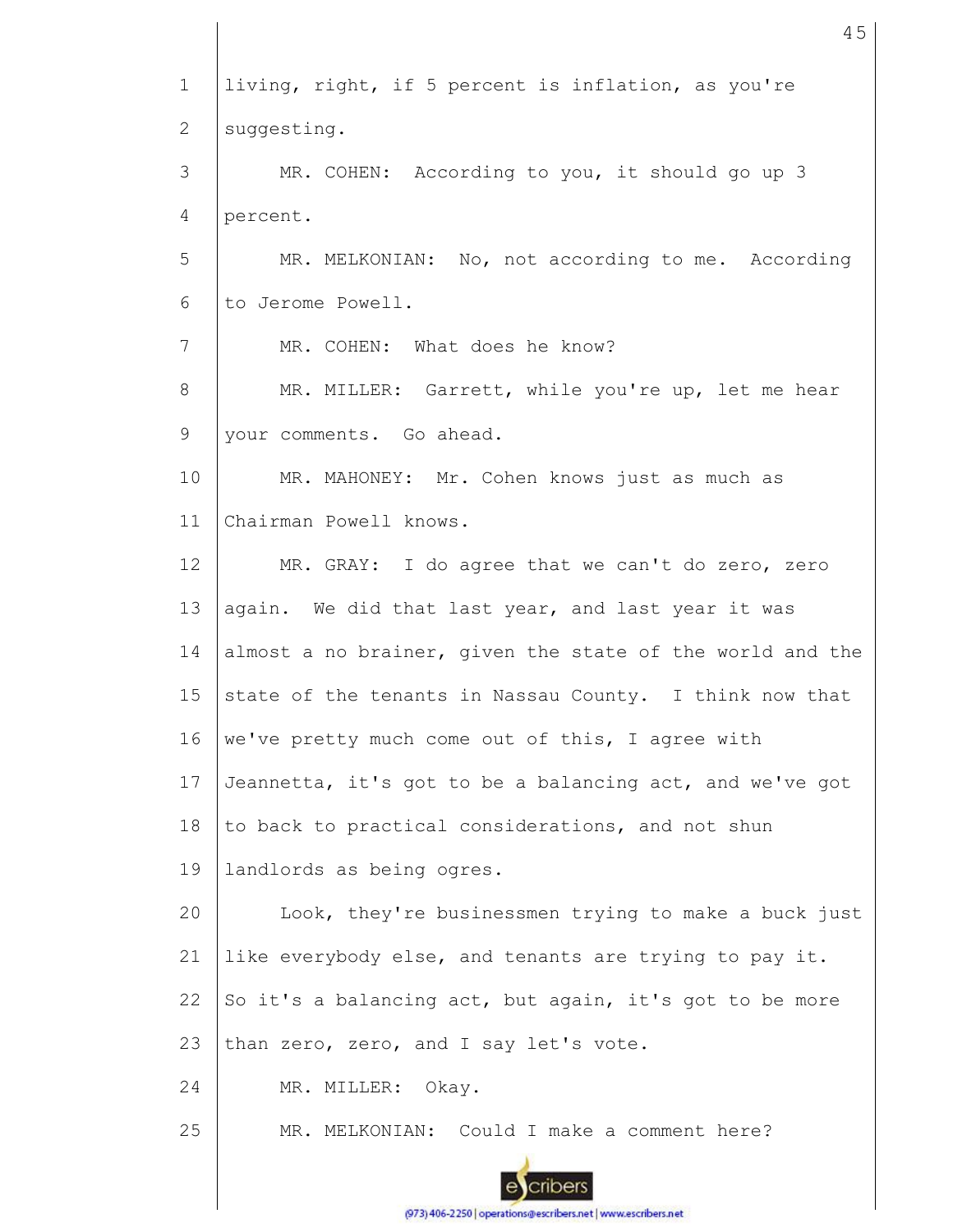1 2 3 4 5 6 7 8 9 10 11 12 13 14 15 16 17 18 19 20 21 22 23 24 25 living, right, if 5 percent is inflation, as you're suggesting. MR. COHEN: According to you, it should go up 3 percent. MR. MELKONIAN: No, not according to me. According to Jerome Powell. MR. COHEN: What does he know? MR. MILLER: Garrett, while you're up, let me hear your comments. Go ahead. MR. MAHONEY: Mr. Cohen knows just as much as Chairman Powell knows. MR. GRAY: I do agree that we can't do zero, zero again. We did that last year, and last year it was almost a no brainer, given the state of the world and the state of the tenants in Nassau County. I think now that we've pretty much come out of this, I agree with Jeannetta, it's got to be a balancing act, and we've got to back to practical considerations, and not shun landlords as being ogres. Look, they're businessmen trying to make a buck just like everybody else, and tenants are trying to pay it. So it's a balancing act, but again, it's got to be more than zero, zero, and I say let's vote. MR. MILLER: Okay. MR. MELKONIAN: Could I make a comment here?

45

(973) 406-2250 | operations@escribers.net | www.escribers.net

cribers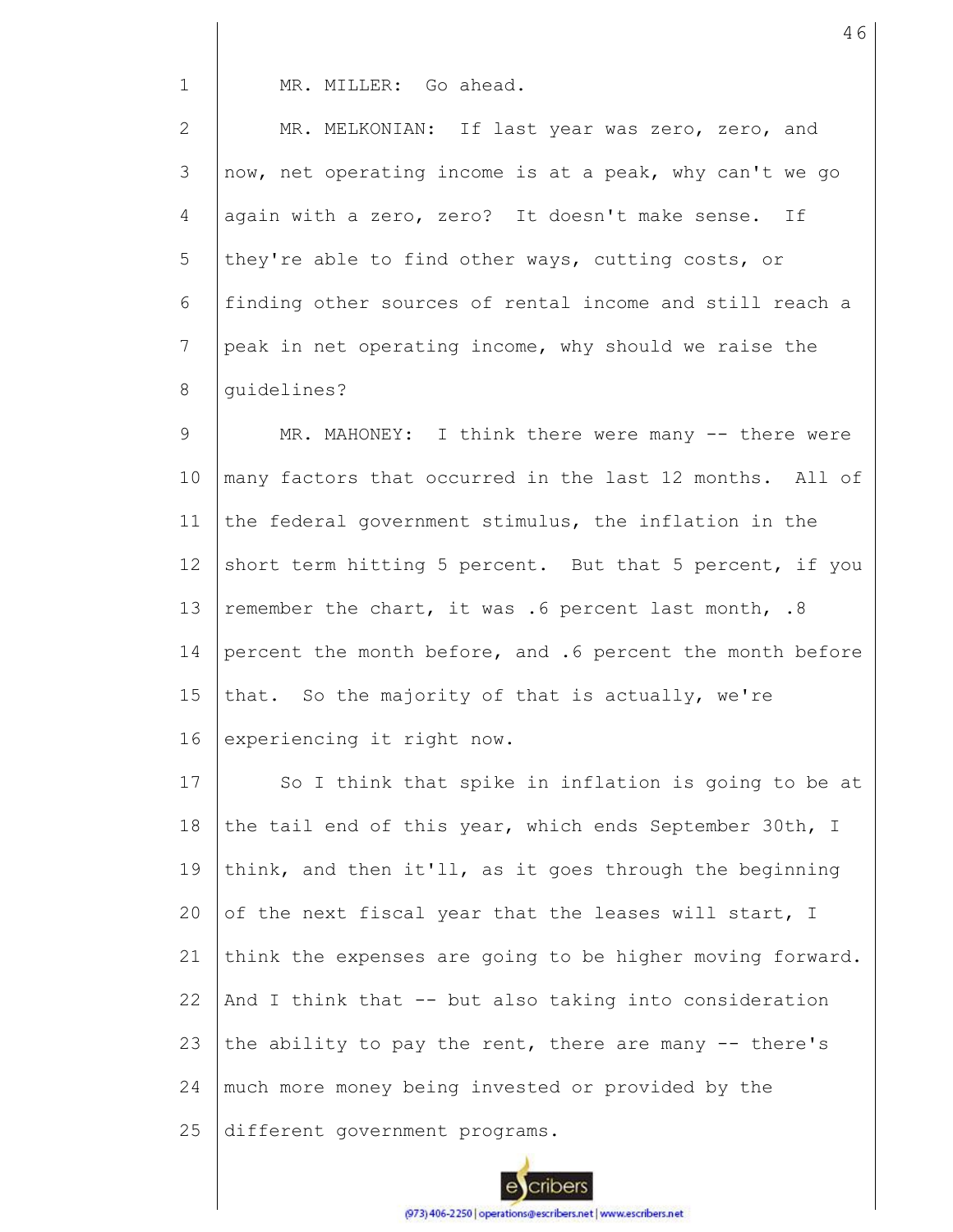MR. MILLER: Go ahead.

1

2 3 4 5 6 7 8 MR. MELKONIAN: If last year was zero, zero, and now, net operating income is at a peak, why can't we go again with a zero, zero? It doesn't make sense. If they're able to find other ways, cutting costs, or finding other sources of rental income and still reach a peak in net operating income, why should we raise the guidelines?

9 10 11 12 13 14 15 16 MR. MAHONEY: I think there were many -- there were many factors that occurred in the last 12 months. All of the federal government stimulus, the inflation in the short term hitting 5 percent. But that 5 percent, if you remember the chart, it was .6 percent last month, .8 percent the month before, and .6 percent the month before that. So the majority of that is actually, we're experiencing it right now.

17 18 19  $20$ 21 22 23 24 25 So I think that spike in inflation is going to be at the tail end of this year, which ends September 30th, I think, and then it'll, as it goes through the beginning of the next fiscal year that the leases will start, I think the expenses are going to be higher moving forward. And I think that -- but also taking into consideration the ability to pay the rent, there are many -- there's much more money being invested or provided by the different government programs.

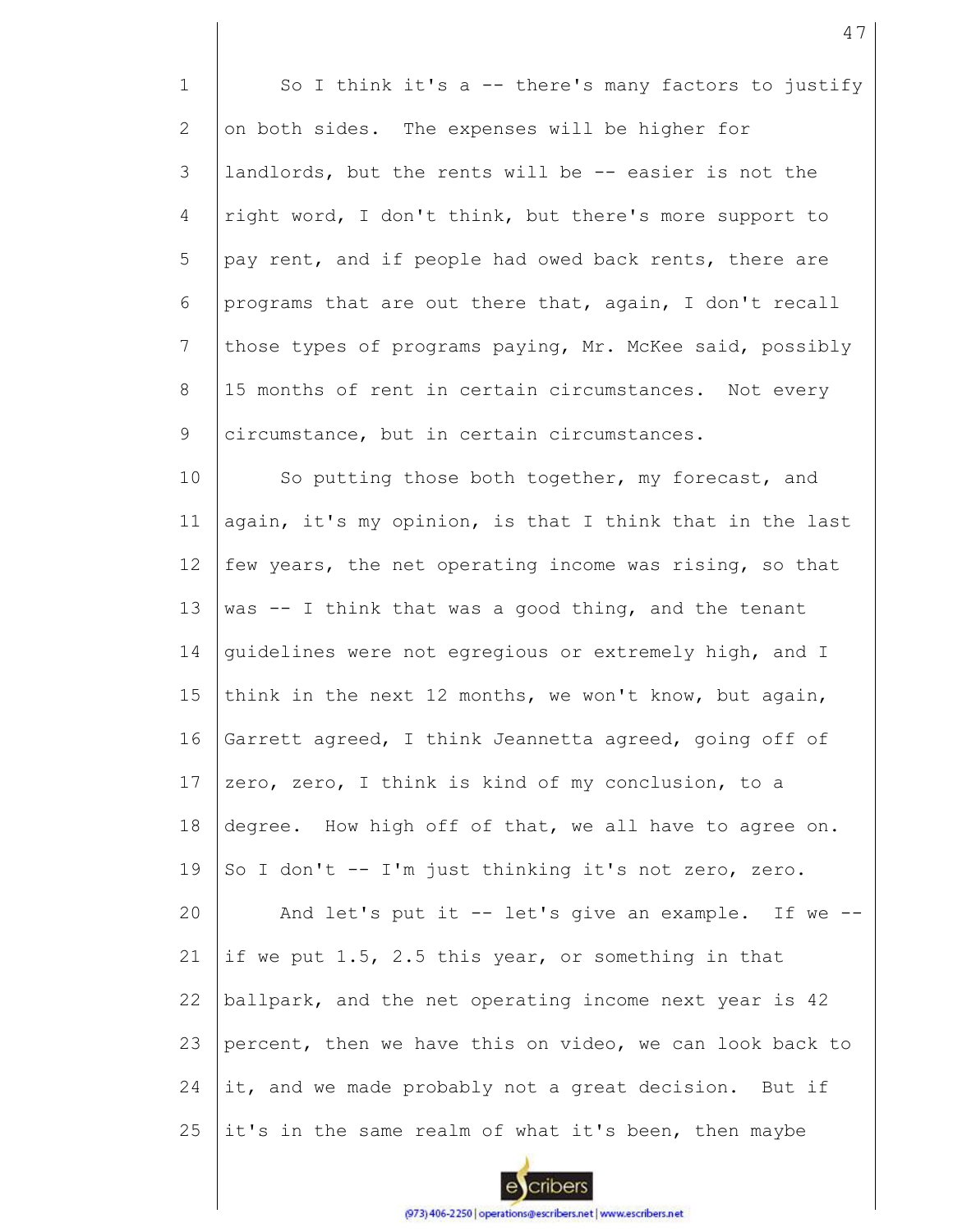1 2 3 4 5 6 7 8 9 10 11 12 13 14 15 16 17 18 19 20 21 22 23 24 25 So I think it's a -- there's many factors to justify on both sides. The expenses will be higher for landlords, but the rents will be -- easier is not the right word, I don't think, but there's more support to pay rent, and if people had owed back rents, there are programs that are out there that, again, I don't recall those types of programs paying, Mr. McKee said, possibly 15 months of rent in certain circumstances. Not every circumstance, but in certain circumstances. So putting those both together, my forecast, and again, it's my opinion, is that I think that in the last few years, the net operating income was rising, so that was -- I think that was a good thing, and the tenant guidelines were not egregious or extremely high, and I think in the next 12 months, we won't know, but again, Garrett agreed, I think Jeannetta agreed, going off of zero, zero, I think is kind of my conclusion, to a degree. How high off of that, we all have to agree on. So I don't -- I'm just thinking it's not zero, zero. And let's put it -- let's give an example. If we - if we put 1.5, 2.5 this year, or something in that ballpark, and the net operating income next year is 42 percent, then we have this on video, we can look back to it, and we made probably not a great decision. But if it's in the same realm of what it's been, then maybe

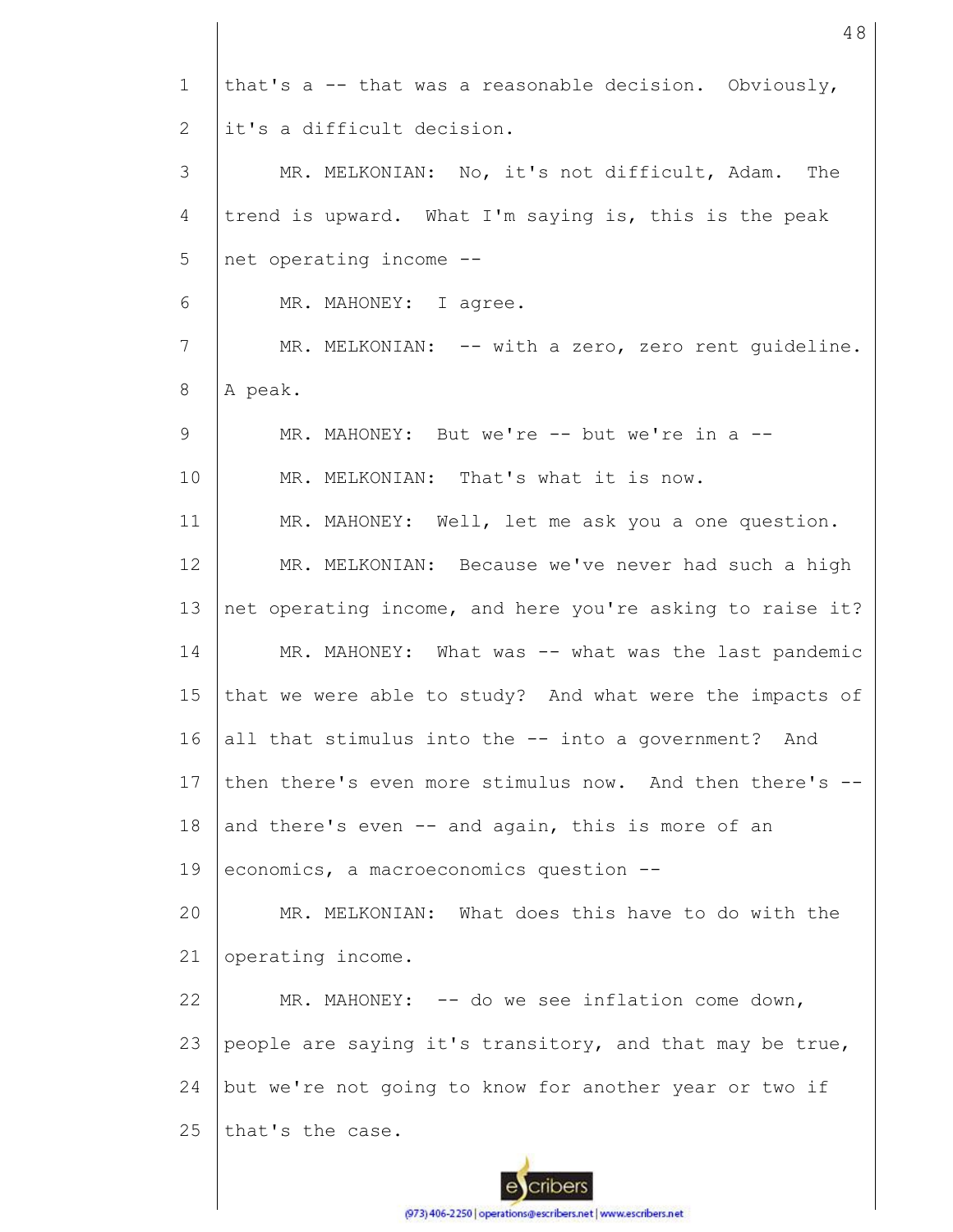| $\mathbf{1}$ | that's a -- that was a reasonable decision. Obviously,    |
|--------------|-----------------------------------------------------------|
| 2            | it's a difficult decision.                                |
| 3            | MR. MELKONIAN: No, it's not difficult, Adam. The          |
| 4            | trend is upward. What I'm saying is, this is the peak     |
| 5            | net operating income --                                   |
| 6            | MR. MAHONEY: I agree.                                     |
| 7            | MR. MELKONIAN: -- with a zero, zero rent quideline.       |
| 8            | A peak.                                                   |
| 9            | MR. MAHONEY: But we're -- but we're in a --               |
| 10           | MR. MELKONIAN: That's what it is now.                     |
| 11           | MR. MAHONEY: Well, let me ask you a one question.         |
| 12           | MR. MELKONIAN: Because we've never had such a high        |
| 13           | net operating income, and here you're asking to raise it? |
| 14           | MR. MAHONEY: What was -- what was the last pandemic       |
| 15           | that we were able to study? And what were the impacts of  |
| 16           | all that stimulus into the -- into a government? And      |
| 17           | then there's even more stimulus now. And then there's --  |
| 18           | and there's even -- and again, this is more of an         |
| 19           | economics, a macroeconomics question --                   |
| 20           | MR. MELKONIAN: What does this have to do with the         |
| 21           | operating income.                                         |
| 22           | MR. MAHONEY: -- do we see inflation come down,            |
| 23           | people are saying it's transitory, and that may be true,  |
| 24           | but we're not going to know for another year or two if    |
| 25           | that's the case.                                          |
|              |                                                           |

48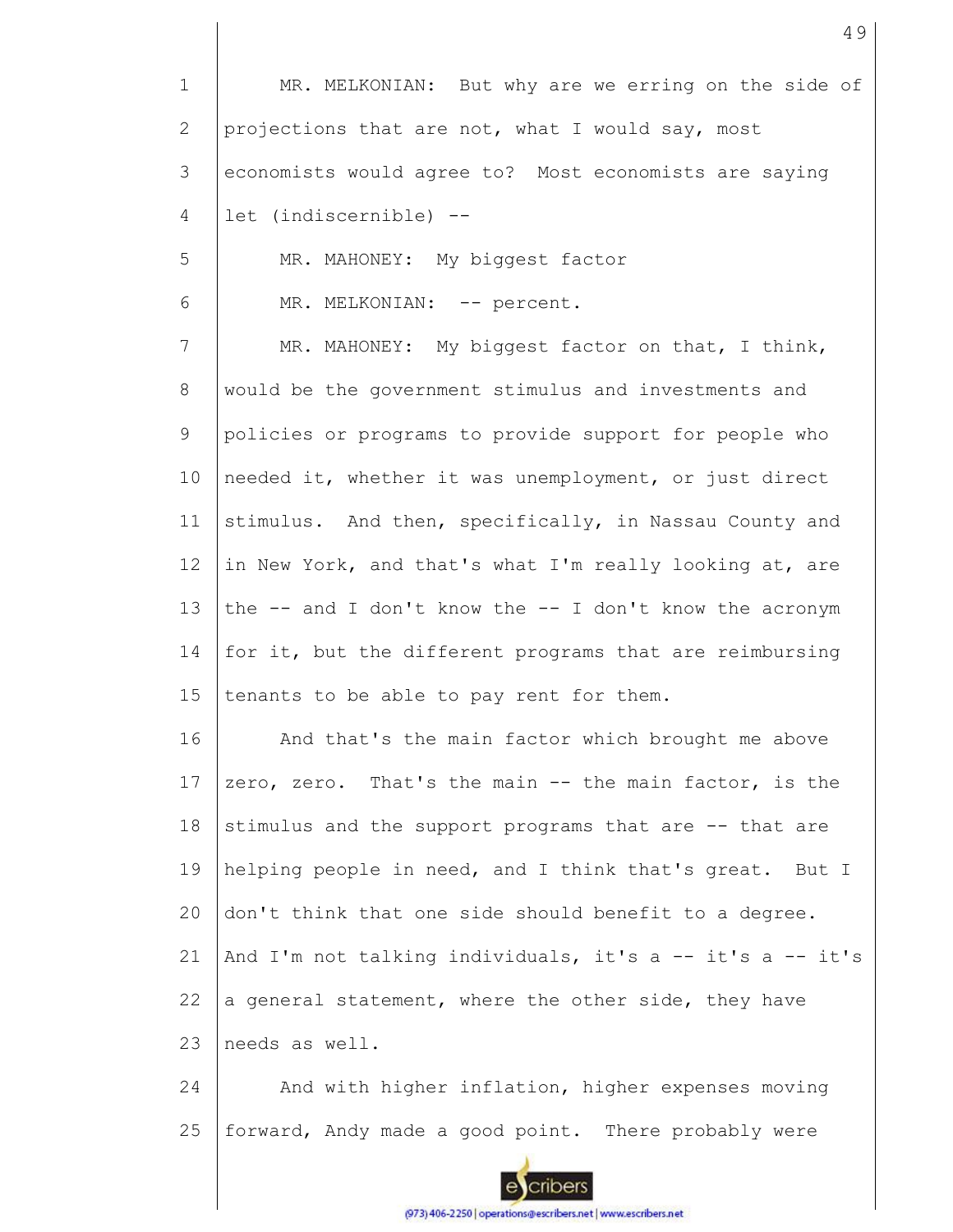1 2 3 4 5 6 7 8 9 10 11 12 13 14 15 16 17 18 19 20 21 22 23 24 25 MR. MELKONIAN: But why are we erring on the side of projections that are not, what I would say, most economists would agree to? Most economists are saying let (indiscernible) -- MR. MAHONEY: My biggest factor MR. MELKONIAN: -- percent. MR. MAHONEY: My biggest factor on that, I think, would be the government stimulus and investments and policies or programs to provide support for people who needed it, whether it was unemployment, or just direct stimulus. And then, specifically, in Nassau County and in New York, and that's what I'm really looking at, are the  $-$  and I don't know the  $-$ - I don't know the acronym for it, but the different programs that are reimbursing tenants to be able to pay rent for them. And that's the main factor which brought me above zero, zero. That's the main -- the main factor, is the stimulus and the support programs that are -- that are helping people in need, and I think that's great. But I don't think that one side should benefit to a degree. And I'm not talking individuals, it's a -- it's a -- it's a general statement, where the other side, they have needs as well. And with higher inflation, higher expenses moving forward, Andy made a good point. There probably were

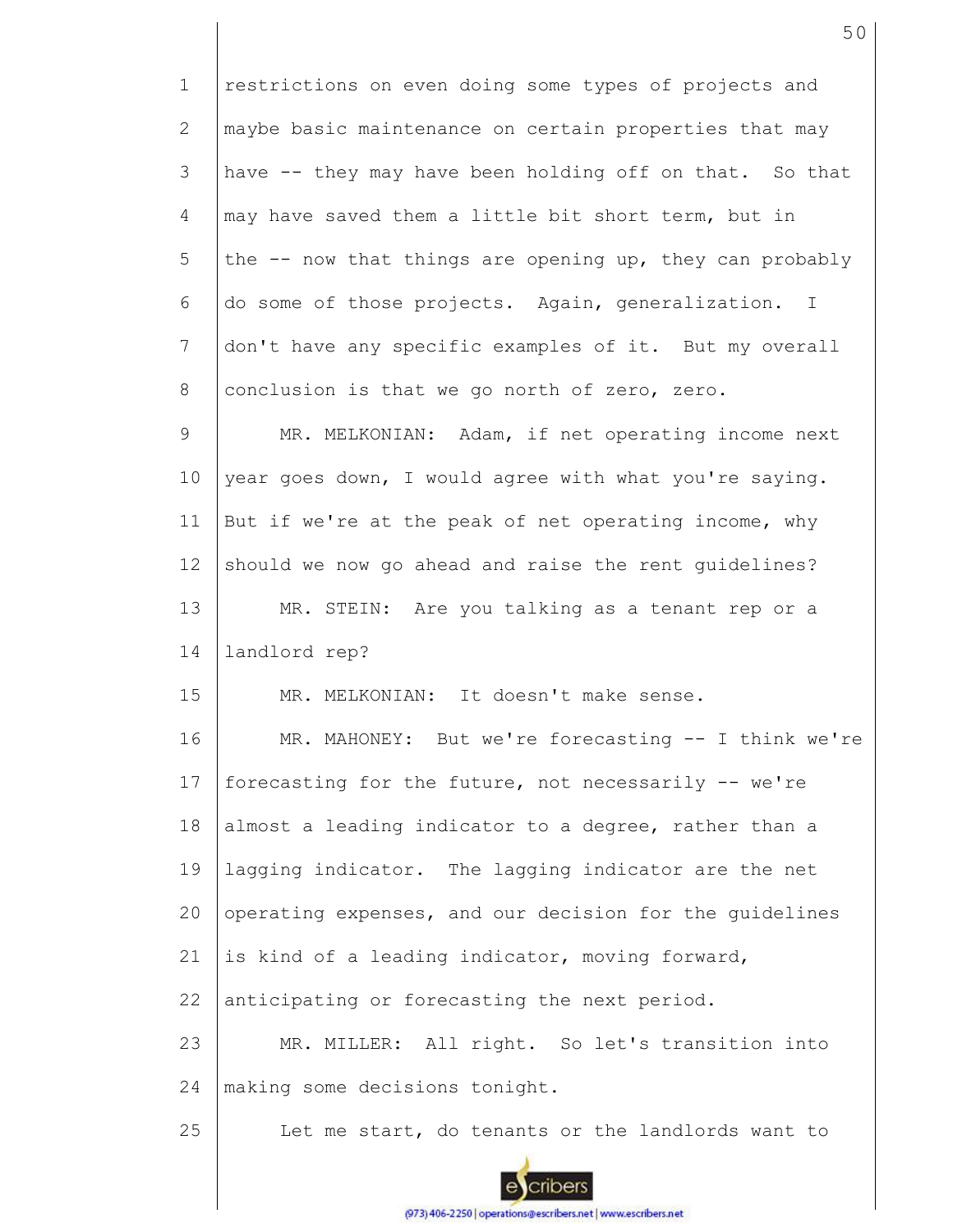1 2 3 4 5 6 7 8 9 10 11 12 13 14 15 16 17 18 19 20 21 22 23 24 25 restrictions on even doing some types of projects and maybe basic maintenance on certain properties that may have -- they may have been holding off on that. So that may have saved them a little bit short term, but in the -- now that things are opening up, they can probably do some of those projects. Again, generalization. I don't have any specific examples of it. But my overall conclusion is that we go north of zero, zero. MR. MELKONIAN: Adam, if net operating income next year goes down, I would agree with what you're saying. But if we're at the peak of net operating income, why should we now go ahead and raise the rent guidelines? MR. STEIN: Are you talking as a tenant rep or a landlord rep? MR. MELKONIAN: It doesn't make sense. MR. MAHONEY: But we're forecasting -- I think we're forecasting for the future, not necessarily -- we're almost a leading indicator to a degree, rather than a lagging indicator. The lagging indicator are the net operating expenses, and our decision for the guidelines is kind of a leading indicator, moving forward, anticipating or forecasting the next period. MR. MILLER: All right. So let's transition into making some decisions tonight. Let me start, do tenants or the landlords want to



(973) 406-2250 | operations@escribers.net | www.escribers.net

cribers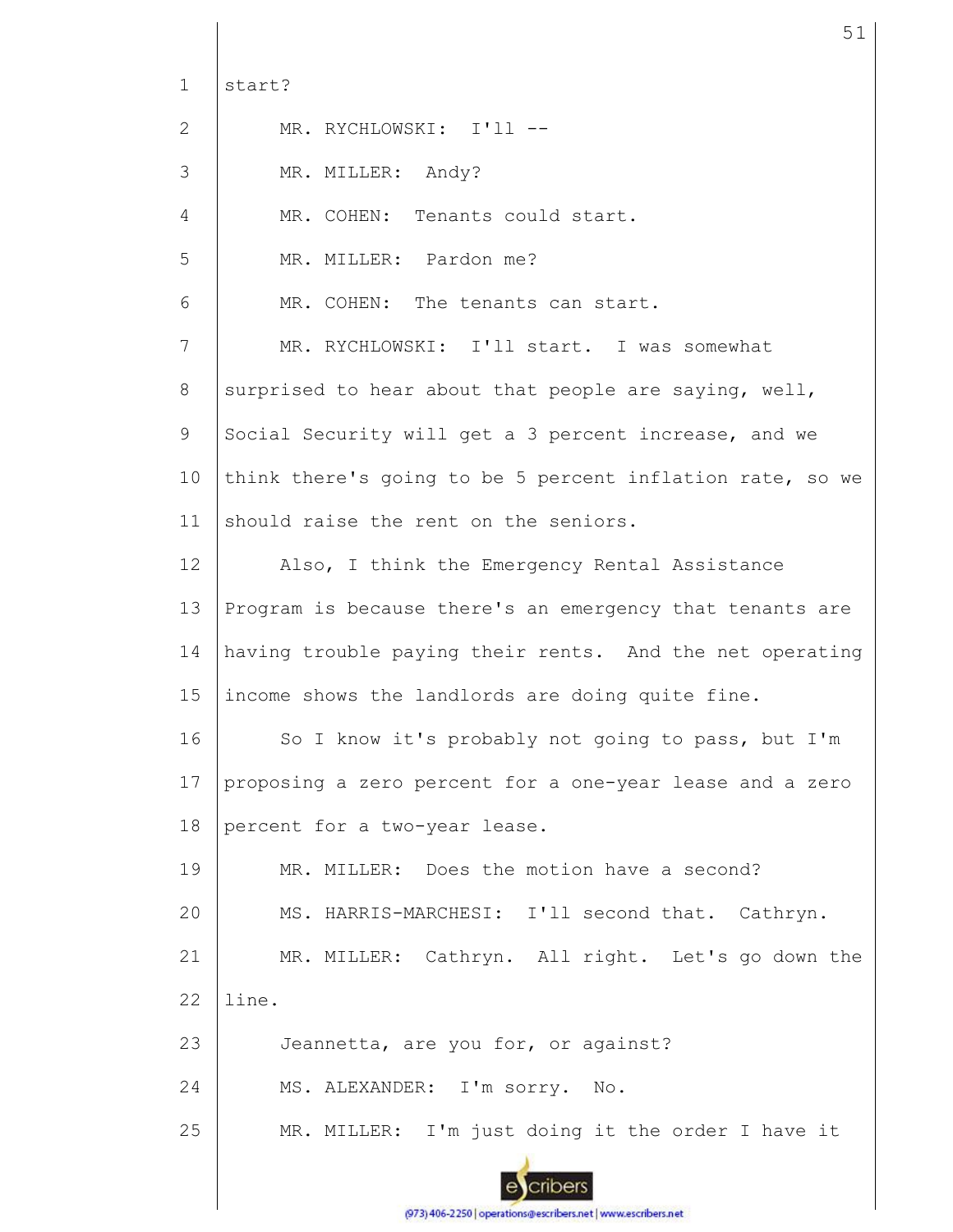| $\mathbf{1}$ | start?                                                    |
|--------------|-----------------------------------------------------------|
| 2            | MR. RYCHLOWSKI: I'll --                                   |
| 3            | MR. MILLER: Andy?                                         |
| 4            | MR. COHEN: Tenants could start.                           |
| 5            | MR. MILLER: Pardon me?                                    |
| 6            | MR. COHEN: The tenants can start.                         |
| 7            | MR. RYCHLOWSKI: I'll start. I was somewhat                |
| 8            | surprised to hear about that people are saying, well,     |
| 9            | Social Security will get a 3 percent increase, and we     |
| 10           | think there's going to be 5 percent inflation rate, so we |
| 11           | should raise the rent on the seniors.                     |
| 12           | Also, I think the Emergency Rental Assistance             |
| 13           | Program is because there's an emergency that tenants are  |
| 14           | having trouble paying their rents. And the net operating  |
| 15           | income shows the landlords are doing quite fine.          |
| 16           | So I know it's probably not going to pass, but I'm        |
| 17           | proposing a zero percent for a one-year lease and a zero  |
| 18           | percent for a two-year lease.                             |
| 19           | MR. MILLER: Does the motion have a second?                |
| 20           | MS. HARRIS-MARCHESI: I'll second that. Cathryn.           |
| 21           | MR. MILLER: Cathryn. All right. Let's go down the         |
| 22           | line.                                                     |
| 23           | Jeannetta, are you for, or against?                       |
| 24           | MS. ALEXANDER: I'm sorry. No.                             |
| 25           | MR. MILLER: I'm just doing it the order I have it         |
|              |                                                           |

51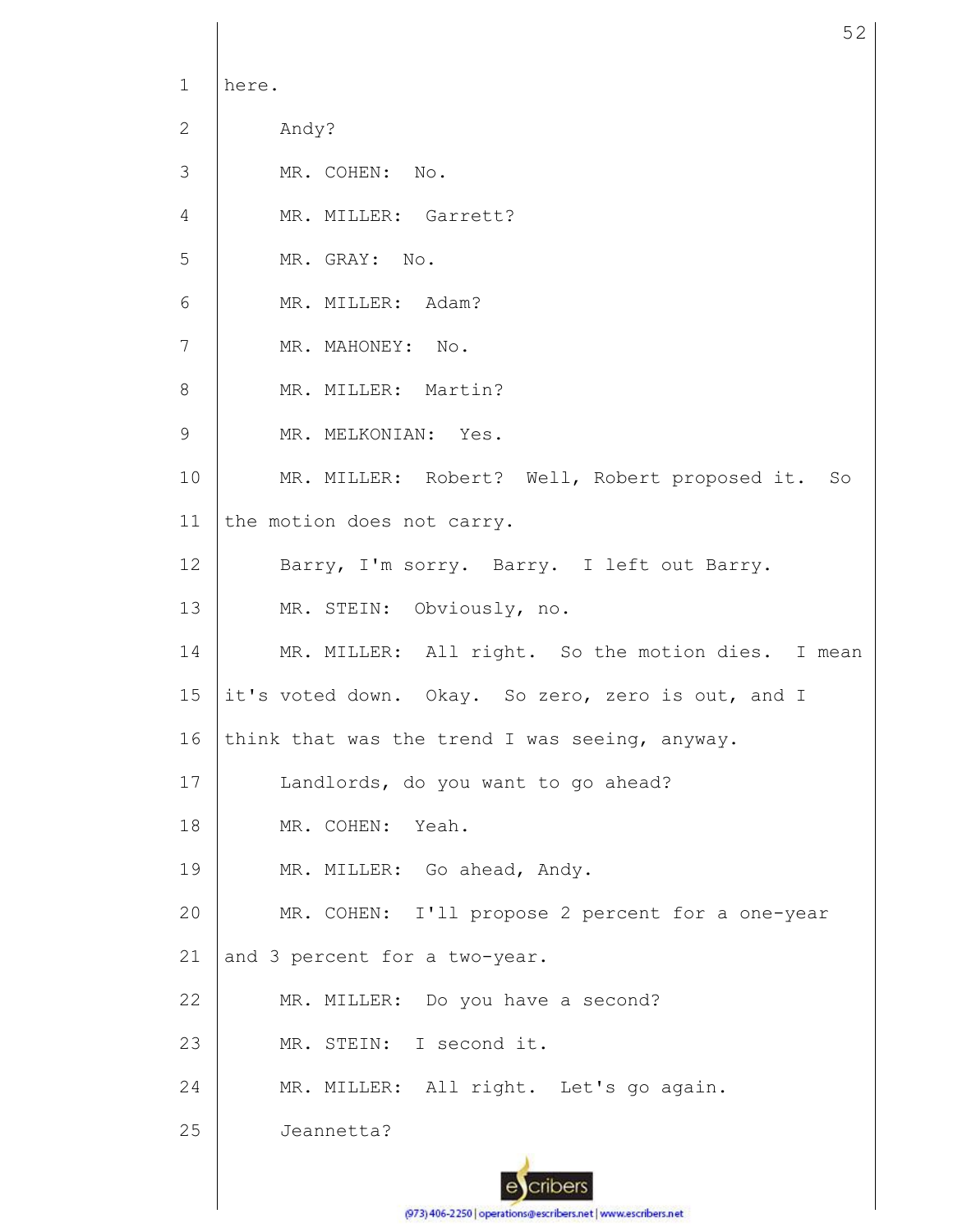1 2 3 4 5 6 7 8 9 10 11 12 13 14 15 16 17 18 19 20 21 22 23 24 25 here. Andy? MR. COHEN: No. MR. MILLER: Garrett? MR. GRAY: No. MR. MILLER: Adam? MR. MAHONEY: No. MR. MILLER: Martin? MR. MELKONIAN: Yes. MR. MILLER: Robert? Well, Robert proposed it. So the motion does not carry. Barry, I'm sorry. Barry. I left out Barry. MR. STEIN: Obviously, no. MR. MILLER: All right. So the motion dies. I mean it's voted down. Okay. So zero, zero is out, and I think that was the trend I was seeing, anyway. Landlords, do you want to go ahead? MR. COHEN: Yeah. MR. MILLER: Go ahead, Andy. MR. COHEN: I'll propose 2 percent for a one-year and 3 percent for a two-year. MR. MILLER: Do you have a second? MR. STEIN: I second it. MR. MILLER: All right. Let's go again. Jeannetta?

52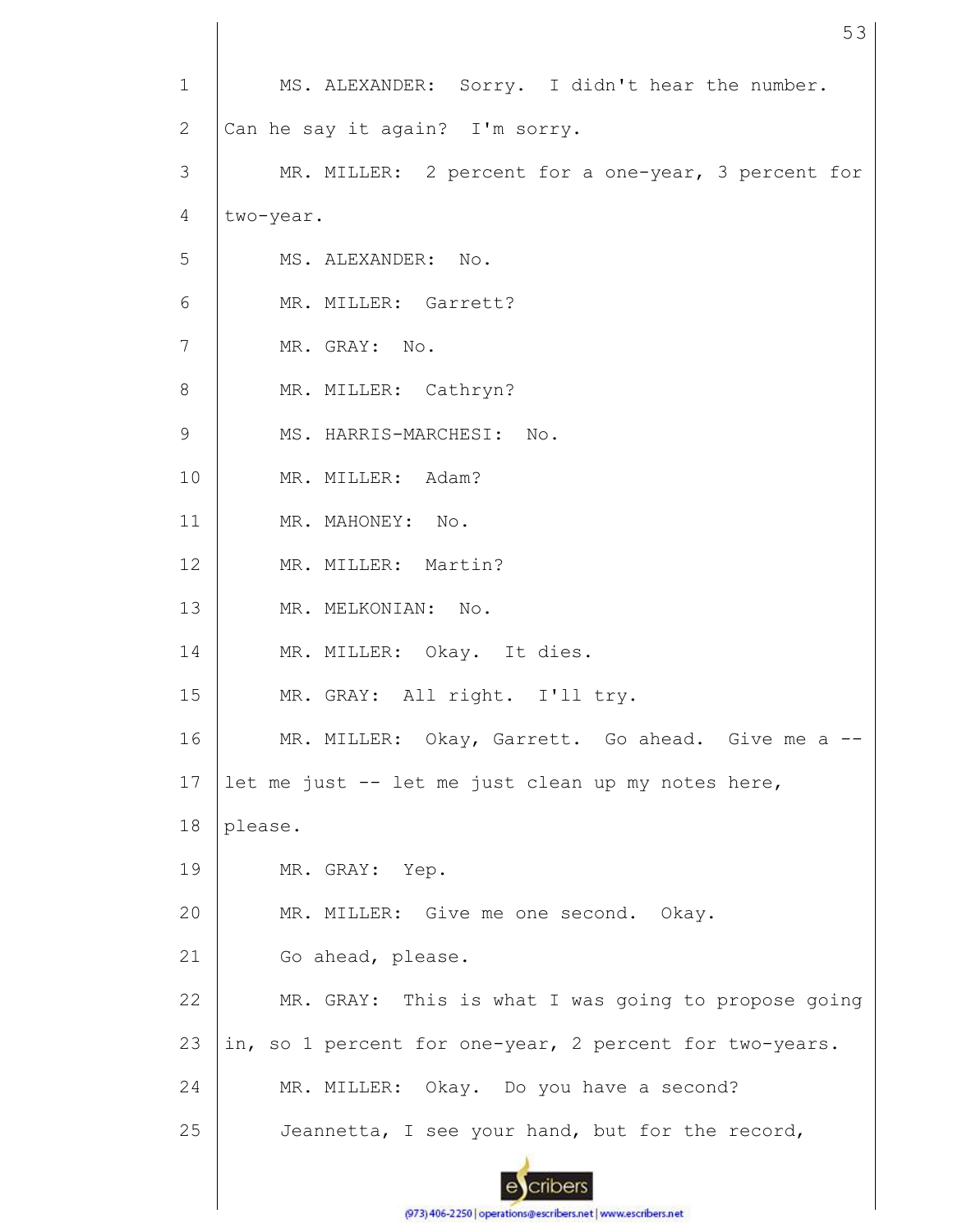| $\mathbf{1}$ | MS. ALEXANDER: Sorry. I didn't hear the number.         |
|--------------|---------------------------------------------------------|
| $\mathbf{2}$ | Can he say it again? I'm sorry.                         |
| 3            | MR. MILLER: 2 percent for a one-year, 3 percent for     |
| 4            | two-year.                                               |
| 5            | MS. ALEXANDER: No.                                      |
| 6            | MR. MILLER: Garrett?                                    |
| 7            | MR. GRAY: No.                                           |
| 8            | MR. MILLER: Cathryn?                                    |
| 9            | MS. HARRIS-MARCHESI: No.                                |
| 10           | MR. MILLER: Adam?                                       |
| 11           | MR. MAHONEY: No.                                        |
| 12           | MR. MILLER: Martin?                                     |
| 13           | MR. MELKONIAN: No.                                      |
| 14           | MR. MILLER: Okay. It dies.                              |
| 15           | MR. GRAY: All right. I'll try.                          |
| 16           | MR. MILLER: Okay, Garrett. Go ahead. Give me a --       |
| 17           | let me just -- let me just clean up my notes here,      |
| 18           | please.                                                 |
| 19           | MR. GRAY: Yep.                                          |
| 20           | MR. MILLER: Give me one second. Okay.                   |
| 21           | Go ahead, please.                                       |
| 22           | MR. GRAY: This is what I was going to propose going     |
| 23           | in, so 1 percent for one-year, 2 percent for two-years. |
| 24           | MR. MILLER: Okay. Do you have a second?                 |
| 25           | Jeannetta, I see your hand, but for the record,         |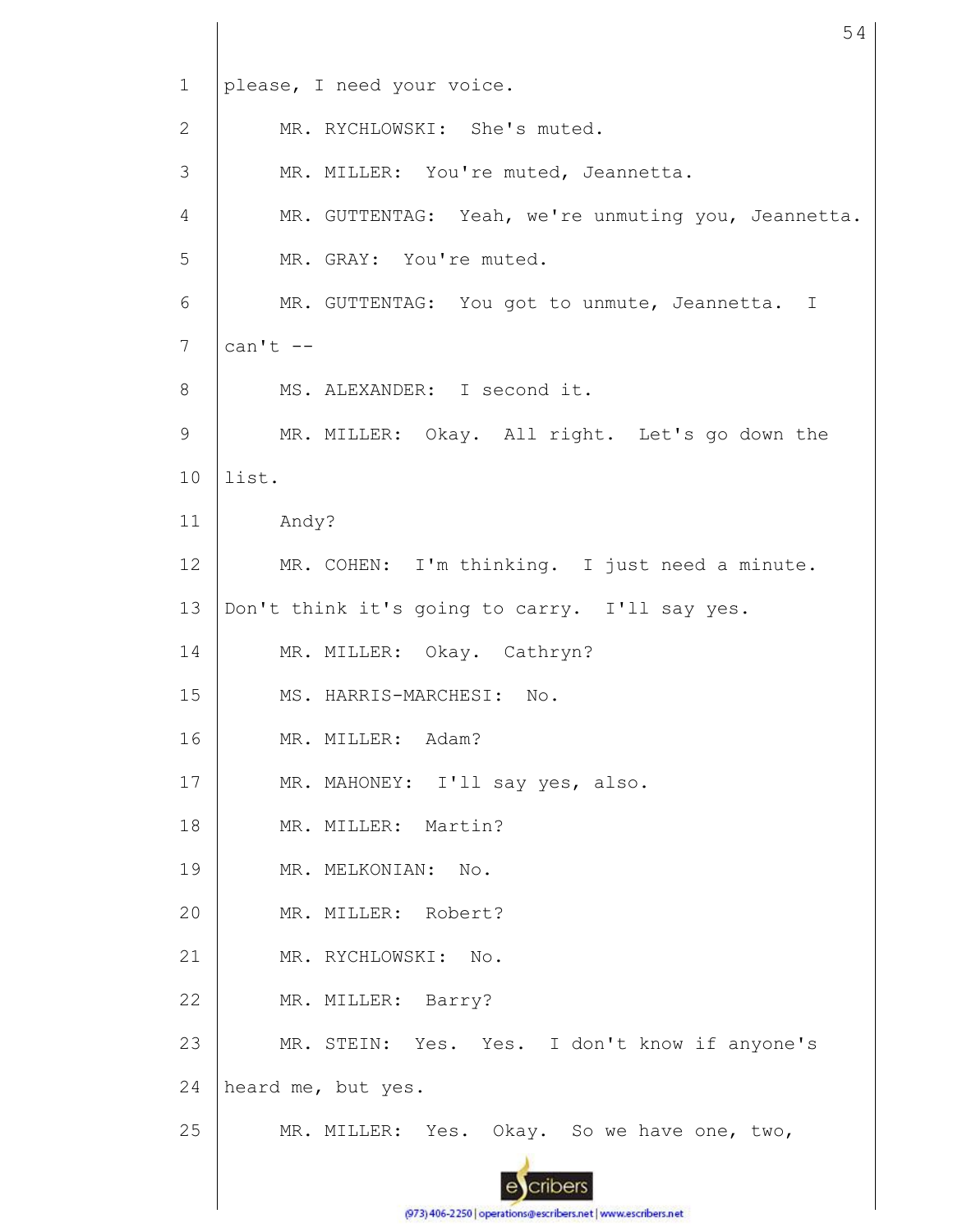1 please, I need your voice. MR. RYCHLOWSKI: She's muted. 2 3 MR. MILLER: You're muted, Jeannetta. MR. GUTTENTAG: Yeah, we're unmuting you, Jeannetta. 4 5 MR. GRAY: You're muted. 6 MR. GUTTENTAG: You got to unmute, Jeannetta. I  $can't --$ 7 MS. ALEXANDER: I second it. 8 MR. MILLER: Okay. All right. Let's go down the 9 10 list. 11 Andy? 12 MR. COHEN: I'm thinking. I just need a minute. 13 Don't think it's going to carry. I'll say yes. 14 MR. MILLER: Okay. Cathryn? 15 MS. HARRIS-MARCHESI: No. 16 MR. MILLER: Adam? 17 MR. MAHONEY: I'll say yes, also. 18 MR. MILLER: Martin? 19 MR. MELKONIAN: No. 20 MR. MILLER: Robert? 21 MR. RYCHLOWSKI: No. 22 MR. MILLER: Barry? 23 MR. STEIN: Yes. Yes. I don't know if anyone's 24 heard me, but yes. MR. MILLER: Yes. Okay. So we have one, two, 25 cribers

54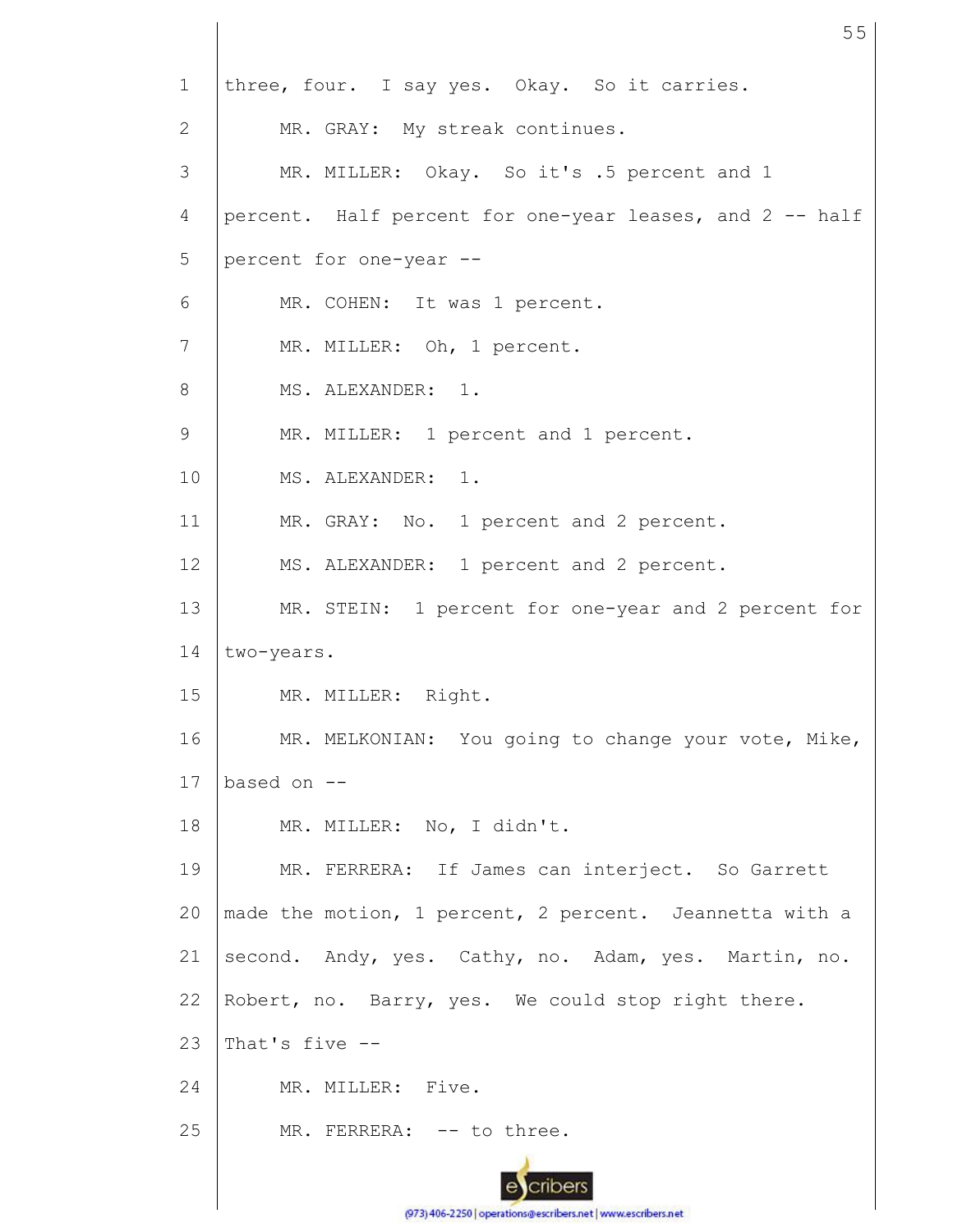1 2 3 4 5 6 7 8 9 10 11 12 13 14 15 16 17 18 19 20 21 22 23 24 25 three, four. I say yes. Okay. So it carries. MR. GRAY: My streak continues. MR. MILLER: Okay. So it's .5 percent and 1 percent. Half percent for one-year leases, and 2 -- half percent for one-year -- MR. COHEN: It was 1 percent. MR. MILLER: Oh, 1 percent. MS. ALEXANDER: 1. MR. MILLER: 1 percent and 1 percent. MS. ALEXANDER: 1. MR. GRAY: No. 1 percent and 2 percent. MS. ALEXANDER: 1 percent and 2 percent. MR. STEIN: 1 percent for one-year and 2 percent for two-years. MR. MILLER: Right. MR. MELKONIAN: You going to change your vote, Mike, based on -- MR. MILLER: No, I didn't. MR. FERRERA: If James can interject. So Garrett made the motion, 1 percent, 2 percent. Jeannetta with a second. Andy, yes. Cathy, no. Adam, yes. Martin, no. Robert, no. Barry, yes. We could stop right there. That's five -- MR. MILLER: Five. MR. FERRERA: -- to three.

55

(973) 406-2250 | operations@escribers.net | www.escribers.net

cribers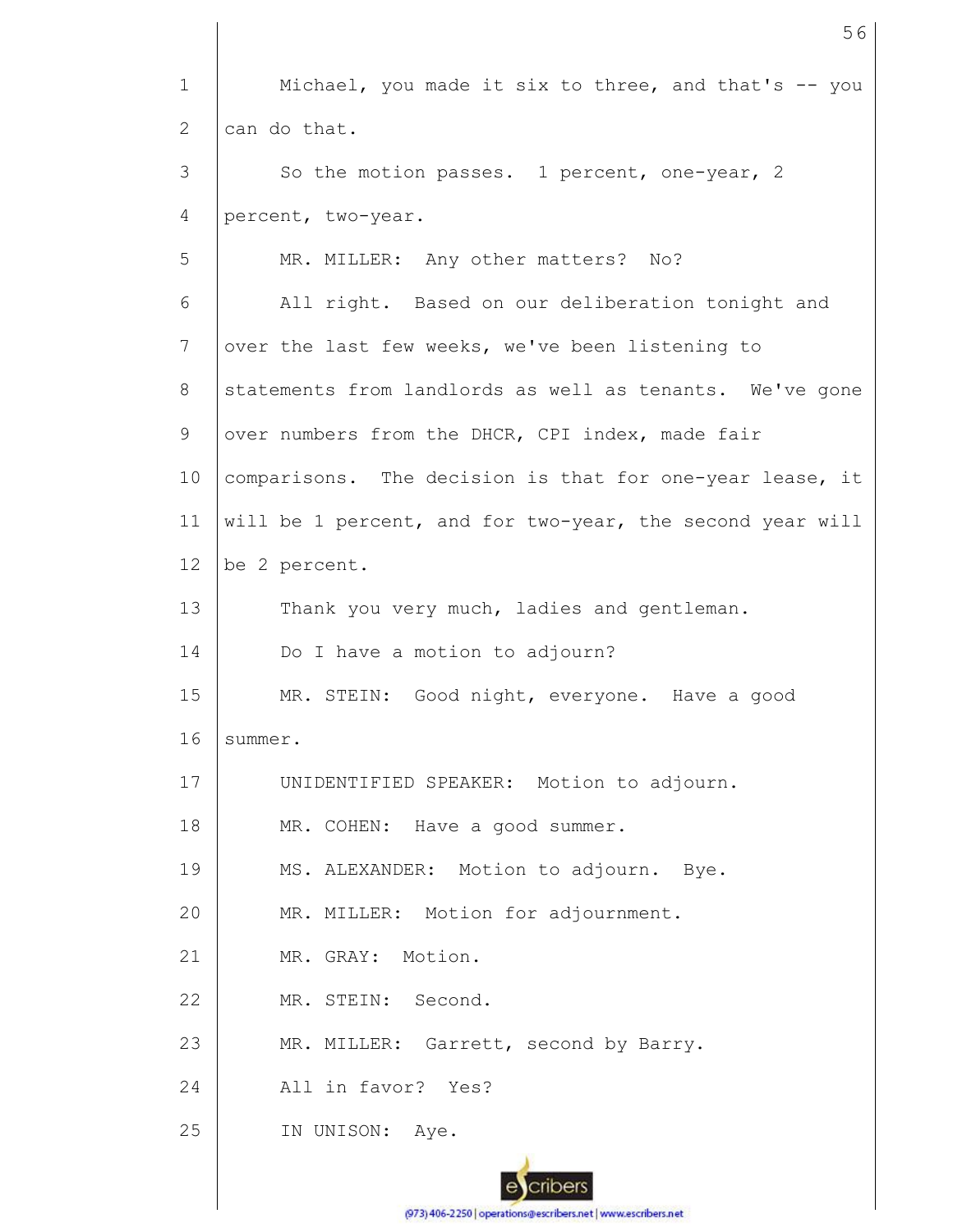1 2 3 4 5 6 7 8 9 10 11 12 13 14 15 16 17 18 19 20 21 22 23 24 25 Michael, you made it six to three, and that's  $-$ - you can do that. So the motion passes. 1 percent, one-year, 2 percent, two-year. MR. MILLER: Any other matters? No? All right. Based on our deliberation tonight and over the last few weeks, we've been listening to statements from landlords as well as tenants. We've gone over numbers from the DHCR, CPI index, made fair comparisons. The decision is that for one-year lease, it will be 1 percent, and for two-year, the second year will be 2 percent. Thank you very much, ladies and gentleman. Do I have a motion to adjourn? MR. STEIN: Good night, everyone. Have a good summer. UNIDENTIFIED SPEAKER: Motion to adjourn. MR. COHEN: Have a good summer. MS. ALEXANDER: Motion to adjourn. Bye. MR. MILLER: Motion for adjournment. MR. GRAY: Motion. MR. STEIN: Second. MR. MILLER: Garrett, second by Barry. All in favor? Yes? IN UNISON: Aye.

56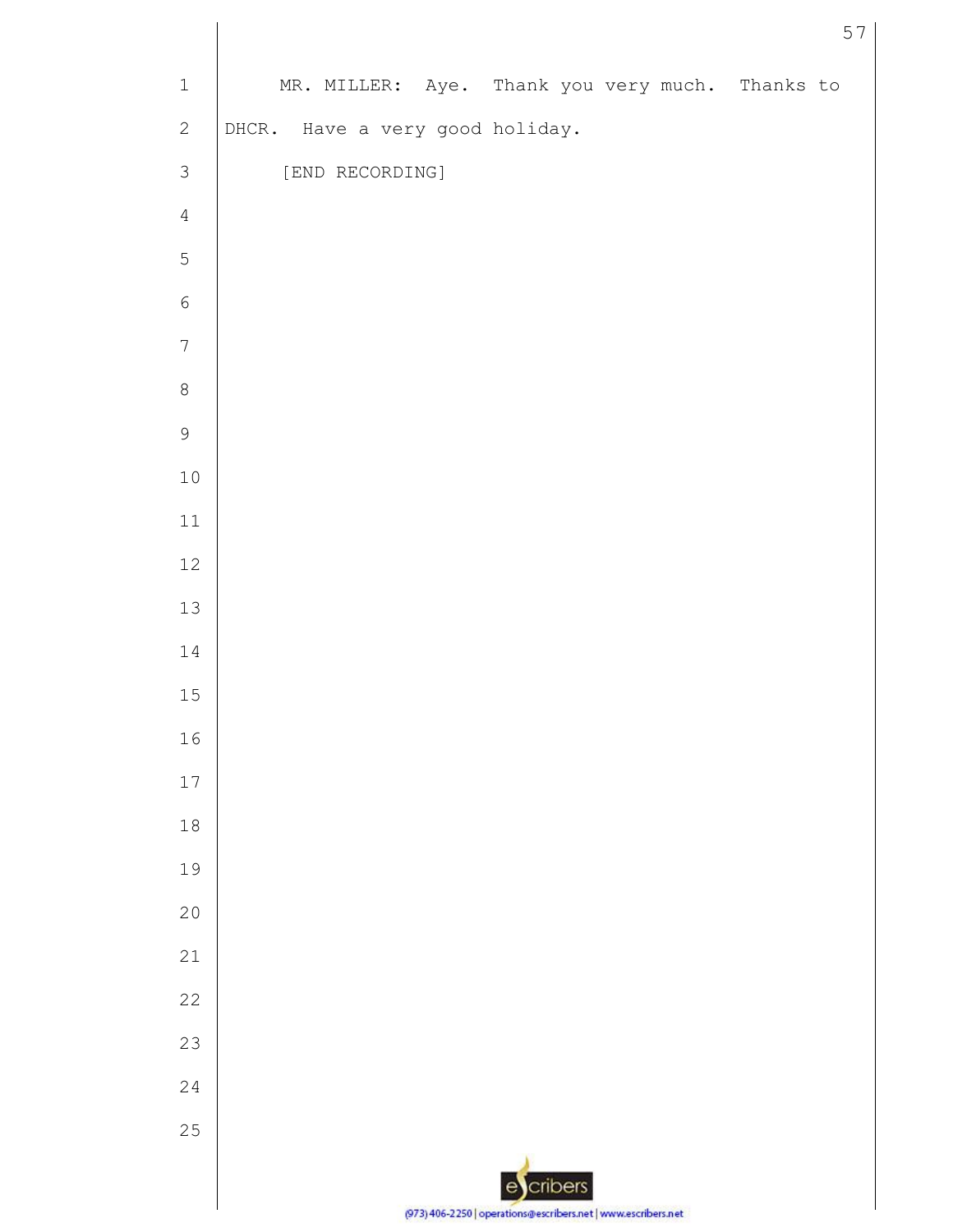| $\mathbf 1$      | MR. MILLER: Aye. Thank you very much. Thanks to               |
|------------------|---------------------------------------------------------------|
| $\mathbf{2}$     | DHCR. Have a very good holiday.                               |
| $\mathsf 3$      | [END RECORDING]                                               |
| $\sqrt{4}$       |                                                               |
| $\overline{5}$   |                                                               |
| $\sqrt{6}$       |                                                               |
| $\boldsymbol{7}$ |                                                               |
| $\,8\,$          |                                                               |
| $\mathsf 9$      |                                                               |
| $10$             |                                                               |
| $11\,$           |                                                               |
| $12$             |                                                               |
| $13\,$           |                                                               |
| 14               |                                                               |
| $1\,5$           |                                                               |
| $16$             |                                                               |
| 17               |                                                               |
| $1\,8$           |                                                               |
| 19               |                                                               |
| 20               |                                                               |
| 21               |                                                               |
| 22               |                                                               |
| 23               |                                                               |
| $2\sqrt{4}$      |                                                               |
| 25               |                                                               |
|                  | cribers<br>e                                                  |
|                  | (973) 406-2250   operations@escribers.net   www.escribers.net |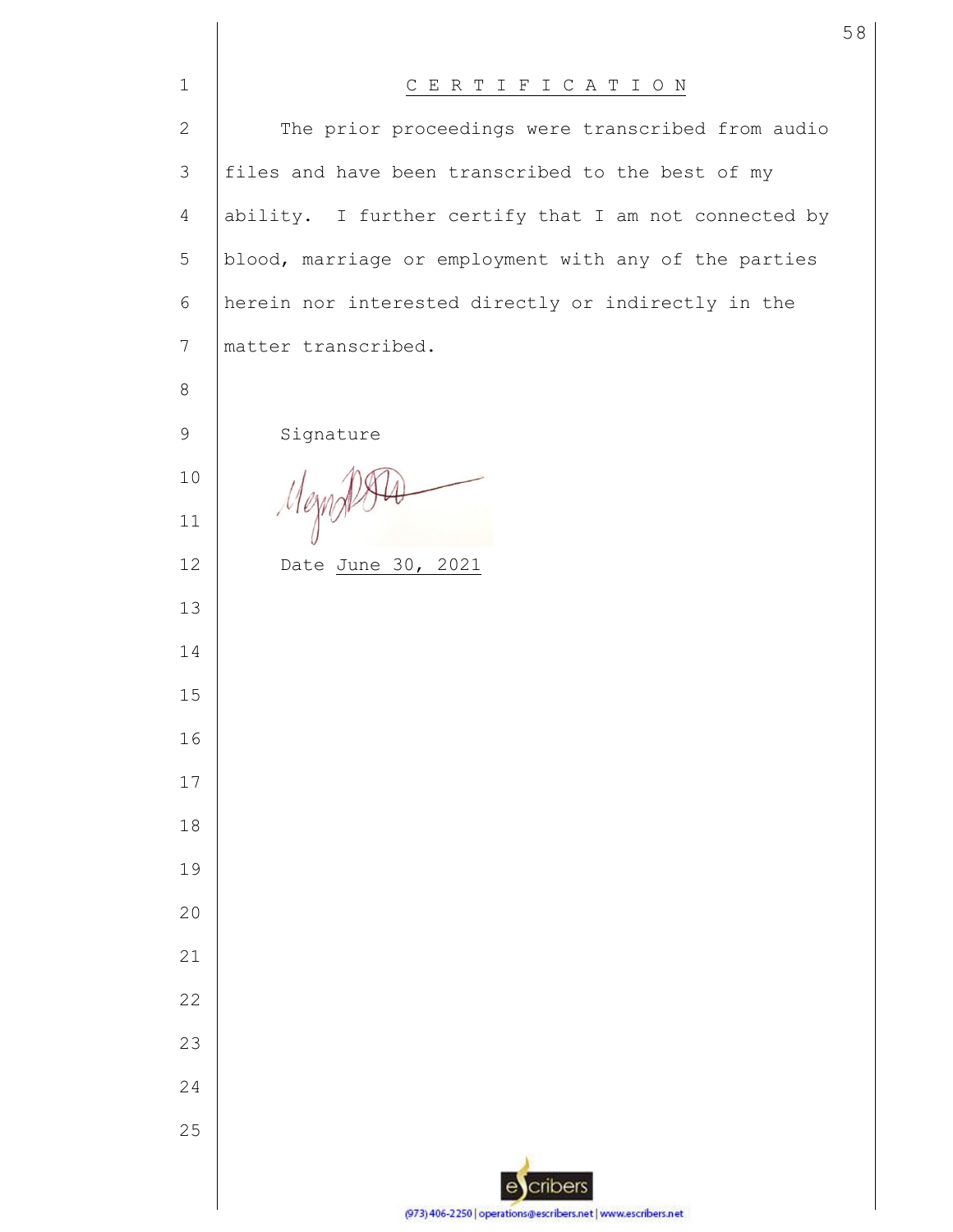| $\mathbf{1}$    | CERTIFICATION                                                 |
|-----------------|---------------------------------------------------------------|
| $\mathbf{2}$    | The prior proceedings were transcribed from audio             |
| 3               | files and have been transcribed to the best of my             |
| $\overline{4}$  | ability. I further certify that I am not connected by         |
| 5               | blood, marriage or employment with any of the parties         |
| $6\,$           | herein nor interested directly or indirectly in the           |
| $7\phantom{.0}$ | matter transcribed.                                           |
| 8               |                                                               |
| 9               | Signature                                                     |
| 10              |                                                               |
| 11              | Mezn                                                          |
| 12              | Date June 30, 2021                                            |
| 13              |                                                               |
| 14              |                                                               |
| 15              |                                                               |
| 16              |                                                               |
| 17              |                                                               |
| 18              |                                                               |
| 19              |                                                               |
| 20              |                                                               |
| 21              |                                                               |
| 22              |                                                               |
| 23              |                                                               |
| 24              |                                                               |
| 25              |                                                               |
|                 | cribers                                                       |
|                 | (973) 406-2250   operations@escribers.net   www.escribers.net |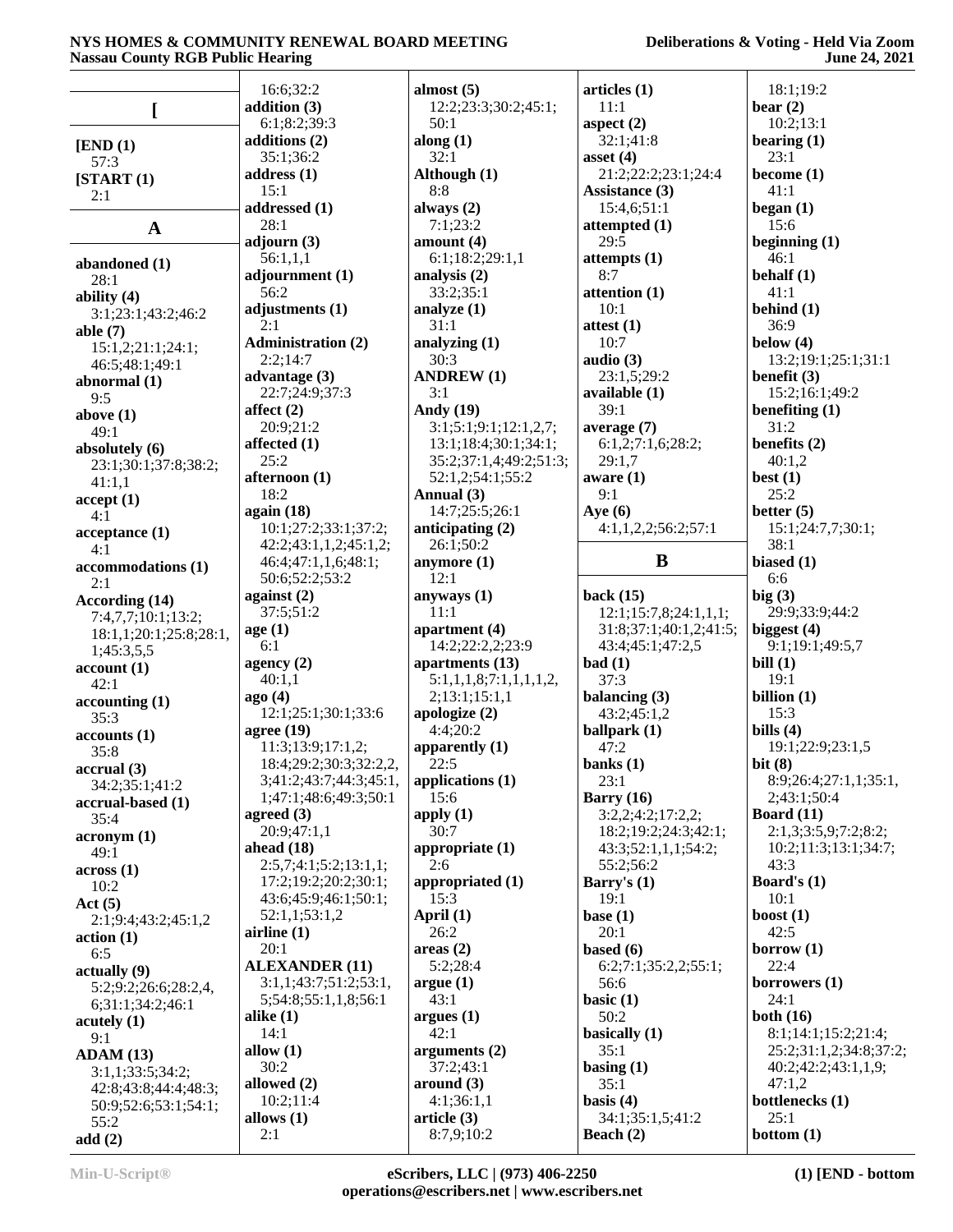### **Deliberations & Voting - Held Via Zoom June 24, 2021**

|                        | 16:6;32:2                 | almost $(5)$              | articles (1)                    | 18:1;19:2              |
|------------------------|---------------------------|---------------------------|---------------------------------|------------------------|
|                        | addition (3)              | 12:2;23:3;30:2;45:1;      | 11:1                            | bear $(2)$             |
|                        | 6:1;8:2;39:3              | 50:1                      | aspect $(2)$                    | 10:2;13:1              |
|                        |                           |                           |                                 |                        |
| [END (1)]              | additions (2)             | along $(1)$               | 32:1;41:8                       | bearing $(1)$          |
| 57:3                   | 35:1;36:2                 | 32:1                      | asset $(4)$                     | 23:1                   |
| [START (1)]            | address $(1)$             | Although (1)              | 21:2;22:2;23:1;24:4             | become $(1)$           |
| 2:1                    | 15:1                      | 8:8                       | Assistance (3)                  | 41:1                   |
|                        | addressed (1)             | always (2)                | 15:4,6;51:1                     | began $(1)$            |
| $\mathbf{A}$           | 28:1                      | 7:1;23:2                  | attempted (1)                   | 15:6                   |
|                        | adjourn $(3)$             | amount $(4)$              | 29:5                            | beginning $(1)$        |
|                        | 56:1,1,1                  | 6:1;18:2;29:1,1           | attempts $(1)$                  | 46:1                   |
| abandoned (1)          | adjournment (1)           | analysis (2)              | 8:7                             | behalf $(1)$           |
| 28:1                   |                           |                           |                                 |                        |
| ability $(4)$          | 56:2                      | 33:2;35:1                 | attention (1)                   | 41:1                   |
| 3:1;23:1;43:2;46:2     | adjustments (1)           | analyze $(1)$             | 10:1                            | behind $(1)$           |
| able $(7)$             | 2:1                       | 31:1                      | attest $(1)$                    | 36:9                   |
| 15:1,2;21:1;24:1;      | <b>Administration (2)</b> | analyzing $(1)$           | 10:7                            | below $(4)$            |
| 46:5;48:1;49:1         | 2:2;14:7                  | 30:3                      | audio $(3)$                     | 13:2;19:1;25:1;31:1    |
| abnormal $(1)$         | advantage $(3)$           | <b>ANDREW (1)</b>         | 23:1,5;29:2                     | benefit (3)            |
|                        | 22:7;24:9;37:3            | 3:1                       | available $(1)$                 | 15:2;16:1;49:2         |
| 9:5                    | affect $(2)$              | <b>Andy</b> (19)          | 39:1                            | benefiting $(1)$       |
| above $(1)$            |                           | 3:1;5:1;9:1;12:1,2,7;     |                                 | 31:2                   |
| 49:1                   | 20:9;21:2                 |                           | average $(7)$                   |                        |
| absolutely (6)         | affected (1)              | 13:1;18:4;30:1;34:1;      | 6:1,2;7:1,6;28:2;               | benefits $(2)$         |
| 23:1;30:1;37:8;38:2;   | 25:2                      | 35:2;37:1,4;49:2;51:3;    | 29:1,7                          | 40:1,2                 |
| 41:1,1                 | afternoon (1)             | 52:1,2;54:1;55:2          | aware(1)                        | best $(1)$             |
| accept(1)              | 18:2                      | Annual (3)                | 9:1                             | 25:2                   |
| 4:1                    | again (18)                | 14:7;25:5;26:1            | Aye $(6)$                       | better $(5)$           |
|                        | 10:1;27:2;33:1;37:2;      | anticipating $(2)$        | 4:1,1,2,2;56:2;57:1             | 15:1;24:7,7;30:1;      |
| acceptance(1)          | 42:2;43:1,1,2;45:1,2;     | 26:1;50:2                 |                                 | 38:1                   |
| 4:1                    |                           |                           | $\bf{B}$                        |                        |
| accommodations (1)     | 46:4;47:1,1,6;48:1;       | anymore (1)               |                                 | biased (1)             |
| 2:1                    | 50:6;52:2;53:2            | 12:1                      |                                 | 6:6                    |
| According (14)         | against $(2)$             | anyways $(1)$             | back $(15)$                     | big(3)                 |
| 7:4,7,7;10:1;13:2;     | 37:5;51:2                 | 11:1                      | 12:1;15:7,8;24:1,1,1;           | 29:9;33:9;44:2         |
| 18:1,1;20:1;25:8;28:1, | age(1)                    | apartment (4)             | 31:8;37:1;40:1,2;41:5;          | biggest $(4)$          |
| 1;45:3,5,5             | 6:1                       | 14:2;22:2,2;23:9          | 43:4;45:1;47:2,5                | 9:1;19:1;49:5,7        |
|                        | agency $(2)$              | apartments (13)           | bad(1)                          | bill $(1)$             |
| account(1)             | 40:1,1                    | 5:1,1,1,8;7:1,1,1,1,2,    | 37:3                            | 19:1                   |
| 42:1                   | ago(4)                    | 2;13:1;15:1,1             |                                 | billion $(1)$          |
| accounting(1)          |                           |                           | balancing (3)                   |                        |
| 35:3                   | 12:1;25:1;30:1;33:6       | apologize (2)             | 43:2;45:1,2                     | 15:3                   |
| accounts(1)            | agree $(19)$              | 4:4;20:2                  | ballpark (1)                    | bills $(4)$            |
| 35:8                   | 11:3;13:9;17:1,2;         | apparently (1)            | 47:2                            | 19:1;22:9;23:1,5       |
| accrual(3)             | 18:4;29:2;30:3;32:2,2,    | 22:5                      | banks $(1)$                     | bit $(8)$              |
| 34:2;35:1;41:2         | 3;41:2;43:7;44:3;45:1,    | applications $(1)$        | 23:1                            | 8:9;26:4;27:1,1;35:1,  |
| accrual-based (1)      | 1;47:1;48:6;49:3;50:1     | 15:6                      | Barry $(16)$                    | 2;43:1;50:4            |
|                        | agreed $(3)$              | apply $(1)$               | 3:2,2;4:2;17:2,2;               | Board $(11)$           |
| 35:4                   | 20:9;47:1,1               | 30:7                      | 18:2;19:2;24:3;42:1;            | 2:1,3;3:5,9;7:2;8:2;   |
| acronym(1)             | ahead $(18)$              |                           |                                 |                        |
| 49:1                   |                           | appropriate $(1)$         | 43:3;52:1,1,1;54:2;             | 10:2;11:3;13:1;34:7;   |
| across(1)              | 2:5,7;4:1;5:2;13:1,1;     | 2:6                       | 55:2;56:2                       | 43:3                   |
| 10:2                   | 17:2;19:2;20:2;30:1;      | appropriated (1)          | Barry's $(1)$                   | Board's $(1)$          |
| Act(5)                 | 43:6;45:9;46:1;50:1;      | 15:3                      | 19:1                            | 10:1                   |
| 2:1;9:4;43:2;45:1,2    | 52:1,1;53:1,2             | April $(1)$               | base $(1)$                      | boost $(1)$            |
| action(1)              | airline $(1)$             | 26:2                      | 20:1                            | 42:5                   |
|                        |                           |                           |                                 |                        |
|                        |                           |                           |                                 |                        |
| 6:5                    | 20:1                      | areas(2)                  | based $(6)$                     | borrow $(1)$           |
| $\left( 9\right)$      | <b>ALEXANDER (11)</b>     | 5:2:28:4                  | 6:2;7:1;35:2,2;55:1;            | 22:4                   |
| 5:2;9:2;26:6;28:2,4,   | 3:1,1;43:7;51:2;53:1,     | argue(1)                  | 56:6                            | borrowers (1)          |
| 6;31:1;34:2;46:1       | 5;54:8;55:1,1,8;56:1      | 43:1                      | basic $(1)$                     | 24:1                   |
| acutely (1)            | alike $(1)$               | argues(1)                 | 50:2                            | both $(16)$            |
|                        | 14:1                      | 42:1                      | basically $(1)$                 | 8:1;14:1;15:2;21:4;    |
| 9:1                    | allow $(1)$               | arguments $(2)$           | 35:1                            | 25:2;31:1,2;34:8;37:2; |
| ADAM(13)               | 30:2                      | 37:2;43:1                 |                                 | 40:2;42:2;43:1,1,9;    |
| 3:1,1;33:5;34:2;       |                           |                           | basing $(1)$                    |                        |
| 42:8;43:8;44:4;48:3;   | allowed $(2)$             | around (3)                | 35:1                            | 47:1,2                 |
| 50:9;52:6;53:1;54:1;   | 10:2;11:4                 | 4:1;36:1,1                | basis $(4)$                     | bottlenecks (1)        |
| 55:2<br>add(2)         | allows $(1)$<br>2:1       | article (3)<br>8:7,9;10:2 | 34:1;35:1,5;41:2<br>Beach $(2)$ | 25:1<br>bottom $(1)$   |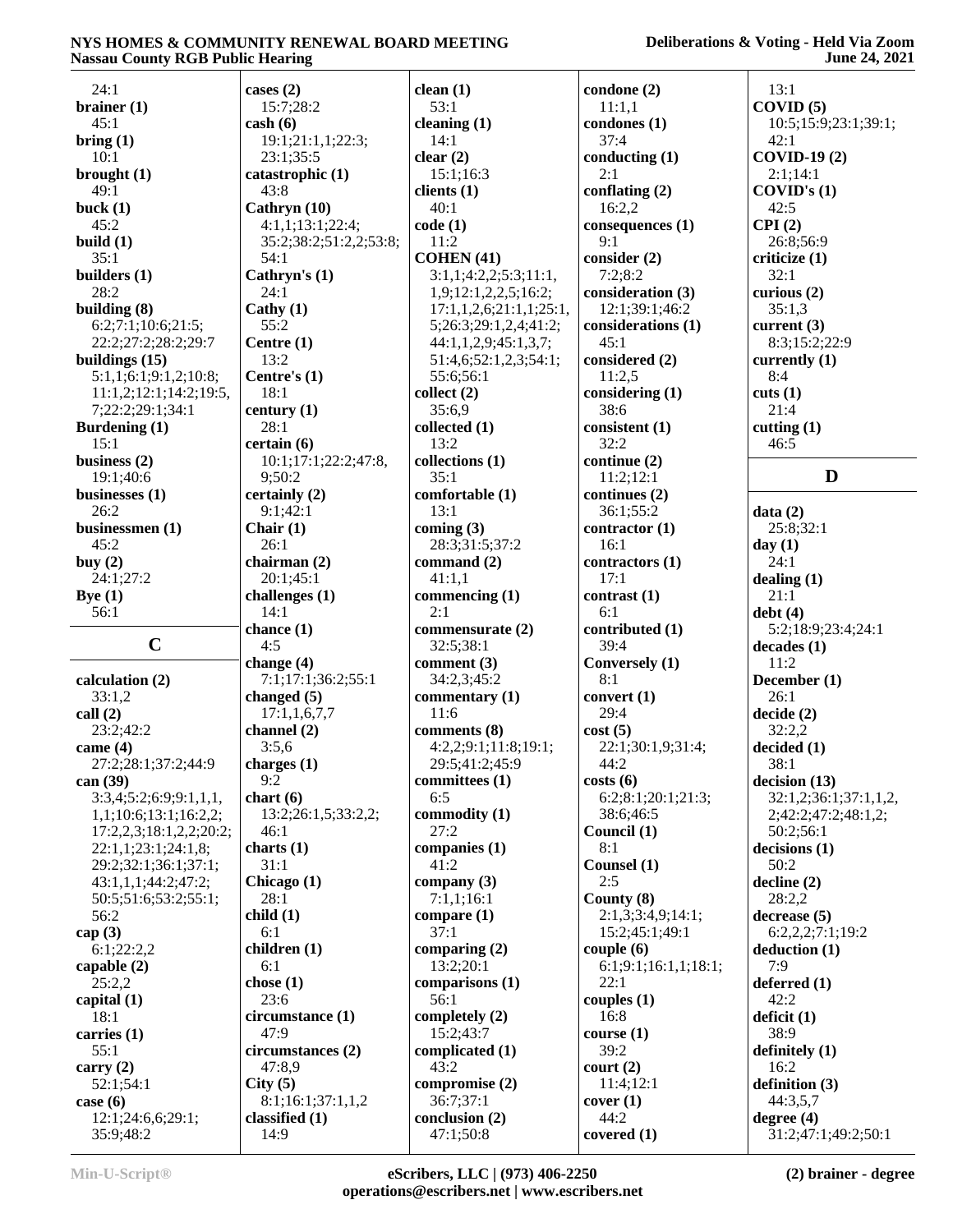| 24:1                           | cases $(2)$              | clean(1)                    | condone (2)           | 13:1                                |
|--------------------------------|--------------------------|-----------------------------|-----------------------|-------------------------------------|
| brainer $(1)$                  | 15:7;28:2                | 53:1                        | 11:1,1                | COVID(5)                            |
| 45:1                           | $\cosh(6)$               | cleaning $(1)$              | condones (1)          | 10:5;15:9;23:1;39:1;                |
| bring(1)                       | 19:1;21:1,1;22:3;        | 14:1                        | 37:4                  | 42:1                                |
| 10:1                           | 23:1:35:5                | clear $(2)$                 | conducting (1)        | <b>COVID-19(2)</b>                  |
|                                |                          |                             |                       |                                     |
| brought $(1)$                  | catastrophic (1)         | 15:1;16:3                   | 2:1                   | 2:1;14:1                            |
| 49:1                           | 43:8                     | clients $(1)$               | conflating $(2)$      | COVID's (1)                         |
| buck $(1)$                     | Cathryn (10)             | 40:1                        | 16:2,2                | 42:5                                |
| 45:2                           | 4:1,1;13:1;22:4;         | code(1)                     | consequences (1)      | CPI(2)                              |
| build $(1)$                    | 35:2;38:2;51:2,2;53:8;   | 11:2                        | 9:1                   | 26:8;56:9                           |
| 35:1                           | 54:1                     | COHEN(41)                   | consider (2)          | criticize (1)                       |
| builders (1)                   | Cathryn's (1)            | 3:1,1;4:2,2;5:3;11:1,       | 7:2;8:2               | 32:1                                |
| 28:2                           | 24:1                     | 1,9;12:1,2,2,5;16:2;        | consideration (3)     | curious (2)                         |
|                                |                          |                             |                       |                                     |
| building (8)                   | Cathy $(1)$              | 17:1,1,2,6;21:1,1;25:1,     | 12:1;39:1;46:2        | 35:1,3                              |
| 6:2;7:1;10:6;21:5;             | 55:2                     | 5;26:3;29:1,2,4;41:2;       | considerations (1)    | current $(3)$                       |
| 22:2;27:2;28:2;29:7            | Centre $(1)$             | 44:1,1,2,9;45:1,3,7;        | 45:1                  | 8:3;15:2;22:9                       |
| buildings $(15)$               | 13:2                     | 51:4,6;52:1,2,3;54:1;       | considered (2)        | currently (1)                       |
| 5:1,1;6:1;9:1,2;10:8;          | Centre's (1)             | 55:6;56:1                   | 11:2,5                | 8:4                                 |
| 11:1,2;12:1;14:2;19:5,         | 18:1                     | collect(2)                  | considering (1)       | cuts(1)                             |
| 7;22:2;29:1;34:1               | century (1)              | 35:6,9                      | 38:6                  | 21:4                                |
|                                |                          |                             |                       |                                     |
| <b>Burdening (1)</b>           | 28:1                     | collected (1)               | consistent (1)        | cutting $(1)$                       |
| 15:1                           | certain(6)               | 13:2                        | 32:2                  | 46:5                                |
| business $(2)$                 | 10:1;17:1;22:2;47:8      | collections (1)             | continue (2)          |                                     |
| 19:1;40:6                      | 9;50:2                   | 35:1                        | 11:2;12:1             | D                                   |
| businesses $(1)$               | certainly (2)            | comfortable (1)             | continues (2)         |                                     |
| 26:2                           | 9:1;42:1                 | 13:1                        | 36:1;55:2             | data(2)                             |
| businessmen (1)                | Chair $(1)$              | coming $(3)$                | contractor $(1)$      | 25:8;32:1                           |
|                                |                          |                             |                       |                                     |
| 45:2                           | 26:1                     | 28:3;31:5;37:2              | 16:1                  | day $(1)$                           |
| buy $(2)$                      | chairman (2)             | command $(2)$               | contractors (1)       | 24:1                                |
| 24:1;27:2                      | 20:1;45:1                | 41:1,1                      | 17:1                  | dealing $(1)$                       |
| Bye(1)                         | challenges (1)           | commencing (1)              | contrast(1)           | 21:1                                |
|                                |                          |                             |                       |                                     |
|                                |                          |                             |                       |                                     |
| 56:1                           | 14:1                     | 2:1                         | 6:1                   | debt(4)                             |
|                                | chance $(1)$             | commensurate (2)            | contributed (1)       | 5:2;18:9;23:4;24:1                  |
| $\mathbf C$                    | 4:5                      | 32:5;38:1                   | 39:4                  | decades(1)                          |
|                                | change $(4)$             | comment $(3)$               | Conversely (1)        | 11:2                                |
| calculation (2)                | 7:1;17:1;36:2;55:1       | 34:2,3;45:2                 | 8:1                   | December (1)                        |
| 33:1,2                         | changed $(5)$            | commentary (1)              | convert (1)           | 26:1                                |
| call $(2)$                     | 17:1,1,6,7,7             | 11:6                        | 29:4                  | decide(2)                           |
|                                |                          |                             |                       |                                     |
| 23:2:42:2                      | channel (2)              | comments (8)                | cost(5)               | 32:2,2                              |
| came $(4)$                     | 3:5,6                    | 4:2,2;9:1;11:8;19:1;        | 22:1;30:1,9;31:4;     | decided (1)                         |
| 27:2;28:1;37:2;44:9            | charges (1)              | 29:5:41:2:45:9              | 44:2                  | 38:1                                |
| can (39)                       | 9:2                      | committees (1)              | costs(6)              | decision (13)                       |
| 3:3,4;5:2;6:9;9:1,1,1,         | chart $(6)$              | 6:5                         | 6:2; 8:1; 20:1; 21:3; | 32:1,2;36:1;37:1,1,2,               |
| 1,1;10:6;13:1;16:2,2;          | 13:2;26:1,5;33:2,2;      | commodity (1)               | 38:6;46:5             | 2;42:2;47:2;48:1,2;                 |
|                                | 46:1                     | 27:2                        | Council (1)           | 50:2;56:1                           |
| 17:2,2,3;18:1,2,2;20:2;        |                          |                             |                       |                                     |
| 22:1,1;23:1;24:1,8;            | charts $(1)$             | companies (1)               | 8:1                   | decisions(1)                        |
| 29:2;32:1;36:1;37:1;           | 31:1                     | 41:2                        | Counsel (1)           | 50:2                                |
| 43:1,1,1;44:2;47:2;            | Chicago (1)              | company $(3)$               | 2:5                   | $\text{decline} (2)$                |
| 50:5:51:6:53:2:55:1;           | 28:1                     | 7:1,1;16:1                  | County $(8)$          | 28:2,2                              |
| 56:2                           | child(1)                 | compare $(1)$               | 2:1,3;3:4,9;14:1;     | decrease (5)                        |
| cap $(3)$                      | 6:1                      | 37:1                        | 15:2;45:1;49:1        | 6:2,2,2;7:1;19:2                    |
| 6:1;22:2,2                     | children (1)             | comparing $(2)$             | couple $(6)$          | deduction(1)                        |
|                                | 6:1                      |                             |                       | 7:9                                 |
| capable $(2)$                  |                          | 13:2;20:1                   | 6:1;9:1;16:1,1;18:1;  |                                     |
| 25:2,2                         | chose $(1)$              | comparisons (1)             | 22:1                  | deferred $(1)$                      |
| capital (1)                    | 23:6                     | 56:1                        | couples $(1)$         | 42:2                                |
| 18:1                           | circumstance (1)         | completely (2)              | 16:8                  | deficit (1)                         |
| carries $(1)$                  | 47:9                     | 15:2;43:7                   | course(1)             | 38:9                                |
| 55:1                           | circumstances (2)        | complicated (1)             | 39:2                  | definitely $(1)$                    |
|                                | 47:8,9                   | 43:2                        | court (2)             | 16:2                                |
| carry $(2)$                    |                          |                             |                       |                                     |
| 52:1;54:1                      | City(5)                  | compromise (2)              | 11:4;12:1             | definition $(3)$                    |
| case $(6)$                     | 8:1;16:1;37:1,1,2        | 36:7;37:1                   | cover(1)              | 44:3,5,7                            |
| 12:1;24:6,6;29:1;<br>35:9;48:2 | classified $(1)$<br>14:9 | conclusion (2)<br>47:1;50:8 | 44:2<br>covered $(1)$ | degree $(4)$<br>31:2;47:1;49:2;50:1 |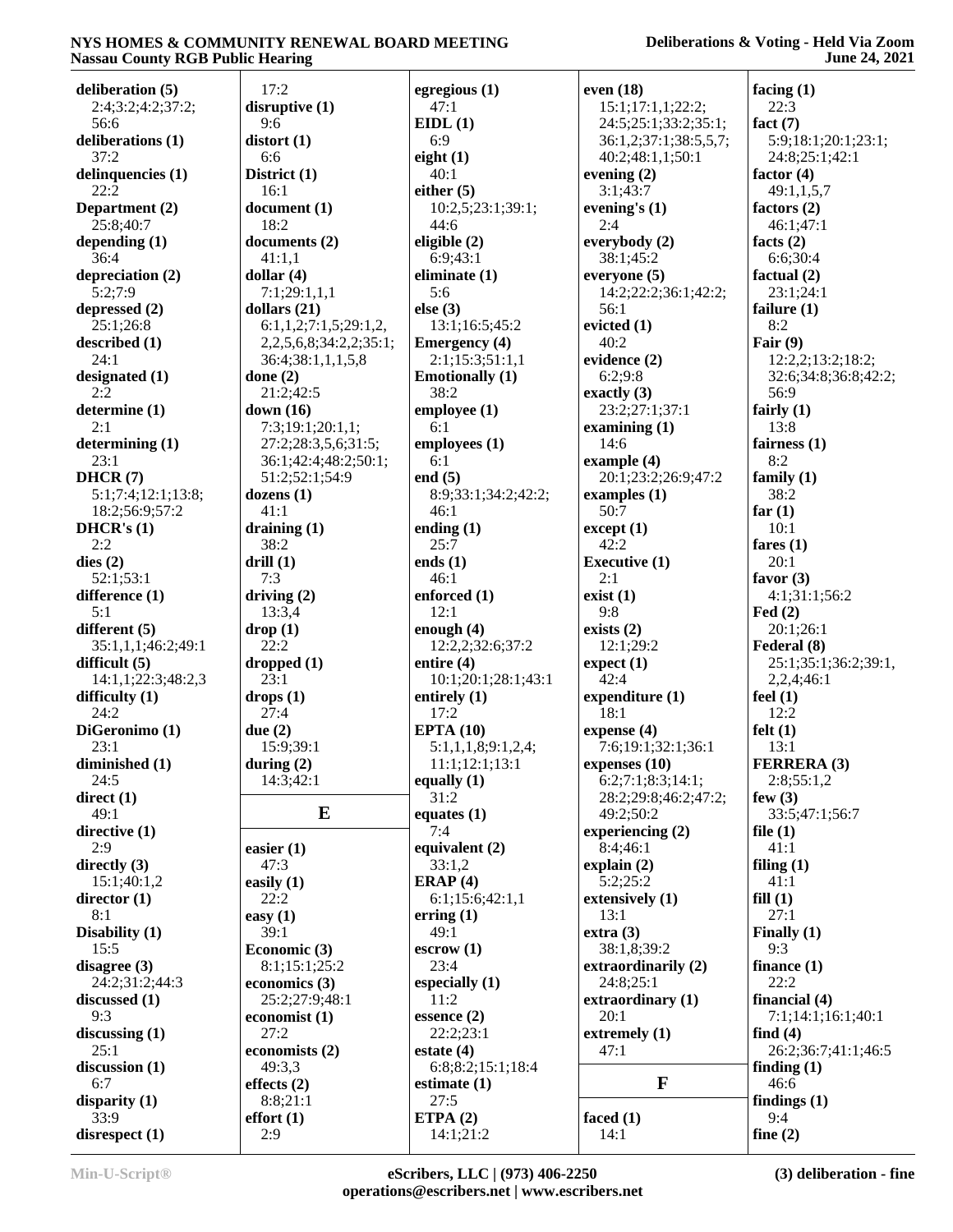| deliberation (5)   | 17:2                            | egregious $(1)$          | even $(18)$           | facing $(1)$         |
|--------------------|---------------------------------|--------------------------|-----------------------|----------------------|
| 2:4;3:2;4:2;37:2;  | disruptive $(1)$                | 47:1                     | 15:1;17:1,1;22:2;     | 22:3                 |
| 56:6               | 9:6                             | EIDL(1)                  | 24:5;25:1;33:2;35:1;  | fact $(7)$           |
| deliberations (1)  | distort(1)                      | 6:9                      | 36:1,2;37:1;38:5,5,7; | 5:9;18:1;20:1;23:1;  |
| 37:2               | 6:6                             | eight $(1)$              | 40:2;48:1,1;50:1      | 24:8;25:1;42:1       |
| delinquencies (1)  | District (1)                    | 40:1                     | evening $(2)$         | factor $(4)$         |
| 22:2               | 16:1                            | either $(5)$             | 3:1;43:7              | 49:1,1,5,7           |
| Department (2)     | document(1)                     | 10:2,5;23:1;39:1;        | evening's $(1)$       | factors $(2)$        |
| 25:8;40:7          | 18:2                            | 44:6                     | 2:4                   | 46:1:47:1            |
| depending $(1)$    | documents (2)                   | eligible (2)             | everybody (2)         | facts $(2)$          |
| 36:4               | 41:1,1                          | 6:9;43:1                 | 38:1;45:2             |                      |
|                    |                                 |                          |                       | 6:6;30:4             |
| depreciation (2)   | dollar $(4)$                    | eliminate (1)            | everyone $(5)$        | factual $(2)$        |
| 5:2;7:9            | 7:1;29:1,1,1                    | 5:6                      | 14:2;22:2;36:1;42:2;  | 23:1;24:1            |
| depressed (2)      | dollars $(21)$                  | else (3)                 | 56:1                  | failure $(1)$        |
| 25:1;26:8          | 6:1,1,2;7:1,5;29:1,2            | 13:1;16:5;45:2           | evicted $(1)$         | 8:2                  |
| described (1)      | 2, 2, 5, 6, 8; 34: 2, 2; 35: 1; | <b>Emergency</b> (4)     | 40:2                  | Fair $(9)$           |
| 24:1               | 36:4;38:1,1,1,5,8               | 2:1;15:3;51:1,1          | evidence (2)          | 12:2,2;13:2;18:2;    |
| designated (1)     | done $(2)$                      | <b>Emotionally (1)</b>   | 6:2:9:8               | 32:6;34:8;36:8;42:2; |
| 2:2                | 21:2;42:5                       | 38:2                     | exactly $(3)$         | 56:9                 |
| determine (1)      | down $(16)$                     | employee (1)             | 23:2;27:1;37:1        | fairly $(1)$         |
| 2:1                | 7:3;19:1;20:1,1;                | 6:1                      | examining $(1)$       | 13:8                 |
| determining(1)     | 27:2;28:3,5,6;31:5;             | employees (1)            | 14:6                  | fairness $(1)$       |
| 23:1               | 36:1;42:4;48:2;50:1;            | 6:1                      | example $(4)$         | 8:2                  |
| DHCR(7)            | 51:2;52:1;54:9                  |                          | 20:1:23:2:26:9:47:2   |                      |
|                    |                                 | end $(5)$                |                       | family $(1)$         |
| 5:1;7:4;12:1;13:8; | dozens $(1)$                    | 8:9;33:1;34:2;42:2;      | examples $(1)$        | 38:2                 |
| 18:2;56:9;57:2     | 41:1                            | 46:1                     | 50:7                  | far $(1)$            |
| DHCR's $(1)$       | draining $(1)$                  | ending $(1)$             | except (1)            | 10:1                 |
| 2:2                | 38:2                            | 25:7                     | 42:2                  | fares $(1)$          |
| dies(2)            | drill(1)                        | ends $(1)$               | <b>Executive (1)</b>  | 20:1                 |
| 52:1;53:1          | 7:3                             | 46:1                     | 2:1                   | favor $(3)$          |
| difference $(1)$   | driving $(2)$                   | enforced $(1)$           | exist(1)              | 4:1;31:1;56:2        |
| 5:1                | 13:3,4                          | 12:1                     | 9:8                   | Fed $(2)$            |
| different (5)      | drop(1)                         | enough $(4)$             | exists $(2)$          | 20:1;26:1            |
| 35:1,1,1;46:2;49:1 | 22:2                            | 12:2,2;32:6;37:2         | 12:1;29:2             | Federal (8)          |
| difficult $(5)$    | dropped $(1)$                   | entire $(4)$             | expect (1)            | 25:1;35:1;36:2;39:1, |
| 14:1,1;22:3;48:2,3 | 23:1                            | 10:1;20:1;28:1;43:1      | 42:4                  | 2,2,4;46:1           |
| difficulty (1)     | drops(1)                        | entirely $(1)$           | expenditure $(1)$     | feel $(1)$           |
| 24:2               | 27:4                            | 17:2                     | 18:1                  | 12:2                 |
| DiGeronimo (1)     | due $(2)$                       | EPTA(10)                 | expense (4)           | felt(1)              |
|                    |                                 |                          |                       |                      |
| 23:1               | 15:9;39:1                       | 5:1,1,1,8;9:1,2,4;       | 7:6;19:1;32:1;36:1    | 13:1                 |
| diminished (1)     | during $(2)$                    | 11:1;12:1;13:1           | expenses $(10)$       | <b>FERRERA (3)</b>   |
| 24:5               | 14:3;42:1                       | equally $(1)$            | 6:2;7:1;8:3;14:1;     | 2:8;55:1,2           |
| direct $(1)$       |                                 | 31:2                     | 28:2;29:8;46:2;47:2;  | few $(3)$            |
| 49:1               | ${\bf E}$                       | equates $(1)$            | 49:2;50:2             | 33:5;47:1;56:7       |
| directive (1)      |                                 | 7:4                      | experiencing $(2)$    | file $(1)$           |
| 2:9                | easier $(1)$                    | equivalent $(2)$         | 8:4;46:1              | 41:1                 |
| directly $(3)$     | 47:3                            | 33:1,2                   | explain $(2)$         | filing $(1)$         |
| 15:1;40:1,2        | easily $(1)$                    | ERAP $(4)$               | 5:2;25:2              | 41:1                 |
| director $(1)$     | 22:2                            | 6:1;15:6;42:1,1          | extensively (1)       | fill(1)              |
| 8:1                | easy $(1)$                      | erring(1)                | 13:1                  | 27:1                 |
| Disability (1)     | 39:1                            | 49:1                     | extra(3)              | Finally $(1)$        |
| 15:5               | Economic (3)                    | escrow(1)                | 38:1,8;39:2           | 9:3                  |
| disagree $(3)$     | 8:1;15:1;25:2                   | 23:4                     | extraordinarily (2)   | finance $(1)$        |
| 24:2;31:2;44:3     | economics $(3)$                 |                          | 24:8;25:1             | 22:2                 |
|                    | 25:2;27:9;48:1                  | especially $(1)$<br>11:2 |                       |                      |
| discussed $(1)$    |                                 |                          | extraordinary (1)     | financial $(4)$      |
| 9:3                | economist $(1)$                 | $e$ ssence $(2)$         | 20:1                  | 7:1;14:1;16:1;40:1   |
| discussing $(1)$   | 27:2                            | 22:2;23:1                | extremely $(1)$       | find $(4)$           |
| 25:1               | economists (2)                  | estate $(4)$             | 47:1                  | 26:2;36:7;41:1;46:5  |
| discussion (1)     | 49:3,3                          | 6:8;8:2;15:1;18:4        |                       | finding $(1)$        |
| 6:7                | effects $(2)$                   | estimate $(1)$           | $\mathbf{F}$          | 46:6                 |
| disparity $(1)$    | 8:8;21:1                        | 27:5                     |                       | findings $(1)$       |
| 33:9               | effort(1)                       | ETPA $(2)$               | faced $(1)$           | 9:4                  |
| disrespect (1)     | 2:9                             | 14:1;21:2                | 14:1                  | fine $(2)$           |
|                    |                                 |                          |                       |                      |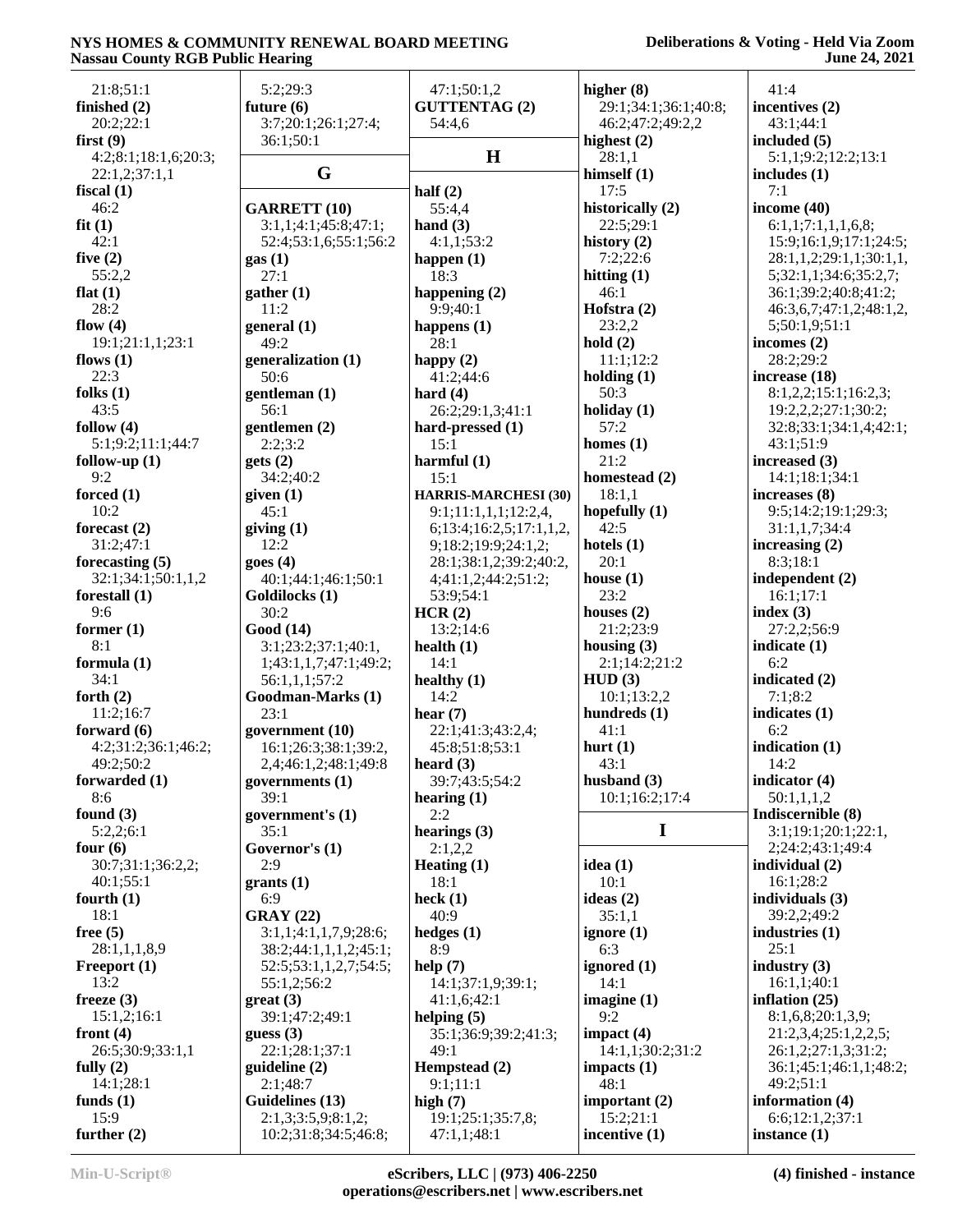### **Deliberations & Voting - Held Via Zoom June 24, 2021**

| 21:8;51:1            | 5:2;29:3              | 47:1;50:1,2                 | higher $(8)$            | 41:4                                     |
|----------------------|-----------------------|-----------------------------|-------------------------|------------------------------------------|
| finished (2)         | future $(6)$          | <b>GUTTENTAG (2)</b>        | 29:1;34:1;36:1;40:8;    | incentives (2)                           |
| 20:2;22:1            | 3:7;20:1;26:1;27:4;   | 54:4,6                      | 46:2;47:2;49:2,2        | 43:1;44:1                                |
| first $(9)$          | 36:1;50:1             | H                           | highest $(2)$           | included (5)                             |
| 4:2;8:1;18:1,6;20:3; | G                     |                             | 28:1,1                  | 5:1,1;9:2;12:2;13:1                      |
| 22:1,2;37:1,1        |                       |                             | himself $(1)$           | includes $(1)$                           |
| fiscal $(1)$         |                       | half $(2)$                  | 17:5                    | 7:1                                      |
| 46:2                 | <b>GARRETT (10)</b>   | 55:4,4                      | historically (2)        | income $(40)$                            |
| fit(1)               | 3:1,1;4:1;45:8;47:1;  | hand $(3)$                  | 22:5;29:1               | 6:1,1;7:1,1,1,6,8;                       |
| 42:1                 | 52:4;53:1,6;55:1;56:2 | 4:1,1;53:2                  | history $(2)$           | 15:9;16:1,9;17:1;24:5;                   |
| five $(2)$           | gas(1)                | happen $(1)$                | 7:2;22:6                | 28:1,1,2;29:1,1;30:1,1,                  |
| 55:2,2               | 27:1                  | 18:3                        | hitting $(1)$           | 5;32:1,1;34:6;35:2,7;                    |
| flat $(1)$<br>28:2   | gather (1)<br>11:2    | happening $(2)$<br>9:9;40:1 | 46:1                    | 36:1;39:2;40:8;41:2;                     |
| flow $(4)$           | general (1)           |                             | Hofstra $(2)$<br>23:2,2 | 46:3,6,7;47:1,2;48:1,2,<br>5;50:1,9;51:1 |
| 19:1;21:1,1;23:1     | 49:2                  | happens $(1)$<br>28:1       | hold(2)                 | incomes $(2)$                            |
| flows $(1)$          | generalization (1)    |                             | 11:1;12:2               | 28:2;29:2                                |
| 22:3                 | 50:6                  | happy $(2)$<br>41:2;44:6    | holding $(1)$           | increase (18)                            |
| folks $(1)$          | gentleman (1)         | hard $(4)$                  | 50:3                    | 8:1,2,2;15:1;16:2,3;                     |
| 43:5                 | 56:1                  | 26:2;29:1,3;41:1            | holiday $(1)$           | 19:2,2,2;27:1;30:2;                      |
| follow $(4)$         | gentlemen (2)         | hard-pressed (1)            | 57:2                    | 32:8;33:1;34:1,4;42:1;                   |
| 5:1;9:2;11:1;44:7    | 2:2;3:2               | 15:1                        | homes $(1)$             | 43:1;51:9                                |
| follow-up $(1)$      | gets(2)               | harmful $(1)$               | 21:2                    | increased (3)                            |
| 9:2                  | 34:2;40:2             | 15:1                        | homestead (2)           | 14:1:18:1:34:1                           |
| forced $(1)$         | given (1)             | <b>HARRIS-MARCHESI (30)</b> | 18:1,1                  | increases (8)                            |
| 10:2                 | 45:1                  | 9:1;11:1,1,1;12:2,4,        | hopefully $(1)$         | 9:5;14:2;19:1;29:3;                      |
| forecast $(2)$       | giving(1)             | 6;13:4;16:2,5;17:1,1,2,     | 42:5                    | 31:1,1,7;34:4                            |
| 31:2;47:1            | 12:2                  | 9;18:2;19:9;24:1,2;         | hotels $(1)$            | increasing $(2)$                         |
| forecasting $(5)$    | goes(4)               | 28:1;38:1,2;39:2;40:2,      | 20:1                    | 8:3;18:1                                 |
| 32:1;34:1;50:1,1,2   | 40:1;44:1;46:1;50:1   | 4;41:1,2;44:2;51:2;         | house $(1)$             | independent (2)                          |
| forestall $(1)$      | Goldilocks (1)        | 53:9:54:1                   | 23:2                    | 16:1;17:1                                |
| 9:6                  | 30:2                  | HCR(2)                      | houses $(2)$            | index $(3)$                              |
| former $(1)$         | Good (14)             | 13:2;14:6                   | 21:2;23:9               | 27:2,2;56:9                              |
| 8:1                  | 3:1;23:2;37:1;40:1,   | health $(1)$                | housing $(3)$           | indicate $(1)$                           |
| formula (1)          | 1;43:1,1,7;47:1;49:2; | 14:1                        | 2:1;14:2;21:2           | 6:2                                      |
| 34:1                 | 56:1,1,1;57:2         | healthy $(1)$               | HUD(3)                  | indicated (2)                            |
| forth $(2)$          | Goodman-Marks (1)     | 14:2                        | 10:1;13:2,2             | 7:1;8:2                                  |
| 11:2;16:7            | 23:1                  | hear $(7)$                  | hundreds (1)            | indicates $(1)$                          |
| forward $(6)$        | government (10)       | 22:1;41:3;43:2,4;           | 41:1                    | 6:2                                      |
| 4:2;31:2;36:1;46:2;  | 16:1;26:3;38:1;39:2,  | 45:8;51:8;53:1              | hurt $(1)$              | indication (1)                           |
| 49:2:50:2            | 2,4;46:1,2;48:1;49:8  | heard $(3)$                 | 43:1                    | 14:2                                     |
| forwarded (1)        | governments (1)       | 39:7;43:5;54:2              | husband $(3)$           | indicator $(4)$                          |
| 8:6                  | 39:1                  | hearing $(1)$               | 10:1;16:2;17:4          | 50:1,1,1,2                               |
| found $(3)$          | government's (1)      | 2:2                         |                         | Indiscernible (8)                        |
| 5:2,2;6:1            | 35:1                  | hearings $(3)$              | I                       | 3:1;19:1;20:1;22:1,                      |
| four $(6)$           | Governor's (1)        | 2:1,2,2                     |                         | 2;24:2;43:1;49:4                         |
| 30:7;31:1;36:2,2;    | 2:9                   | Heating $(1)$               | idea $(1)$              | individual $(2)$                         |
| 40:1;55:1            | grants(1)             | 18:1                        | 10:1                    | 16:1;28:2                                |
| fourth $(1)$         | 6:9                   | heck $(1)$                  | ideas $(2)$             | individuals $(3)$                        |
| 18:1                 | <b>GRAY (22)</b>      | 40:9                        | 35:1,1                  | 39:2,2;49:2                              |
| free $(5)$           | 3:1,1;4:1,1,7,9;28:6; | hedges $(1)$                | ignore $(1)$            | industries $(1)$                         |
| 28:1,1,1,8,9         | 38:2;44:1,1,1,2;45:1; | 8:9                         | 6:3                     | 25:1                                     |
| Freeport (1)         | 52:5;53:1,1,2,7;54:5; | help $(7)$                  | ignored (1)             | industry $(3)$                           |
| 13:2                 | 55:1,2;56:2           | 14:1;37:1,9;39:1;           | 14:1                    | 16:1,1;40:1                              |
| freeze $(3)$         | $gr(3)$               | 41:1,6;42:1                 | imagine $(1)$           | inflation $(25)$                         |
| 15:1,2;16:1          | 39:1;47:2;49:1        | helping $(5)$               | 9:2                     | 8:1,6,8;20:1,3,9;                        |
| front $(4)$          | guess $(3)$           | 35:1;36:9;39:2;41:3;        | impact $(4)$            | 21:2,3,4;25:1,2,2,5;                     |
| 26:5;30:9;33:1,1     | 22:1;28:1;37:1        | 49:1                        | 14:1,1;30:2;31:2        | 26:1,2;27:1,3;31:2;                      |
| fully $(2)$          | quideline(2)          | Hempstead (2)               | impacts $(1)$           | 36:1;45:1;46:1,1;48:2;                   |
| 14:1;28:1            | 2:1;48:7              | 9:1;11:1                    | 48:1                    | 49:2;51:1                                |
| funds $(1)$          | Guidelines (13)       | high $(7)$                  | important $(2)$         | information (4)                          |
| 15:9                 | 2:1,3;3:5,9;8:1,2;    | 19:1;25:1;35:7,8;           | 15:2;21:1               | 6:6;12:1,2;37:1                          |
| further $(2)$        | 10:2;31:8;34:5;46:8;  | 47:1,1;48:1                 | incentive (1)           | instance $(1)$                           |
|                      |                       |                             |                         |                                          |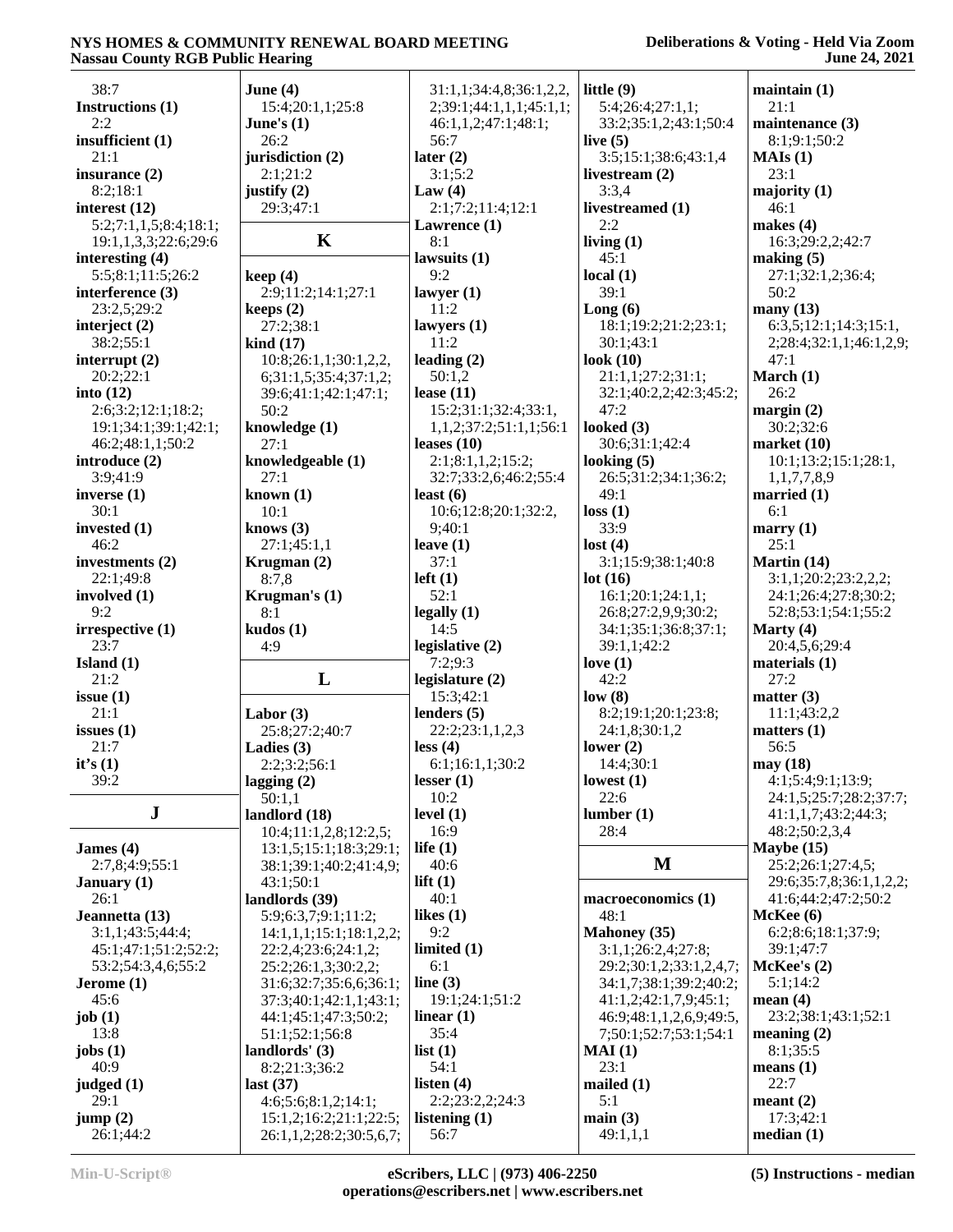#### **Deliberations & Voting - Held Via Zoom June 24, 2021**

| 38:7                  | June $(4)$                 | 31:1,1;34:4,8;36:1,2,2,         | little $(9)$            | maintain(1)             |
|-----------------------|----------------------------|---------------------------------|-------------------------|-------------------------|
| Instructions (1)      | 15:4;20:1,1;25:8           | 2;39:1;44:1,1,1;45:1,1;         | 5:4;26:4;27:1,1;        | 21:1                    |
| 2:2                   | June's $(1)$               | 46:1,1,2;47:1;48:1;             | 33:2;35:1,2;43:1;50:4   | maintenance (3)         |
| insufficient $(1)$    | 26:2                       | 56:7                            | live $(5)$              | 8:1;9:1;50:2            |
| 21:1                  | jurisdiction (2)           | later $(2)$                     | 3:5;15:1;38:6;43:1,4    | MAIs(1)                 |
| insurance $(2)$       | 2:1:21:2                   | 3:1;5:2                         | livestream $(2)$        | 23:1                    |
| 8:2;18:1              | justify $(2)$              | Law $(4)$                       | 3:3,4                   | majority $(1)$          |
| interest $(12)$       | 29:3;47:1                  | 2:1;7:2;11:4;12:1               | livestreamed (1)        | 46:1                    |
| 5:2;7:1,1,5;8:4;18:1; |                            | Lawrence (1)                    | 2:2                     | makes $(4)$             |
| 19:1,1,3,3;22:6;29:6  | $\mathbf K$                | 8:1                             | living $(1)$            | 16:3;29:2,2;42:7        |
| interesting $(4)$     |                            | lawsuits (1)                    | 45:1                    | making $(5)$            |
|                       |                            | 9:2                             |                         |                         |
| 5:5;8:1;11:5;26:2     | keep(4)                    |                                 | local $(1)$<br>39:1     | 27:1;32:1,2;36:4;       |
| interference (3)      | 2:9;11:2;14:1;27:1         | lawyer $(1)$                    |                         | 50:2                    |
| 23:2,5;29:2           | keeps $(2)$                | 11:2                            | Long(6)                 | many(13)                |
| interject $(2)$       | 27:2;38:1                  | lawyers $(1)$                   | 18:1;19:2;21:2;23:1;    | 6:3,5;12:1;14:3;15:1,   |
| 38:2;55:1             | $\operatorname{kind}$ (17) | 11:2                            | 30:1;43:1               | 2;28:4;32:1,1;46:1,2,9; |
| interrupt $(2)$       | 10:8;26:1,1;30:1,2,2,      | leading $(2)$                   | look $(10)$             | 47:1                    |
| 20:2;22:1             | 6;31:1,5;35:4;37:1,2;      | 50:1,2                          | 21:1,1;27:2;31:1;       | March (1)               |
| into $(12)$           | 39:6;41:1;42:1;47:1;       | lease $(11)$                    | 32:1;40:2,2;42:3;45:2;  | 26:2                    |
| 2:6;3:2;12:1;18:2;    | 50:2                       | 15:2;31:1;32:4;33:1,            | 47:2                    | margin $(2)$            |
| 19:1;34:1;39:1;42:1;  | knowledge (1)              | 1, 1, 2; 37: 2; 51: 1, 1; 56: 1 | looked $(3)$            | 30:2;32:6               |
| 46:2;48:1,1;50:2      | 27:1                       | leases $(10)$                   | 30:6;31:1;42:4          | market $(10)$           |
| introduce $(2)$       | knowledgeable (1)          | 2:1;8:1,1,2;15:2;               | looking $(5)$           | 10:1;13:2;15:1;28:1,    |
| 3:9;41:9              | 27:1                       | 32:7;33:2,6;46:2;55:4           | 26:5;31:2;34:1;36:2;    | 1,1,7,7,8,9             |
| inverse $(1)$         | known $(1)$                | least $(6)$                     | 49:1                    | married $(1)$           |
| 30:1                  | 10:1                       | 10:6;12:8;20:1;32:2,            | loss(1)                 | 6:1                     |
| invested $(1)$        | knows $(3)$                | 9;40:1                          | 33:9                    | marry $(1)$             |
| 46:2                  | 27:1;45:1,1                | leave $(1)$                     | lost(4)                 | 25:1                    |
| investments (2)       | Krugman (2)                | 37:1                            | 3:1;15:9;38:1;40:8      | Martin (14)             |
| 22:1;49:8             | 8:7,8                      | $left(1\right)$                 | lot(16)                 | 3:1,1;20:2;23:2,2,2;    |
| involved $(1)$        | Krugman's $(1)$            | 52:1                            | 16:1;20:1;24:1,1;       | 24:1;26:4;27:8;30:2;    |
| 9:2                   | 8:1                        | legally(1)                      | 26:8;27:2,9,9;30:2;     | 52:8;53:1;54:1;55:2     |
| irrespective (1)      |                            | 14:5                            | 34:1;35:1;36:8;37:1;    | Marty $(4)$             |
| 23:7                  | kudos(1)                   |                                 |                         |                         |
|                       | 4:9                        | legislative $(2)$               | 39:1,1;42:2             | 20:4,5,6;29:4           |
| Island $(1)$          |                            | 7:2;9:3                         | love $(1)$              | materials $(1)$         |
| 21:2                  | L                          | legislature $(2)$               | 42:2                    | 27:2                    |
| issue $(1)$           |                            | 15:3;42:1                       | low(8)                  | matter $(3)$            |
| 21:1                  | Labor $(3)$                | lenders $(5)$                   | 8:2;19:1;20:1;23:8;     | 11:1;43:2,2             |
| issues $(1)$          | 25:8;27:2;40:7             | 22:2;23:1,1,2,3                 | 24:1,8;30:1,2           | matters $(1)$           |
| 21:7                  | Ladies $(3)$               | less (4)                        | lower $(2)$             | 56:5                    |
| it's $(1)$            | 2:2;3:2;56:1               | 6:1;16:1,1;30:2                 | 14:4;30:1               | may (18)                |
| 39:2                  | lagging $(2)$              | lesser $(1)$                    | lowest $(1)$            | 4:1;5:4;9:1;13:9;       |
|                       | 50:1,1                     | 10:2                            | 22:6                    | 24:1,5;25:7;28:2;37:7;  |
| ${\bf J}$             | landlord (18)              | level $(1)$                     | lumber(1)               | 41:1,1,7;43:2;44:3;     |
|                       | 10:4;11:1,2,8;12:2,5;      | 16:9                            | 28:4                    | 48:2;50:2,3,4           |
| James $(4)$           | 13:1,5;15:1;18:3;29:1;     | life $(1)$                      |                         | Maybe $(15)$            |
| 2:7,8;4:9;55:1        | 38:1;39:1;40:2;41:4,9;     | 40:6                            | M                       | 25:2;26:1;27:4,5;       |
| January $(1)$         | 43:1;50:1                  | lift $(1)$                      |                         | 29:6;35:7,8;36:1,1,2,2; |
| 26:1                  | landlords (39)             | 40:1                            | macroeconomics (1)      | 41:6;44:2;47:2;50:2     |
| Jeannetta (13)        | 5:9;6:3,7;9:1;11:2;        | likes $(1)$                     | 48:1                    | McKee(6)                |
| 3:1,1;43:5;44:4;      | 14:1,1,1;15:1;18:1,2,2;    | 9:2                             | <b>Mahoney</b> (35)     | 6:2;8:6;18:1;37:9;      |
| 45:1;47:1;51:2;52:2;  | 22:2,4;23:6;24:1,2;        | limited $(1)$                   | 3:1,1;26:2,4;27:8;      | 39:1;47:7               |
| 53:2;54:3,4,6;55:2    | 25:2;26:1,3;30:2,2;        | 6:1                             | 29:2;30:1,2;33:1,2,4,7; | McKee's (2)             |
| Jerome $(1)$          | 31:6;32:7;35:6,6;36:1;     | line $(3)$                      | 34:1,7;38:1;39:2;40:2;  | 5:1;14:2                |
| 45:6                  |                            | 19:1;24:1;51:2                  | 41:1,2;42:1,7,9;45:1;   | mean $(4)$              |
|                       | 37:3;40:1;42:1,1;43:1;     |                                 |                         | 23:2;38:1;43:1;52:1     |
| job $(1)$             | 44:1;45:1;47:3;50:2;       | linear $(1)$                    | 46:9;48:1,1,2,6,9;49:5, |                         |
| 13:8                  | 51:1;52:1;56:8             | 35:4                            | 7;50:1;52:7;53:1;54:1   | meaning $(2)$           |
| jobs $(1)$            | landlords' $(3)$           | list(1)                         | MAI(1)                  | 8:1;35:5                |
| 40:9                  | 8:2;21:3;36:2              | 54:1                            | 23:1                    | means $(1)$             |
| judged $(1)$          | last $(37)$                | listen $(4)$                    | mailed $(1)$            | 22:7                    |
| 29:1                  | 4:6;5:6;8:1,2;14:1;        | 2:2;23:2,2;24:3                 | 5:1                     | meant $(2)$             |
| jump(2)               | 15:1,2;16:2;21:1;22:5;     | listening $(1)$                 | main(3)                 | 17:3;42:1               |
| 26:1;44:2             | 26:1,1,2;28:2;30:5,6,7;    | 56:7                            | 49:1,1,1                | median(1)               |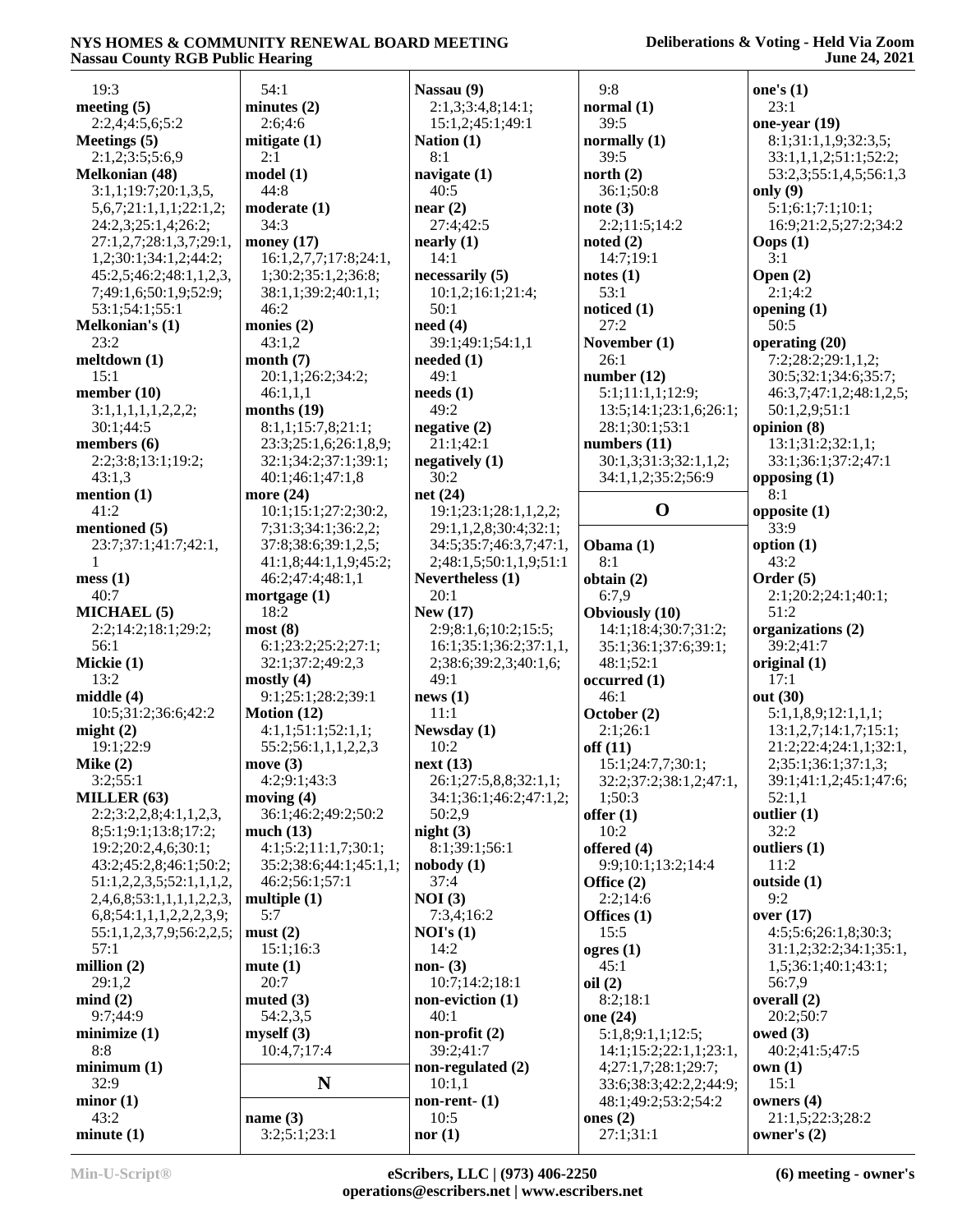| 19:3                                  | 54:1                                          | Nassau (9)                       | 9:8                                      | one's $(1)$                    |
|---------------------------------------|-----------------------------------------------|----------------------------------|------------------------------------------|--------------------------------|
| meeting $(5)$                         | minutes(2)                                    | 2:1,3;3:4,8;14:1;                | normal $(1)$                             | 23:1                           |
| 2:2,4;4:5,6;5:2                       | 2:6;4:6                                       | 15:1,2;45:1;49:1                 | 39:5                                     | one-year (19)                  |
| Meetings $(5)$                        | mitigate $(1)$                                | Nation $(1)$                     | normally $(1)$                           | 8:1;31:1,1,9;32:3,5;           |
| 2:1,2;3:5;5:6,9                       | 2:1                                           | 8:1                              | 39:5                                     | 33:1,1,1,2;51:1;52:2;          |
| <b>Melkonian (48)</b>                 | model(1)                                      | navigate $(1)$                   | north $(2)$                              | 53:2,3;55:1,4,5;56:1,3         |
| 3:1,1;19:7;20:1,3,5,                  | 44:8                                          | 40:5                             | 36:1;50:8                                | only $(9)$                     |
| 5,6,7;21:1,1,1;22:1,2;                | moderate (1)                                  | near(2)                          | note(3)                                  | 5:1;6:1;7:1;10:1;              |
| 24:2,3;25:1,4;26:2;                   | 34:3                                          | 27:4;42:5                        | 2:2;11:5;14:2                            | 16:9;21:2,5;27:2;34:2          |
| 27:1,2,7;28:1,3,7;29:1,               | money $(17)$                                  | nearly (1)                       | noted $(2)$                              | Oops $(1)$                     |
| 1,2;30:1;34:1,2;44:2;                 | 16:1,2,7,7;17:8;24:1,                         | 14:1                             | 14:7;19:1                                | 3:1                            |
| 45:2,5;46:2;48:1,1,2,3,               | 1;30:2;35:1,2;36:8;                           | necessarily (5)                  | notes(1)                                 | Open $(2)$                     |
| 7;49:1,6;50:1,9;52:9;                 | 38:1,1;39:2;40:1,1;                           | 10:1,2;16:1;21:4;                | 53:1                                     | 2:1;4:2                        |
| 53:1;54:1;55:1                        | 46:2                                          | 50:1                             | noticed $(1)$                            | opening $(1)$                  |
| Melkonian's (1)                       | monies (2)                                    | need(4)                          | 27:2                                     | 50:5                           |
| 23:2                                  | 43:1,2                                        | 39:1;49:1;54:1,1                 | November (1)                             | operating (20)                 |
| meltdown (1)                          | month $(7)$                                   | needed $(1)$                     | 26:1                                     | 7:2;28:2;29:1,1,2;             |
| 15:1                                  | 20:1,1;26:2;34:2;                             | 49:1                             | number $(12)$                            | 30:5;32:1;34:6;35:7;           |
| member $(10)$                         | 46:1,1,1                                      | needs(1)<br>49:2                 | 5:1;11:1,1;12:9;                         | 46:3,7;47:1,2;48:1,2,5;        |
| 3:1,1,1,1,1,2,2,2;                    | months $(19)$                                 |                                  | 13:5;14:1;23:1,6;26:1;<br>28:1;30:1;53:1 | 50:1,2,9;51:1<br>opinion $(8)$ |
| 30:1;44:5                             | 8:1,1;15:7,8;21:1;                            | negative(2)<br>21:1;42:1         | numbers $(11)$                           | 13:1;31:2;32:1,1;              |
| members $(6)$<br>2:2;3:8;13:1;19:2;   | 23:3;25:1,6;26:1,8,9;<br>32:1;34:2;37:1;39:1; | negatively $(1)$                 | 30:1,3;31:3;32:1,1,2;                    | 33:1;36:1;37:2;47:1            |
| 43:1,3                                | 40:1:46:1:47:1.8                              | 30:2                             | 34:1,1,2;35:2;56:9                       | opposing $(1)$                 |
| mention $(1)$                         | more $(24)$                                   | net $(24)$                       |                                          | 8:1                            |
| 41:2                                  | 10:1;15:1;27:2;30:2,                          | 19:1;23:1;28:1,1,2,2;            | $\mathbf 0$                              | opposite $(1)$                 |
| mentioned (5)                         | 7;31:3;34:1;36:2,2;                           | 29:1,1,2,8;30:4;32:1;            |                                          | 33:9                           |
| 23:7;37:1;41:7;42:1,                  | 37:8;38:6;39:1,2,5;                           | 34:5;35:7;46:3,7;47:1,           | Obama (1)                                | option $(1)$                   |
| 1                                     | 41:1,8;44:1,1,9;45:2;                         | 2;48:1,5;50:1,1,9;51:1           | 8:1                                      | 43:2                           |
| mess(1)                               | 46:2;47:4;48:1,1                              | Nevertheless (1)                 | obtain $(2)$                             | Order $(5)$                    |
| 40:7                                  | mortgage $(1)$                                | 20:1                             | 6:7,9                                    | 2:1;20:2;24:1;40:1;            |
| <b>MICHAEL</b> (5)                    | 18:2                                          | New $(17)$                       | <b>Obviously</b> (10)                    | 51:2                           |
| 2:2;14:2;18:1;29:2;                   | most(8)                                       | 2:9;8:1,6;10:2;15:5;             | 14:1;18:4;30:7;31:2;                     | organizations (2)              |
| 56:1                                  | 6:1;23:2;25:2;27:1;                           | 16:1;35:1;36:2;37:1,1,           | 35:1;36:1;37:6;39:1;                     | 39:2;41:7                      |
| Mickie (1)                            | 32:1;37:2;49:2,3                              | 2;38:6;39:2,3;40:1,6;            | 48:1;52:1                                | original $(1)$                 |
| 13:2                                  | mostly $(4)$                                  | 49:1                             | occurred(1)                              | 17:1                           |
| middle $(4)$                          | 9:1;25:1;28:2;39:1                            | news(1)                          | 46:1                                     | out (30)                       |
| 10:5;31:2;36:6;42:2                   | Motion $(12)$                                 | 11:1                             | October (2)                              | 5:1,1,8,9;12:1,1,1;            |
| might $(2)$                           | 4:1,1;51:1;52:1,1;                            | Newsday (1)                      | 2:1;26:1                                 | 13:1,2,7;14:1,7;15:1;          |
| 19:1;22:9                             | 55:2;56:1,1,1,2,2,3                           | 10:2                             | off(11)                                  | 21:2;22:4;24:1,1;32:1,         |
| Mike $(2)$                            | move $(3)$<br>4:2:9:1:43:3                    | next(13)                         | 15:1;24:7,7;30:1;                        | 2;35:1;36:1;37:1,3;            |
| 3:2;55:1                              |                                               | 26:1;27:5,8,8;32:1,1;            | 32:2;37:2;38:1,2;47:1,                   | 39:1;41:1,2;45:1;47:6;         |
| MILLER (63)<br>2:2;3:2,2,8;4:1,1,2,3, | moving $(4)$<br>36:1;46:2;49:2;50:2           | 34:1;36:1;46:2;47:1,2;<br>50:2,9 | 1:50:3<br>offer $(1)$                    | 52:1,1<br>outlier $(1)$        |
| 8;5:1;9:1;13:8;17:2;                  | much $(13)$                                   | night $(3)$                      | 10:2                                     | 32:2                           |
| 19:2;20:2,4,6;30:1;                   | 4:1;5:2;11:1,7;30:1;                          | 8:1;39:1;56:1                    | offered (4)                              | outliers (1)                   |
| 43:2;45:2,8;46:1;50:2;                | 35:2;38:6;44:1;45:1,1;                        | nobody(1)                        | 9:9;10:1;13:2;14:4                       | 11:2                           |
| 51:1,2,2,3,5;52:1,1,1,2,              | 46:2;56:1;57:1                                | 37:4                             | Office $(2)$                             | outside (1)                    |
| 2,4,6,8;53:1,1,1,1,2,2,3,             | multiple $(1)$                                | NOI(3)                           | 2:2;14:6                                 | 9:2                            |
| 6,8;54:1,1,1,2,2,2,3,9;               | 5:7                                           | 7:3,4;16:2                       | Offices $(1)$                            | over $(17)$                    |
| 55:1,1,2,3,7,9;56:2,2,5;              | must(2)                                       | NOI's(1)                         | 15:5                                     | 4:5;5:6;26:1,8;30:3;           |
| 57:1                                  | 15:1;16:3                                     | 14:2                             | ogres(1)                                 | 31:1,2;32:2;34:1;35:1,         |
| million (2)                           | mute(1)                                       | non- $(3)$                       | 45:1                                     | 1,5;36:1;40:1;43:1;            |
| 29:1,2                                | 20:7                                          | 10:7;14:2;18:1                   | oil(2)                                   | 56:7,9                         |
| mind(2)                               | muted $(3)$                                   | non-eviction (1)                 | 8:2;18:1                                 | overall $(2)$                  |
| 9:7:44:9                              | 54:2,3,5                                      | 40:1                             | one (24)                                 | 20:2;50:7                      |
| minimize(1)                           | myself (3)                                    | non-profit $(2)$                 | 5:1,8;9:1,1;12:5;                        | owed $(3)$                     |
| 8:8                                   | 10:4,7;17:4                                   | 39:2;41:7                        | 14:1;15:2;22:1,1;23:1,                   | 40:2;41:5;47:5                 |
| minimum(1)                            |                                               | non-regulated (2)                | 4;27:1,7;28:1;29:7;                      | own(1)                         |
| 32:9                                  | N                                             | 10:1,1                           | 33:6;38:3;42:2,2;44:9;                   | 15:1                           |
| minor(1)                              |                                               | non-rent- $(1)$                  | 48:1;49:2;53:2;54:2                      | owners (4)                     |
| 43:2<br>minute(1)                     | name $(3)$                                    | 10:5                             | ones $(2)$                               | 21:1,5;22:3;28:2               |
|                                       | 3:2;5:1;23:1                                  | nor(1)                           | 27:1;31:1                                | owner's (2)                    |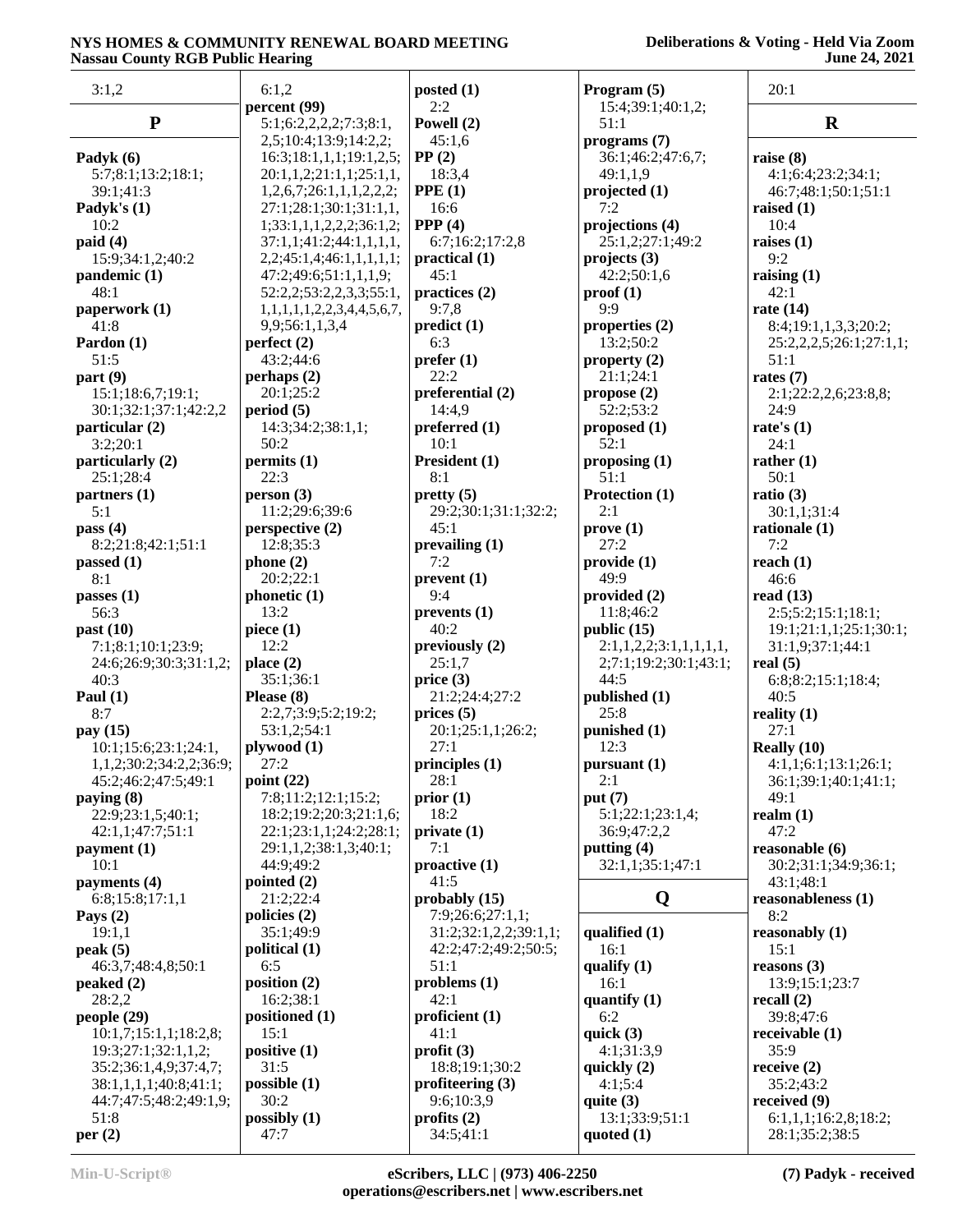| 3:1,2                                      | 6:1,2                                              | posted $(1)$                              | Program $(5)$                      | 20:1                              |
|--------------------------------------------|----------------------------------------------------|-------------------------------------------|------------------------------------|-----------------------------------|
|                                            | percent (99)                                       | 2:2                                       | 15:4;39:1;40:1,2;                  |                                   |
| ${\bf P}$                                  | 5:1;6:2,2,2,2;7:3;8:1,                             | Powell (2)                                | 51:1                               | $\mathbf R$                       |
|                                            | 2,5;10:4;13:9;14:2,2;                              | 45:1,6<br>PP(2)                           | programs(7)                        |                                   |
| Padyk (6)<br>5:7;8:1;13:2;18:1;            | 16:3;18:1,1,1;19:1,2,5;<br>20:1,1,2;21:1,1;25:1,1, | 18:3,4                                    | 36:1;46:2;47:6,7;<br>49:1,1,9      | raise $(8)$<br>4:1;6:4;23:2;34:1; |
| 39:1;41:3                                  | 1,2,6,7;26:1,1,1,2,2,2;                            | PPE(1)                                    | projected $(1)$                    | 46:7;48:1;50:1;51:1               |
| Padyk's (1)                                | 27:1;28:1;30:1;31:1,1,                             | 16:6                                      | 7:2                                | raised $(1)$                      |
| 10:2                                       | 1;33:1,1,1,2,2,2;36:1,2;                           | PPP $(4)$                                 | projections (4)                    | 10:4                              |
| paid(4)                                    | 37:1,1;41:2;44:1,1,1,1,1,                          | 6:7;16:2;17:2,8                           | 25:1,2;27:1;49:2                   | raises $(1)$                      |
| 15:9:34:1,2:40:2                           | 2,2;45:1,4;46:1,1,1,1,1;                           | practical(1)                              | $\text{projects} \left( 3 \right)$ | 9:2                               |
| pandemic (1)                               | 47:2;49:6;51:1,1,1,9;                              | 45:1                                      | 42:2;50:1,6                        | raising $(1)$                     |
| 48:1                                       | 52:2,2;53:2,2,3,3;55:1,                            | practices $(2)$                           | proof(1)                           | 42:1                              |
| paperwork (1)                              | 1,1,1,1,1,2,2,3,4,4,5,6,7,                         | 9:7,8                                     | 9:9                                | rate $(14)$                       |
| 41:8                                       | 9,9;56:1,1,3,4                                     | predict(1)                                | properties $(2)$                   | 8:4;19:1,1,3,3;20:2;              |
| Pardon (1)                                 | perfect(2)                                         | 6:3                                       | 13:2;50:2                          | 25:2,2,2,5;26:1;27:1,1;           |
| 51:5                                       | 43:2;44:6                                          | prefer(1)<br>22:2                         | property $(2)$                     | 51:1                              |
| part(9)                                    | perhaps(2)<br>20:1;25:2                            | preferential (2)                          | 21:1;24:1<br>propose (2)           | rates $(7)$                       |
| 15:1;18:6,7;19:1;<br>30:1;32:1;37:1;42:2,2 | period(5)                                          | 14:4,9                                    | 52:2;53:2                          | 2:1;22:2,2,6;23:8,8;<br>24:9      |
| particular (2)                             | 14:3;34:2;38:1,1;                                  | preferred (1)                             | proposed (1)                       | rate's $(1)$                      |
| 3:2;20:1                                   | 50:2                                               | 10:1                                      | 52:1                               | 24:1                              |
| particularly (2)                           | permits (1)                                        | President (1)                             | proposing $(1)$                    | rather $(1)$                      |
| 25:1;28:4                                  | 22:3                                               | 8:1                                       | 51:1                               | 50:1                              |
| partners (1)                               | person(3)                                          | pretty(5)                                 | Protection (1)                     | ratio $(3)$                       |
| 5:1                                        | 11:2;29:6;39:6                                     | 29:2;30:1;31:1;32:2;                      | 2:1                                | 30:1,1;31:4                       |
| pass $(4)$                                 | perspective (2)                                    | 45:1                                      | prove(1)                           | rationale $(1)$                   |
| 8:2;21:8;42:1;51:1                         | 12:8;35:3                                          | prevailing (1)                            | 27:2                               | 7:2                               |
| passed $(1)$                               | phone(2)                                           | 7:2                                       | provide(1)                         | reach $(1)$                       |
| 8:1                                        | 20:2;22:1                                          | prevent(1)                                | 49:9                               | 46:6                              |
| passes $(1)$                               | phonetic (1)                                       | 9:4                                       | provided $(2)$                     | read $(13)$                       |
| 56:3                                       | 13:2                                               | prevents(1)                               | 11:8;46:2                          | 2:5;5:2;15:1;18:1;                |
| past $(10)$                                | piece $(1)$                                        | 40:2                                      | public $(15)$                      | 19:1;21:1,1;25:1;30:1;            |
| 7:1;8:1;10:1;23:9;                         | 12:2                                               | previously $(2)$                          | 2:1,1,2,2;3:1,1,1,1,1,1,           | 31:1,9;37:1;44:1                  |
| 24:6;26:9;30:3;31:1,2;<br>40:3             | place $(2)$<br>35:1;36:1                           | 25:1,7<br>price $(3)$                     | 2;7:1;19:2;30:1;43:1;<br>44:5      | real $(5)$<br>6:8;8:2;15:1;18:4;  |
| Paul $(1)$                                 | Please $(8)$                                       | 21:2:24:4:27:2                            | published (1)                      | 40:5                              |
| 8:7                                        | 2:2,7;3:9;5:2;19:2;                                | prices $(5)$                              | 25:8                               | reality $(1)$                     |
| pay (15)                                   | 53:1,2;54:1                                        | 20:1;25:1,1;26:2;                         | punished (1)                       | 27:1                              |
| 10:1;15:6;23:1;24:1,                       | plywood (1)                                        | 27:1                                      | 12:3                               | Really $(10)$                     |
| 1,1,2;30:2;34:2,2;36:9;                    | 27:2                                               | principles (1)                            | pursuant (1)                       | 4:1,1;6:1;13:1;26:1;              |
| 45:2;46:2;47:5;49:1                        | point $(22)$                                       | 28:1                                      | 2:1                                | 36:1;39:1;40:1;41:1;              |
| paying (8)                                 | 7:8;11:2;12:1;15:2;                                | prior(1)                                  | put $(7)$                          | 49:1                              |
| 22:9;23:1,5;40:1;                          | 18:2;19:2;20:3;21:1,6;                             | 18:2                                      | 5:1;22:1;23:1,4;                   | realm $(1)$                       |
| 42:1,1;47:7;51:1                           | 22:1;23:1,1;24:2;28:1;                             | private(1)                                | 36:9;47:2,2                        | 47:2                              |
| payment (1)                                | 29:1,1,2;38:1,3;40:1;                              | 7:1                                       | putting (4)                        | reasonable (6)                    |
| 10:1                                       | 44:9;49:2                                          | proactive (1)                             | 32:1,1;35:1;47:1                   | 30:2;31:1;34:9;36:1;              |
| payments $(4)$                             | pointed $(2)$                                      | 41:5                                      |                                    | 43:1;48:1                         |
| 6:8;15:8;17:1,1                            | 21:2;22:4                                          | probably $(15)$                           | Q                                  | reasonableness (1)                |
| Pays $(2)$                                 | policies $(2)$                                     | 7:9;26:6;27:1,1;<br>31:2;32:1,2,2;39:1,1; |                                    | 8:2                               |
| 19:1,1<br>peak(5)                          | 35:1;49:9<br>political (1)                         | 42:2;47:2;49:2;50:5;                      | qualified (1)<br>16:1              | reasonably $(1)$<br>15:1          |
| 46:3,7;48:4,8;50:1                         | 6:5                                                | 51:1                                      | qualify $(1)$                      | reasons $(3)$                     |
| peaked $(2)$                               | position (2)                                       | $\n  problems (1)\n$                      | 16:1                               | 13:9;15:1;23:7                    |
| 28:2,2                                     | 16:2;38:1                                          | 42:1                                      | quantify $(1)$                     | recall $(2)$                      |
| people $(29)$                              | positioned (1)                                     | proficient (1)                            | 6:2                                | 39:8;47:6                         |
| 10:1,7;15:1,1;18:2,8;                      | 15:1                                               | 41:1                                      | quick $(3)$                        | receivable $(1)$                  |
| 19:3;27:1;32:1,1,2;                        | positive $(1)$                                     | profit $(3)$                              | 4:1;31:3,9                         | 35:9                              |
| 35:2;36:1,4,9;37:4,7;                      | 31:5                                               | 18:8;19:1;30:2                            | quickly $(2)$                      | receive $(2)$                     |
| 38:1,1,1,1;40:8;41:1;                      | possible(1)                                        | profiteering (3)                          | 4:1;5:4                            | 35:2;43:2                         |
| 44:7;47:5;48:2;49:1,9;                     | 30:2                                               | 9:6;10:3,9                                | quite $(3)$                        | received $(9)$                    |
| 51:8                                       | possibly (1)                                       | profits $(2)$                             | 13:1;33:9;51:1                     | 6:1,1,1;16:2,8;18:2;              |
| per(2)                                     | 47:7                                               | 34:5;41:1                                 | quoted $(1)$                       | 28:1;35:2;38:5                    |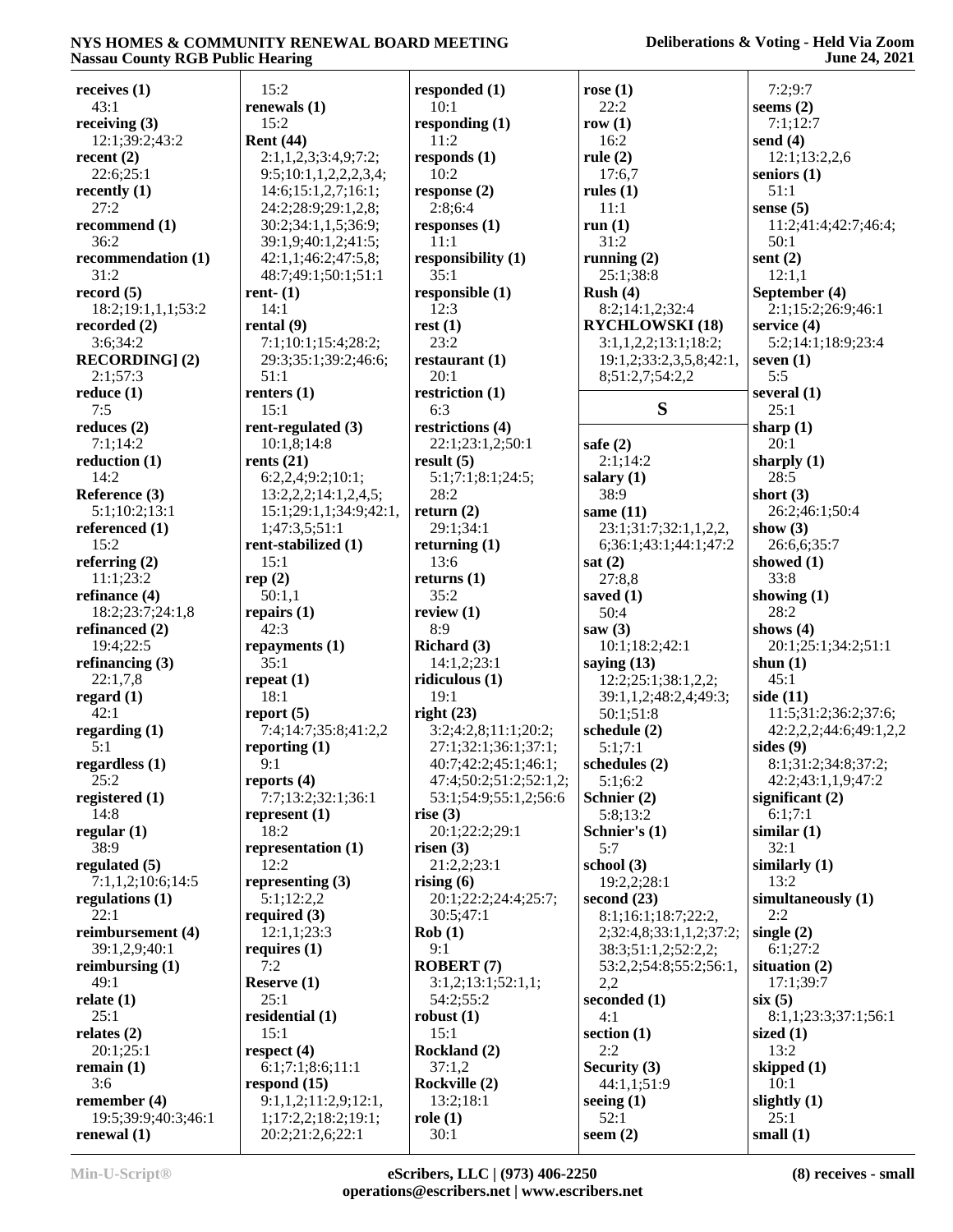| receives $(1)$            | 15:2                                           | responded $(1)$           | rose $(1)$              | 7:2;9:7                |
|---------------------------|------------------------------------------------|---------------------------|-------------------------|------------------------|
| 43:1                      | renewals (1)                                   | 10:1                      | 22:2                    | seems $(2)$            |
| receiving $(3)$           | 15:2                                           | responding $(1)$          | row $(1)$               | 7:1;12:7               |
| 12:1;39:2;43:2            | <b>Rent</b> (44)                               | 11:2                      | 16:2                    | send $(4)$             |
| recent $(2)$              | 2:1,1,2,3;3:4,9;7:2;                           | responds $(1)$            | rule $(2)$              | 12:1;13:2,2,6          |
| 22:6;25:1                 | 9:5;10:1,1,2,2,2,3,4;                          | 10:2                      | 17:6,7                  | seniors $(1)$          |
| recently $(1)$            | 14:6; 15:1, 2, 7; 16:1;                        | response(2)               | rules $(1)$             | 51:1                   |
| 27:2                      | 24:2;28:9;29:1,2,8;                            | 2:8;6:4                   | 11:1                    | sense $(5)$            |
| recommend (1)             | 30:2;34:1,1,5;36:9;                            | responses $(1)$           | run(1)                  | 11:2;41:4;42:7;46:4;   |
| 36:2                      | 39:1,9;40:1,2;41:5;                            | 11:1                      | 31:2                    | 50:1                   |
| recommendation (1)        | 42:1,1;46:2;47:5,8;                            | responsibility (1)        | running $(2)$           | sent $(2)$             |
| 31:2                      | 48:7;49:1;50:1;51:1                            | 35:1                      | 25:1;38:8               | 12:1,1                 |
| record(5)                 | rent- $(1)$                                    | responsible (1)           | Rush $(4)$              | September (4)          |
| 18:2;19:1,1,1;53:2        | 14:1                                           | 12:3                      | 8:2;14:1,2;32:4         | 2:1;15:2;26:9;46:1     |
| recorded $(2)$            | rental $(9)$                                   | rest(1)<br>23:2           | <b>RYCHLOWSKI</b> (18)  | service $(4)$          |
| 3:6;34:2                  | 7:1;10:1;15:4;28:2;                            |                           | 3:1,1,2,2;13:1;18:2;    | 5:2;14:1;18:9;23:4     |
| <b>RECORDING</b> ] (2)    | 29:3;35:1;39:2;46:6;<br>51:1                   | restaurant $(1)$<br>20:1  | 19:1,2;33:2,3,5,8;42:1, | seven $(1)$<br>5:5     |
| 2:1;57:3                  |                                                |                           | 8;51:2,7;54:2,2         |                        |
| reduce $(1)$<br>7:5       | renters $(1)$<br>15:1                          | restriction $(1)$<br>6:3  | S                       | several $(1)$<br>25:1  |
|                           |                                                |                           |                         |                        |
| reduces $(2)$             | rent-regulated (3)                             | restrictions (4)          | safe $(2)$              | sharp $(1)$            |
| 7:1;14:2<br>reduction (1) | 10:1,8;14:8                                    | 22:1;23:1,2;50:1          |                         | 20:1                   |
|                           | rents $(21)$                                   | result $(5)$              | 2:1;14:2                | sharply (1)            |
| 14:2                      | 6:2,2,4;9:2;10:1;                              | 5:1;7:1;8:1;24:5;<br>28:2 | salary $(1)$            | 28:5                   |
| Reference (3)             | 13:2,2,2;14:1,2,4,5;<br>15:1;29:1,1;34:9;42:1, |                           | 38:9                    | short $(3)$            |
| 5:1;10:2;13:1             |                                                | return $(2)$              | same $(11)$             | 26:2;46:1;50:4         |
| referenced (1)            | 1;47:3,5;51:1                                  | 29:1;34:1                 | 23:1;31:7;32:1,1,2,2,   | show $(3)$             |
| 15:2                      | rent-stabilized (1)                            | returning $(1)$           | 6;36:1;43:1;44:1;47:2   | 26:6,6;35:7            |
| referring $(2)$           | 15:1                                           | 13:6                      | sat $(2)$               | showed $(1)$           |
| 11:1;23:2                 | rep(2)                                         | returns $(1)$             | 27:8,8                  | 33:8                   |
| refinance (4)             | 50:1,1                                         | 35:2                      | saved $(1)$             | showing $(1)$          |
| 18:2;23:7;24:1,8          | repairs $(1)$                                  | review $(1)$              | 50:4                    | 28:2                   |
| refinanced (2)            | 42:3                                           | 8:9                       | saw $(3)$               | shows $(4)$            |
| 19:4;22:5                 | repayments $(1)$                               | Richard (3)               | 10:1;18:2;42:1          | 20:1;25:1;34:2;51:1    |
| refinancing $(3)$         | 35:1                                           | 14:1,2;23:1               | saying $(13)$           | shun $(1)$             |
| 22:1,7,8                  | repeat $(1)$                                   | ridiculous (1)            | 12:2;25:1;38:1,2,2;     | 45:1                   |
| regard $(1)$              | 18:1                                           | 19:1                      | 39:1,1,2;48:2,4;49:3;   | side $(11)$            |
| 42:1                      | report $(5)$                                   | right $(23)$              | 50:1;51:8               | 11:5;31:2;36:2;37:6;   |
| regarding (1)             | 7:4;14:7;35:8;41:2,2                           | 3:2;4:2,8;11:1;20:2;      | schedule (2)            | 42:2,2,2;44:6;49:1,2,2 |
| 5:1                       | reporting $(1)$                                | 27:1;32:1;36:1;37:1;      | 5:1;7:1                 | sides $(9)$            |
| regardless $(1)$          | 9:1                                            | 40:7;42:2;45:1;46:1;      | schedules $(2)$         | 8:1;31:2;34:8;37:2;    |
| 25:2                      | reports $(4)$                                  | 47:4;50:2;51:2;52:1,2;    | 5:1;6:2                 | 42:2;43:1,1,9;47:2     |
| registered (1)            | 7:7;13:2;32:1;36:1                             | 53:1;54:9;55:1,2;56:6     | Schnier (2)             | significant $(2)$      |
| 14:8                      | represent $(1)$                                | rise $(3)$                | 5:8;13:2                | 6:1;7:1                |
| regular $(1)$             | 18:2                                           | 20:1;22:2;29:1            | Schnier's (1)           | similar(1)             |
| 38:9                      | representation (1)                             | risen $(3)$               | 5:7                     | 32:1                   |
| regulated (5)             | 12:2                                           | 21:2,2;23:1               | school $(3)$            | similarly $(1)$        |
| 7:1,1,2;10:6;14:5         | representing (3)                               | rising $(6)$              | 19:2,2;28:1             | 13:2                   |
| regulations $(1)$         | 5:1;12:2,2                                     | 20:1;22:2;24:4;25:7;      | second $(23)$           | simultaneously (1)     |
| 22:1                      | required $(3)$                                 | 30:5;47:1                 | 8:1;16:1;18:7;22:2,     | 2:2                    |
| reimbursement (4)         | 12:1,1;23:3                                    | Rob(1)                    | 2;32:4,8;33:1,1,2;37:2; | single $(2)$           |
| 39:1,2,9;40:1             | requires $(1)$                                 | 9:1                       | 38:3;51:1,2;52:2,2;     | 6:1:27:2               |
| reimbursing $(1)$         | 7:2                                            | <b>ROBERT</b> (7)         | 53:2,2;54:8;55:2;56:1,  | situation $(2)$        |
| 49:1                      | Reserve $(1)$                                  | 3:1,2;13:1;52:1,1;        | 2,2                     | 17:1;39:7              |
| relate $(1)$              | 25:1                                           | 54:2;55:2                 | seconded (1)            | six(5)                 |
| 25:1                      | residential (1)                                | robust $(1)$              | 4:1                     | 8:1,1;23:3;37:1;56:1   |
| relates $(2)$             | 15:1                                           | 15:1                      | section $(1)$           | sized $(1)$            |
| 20:1;25:1                 | respect $(4)$                                  | Rockland (2)              | 2:2                     | 13:2                   |
| remain $(1)$              | 6:1;7:1;8:6;11:1                               | 37:1,2                    | <b>Security (3)</b>     | skipped $(1)$          |
| 3:6                       | respond $(15)$                                 | Rockville (2)             | 44:1,1;51:9             | 10:1                   |
| remember $(4)$            | 9:1,1,2;11:2,9;12:1,                           | 13:2;18:1                 | seeing $(1)$            | slightly $(1)$         |
| 19:5;39:9;40:3;46:1       | 1; 17:2, 2; 18:2; 19:1;                        | role(1)                   | 52:1                    | 25:1                   |
| renewal $(1)$             | 20:2;21:2,6;22:1                               | 30:1                      | seem $(2)$              | small $(1)$            |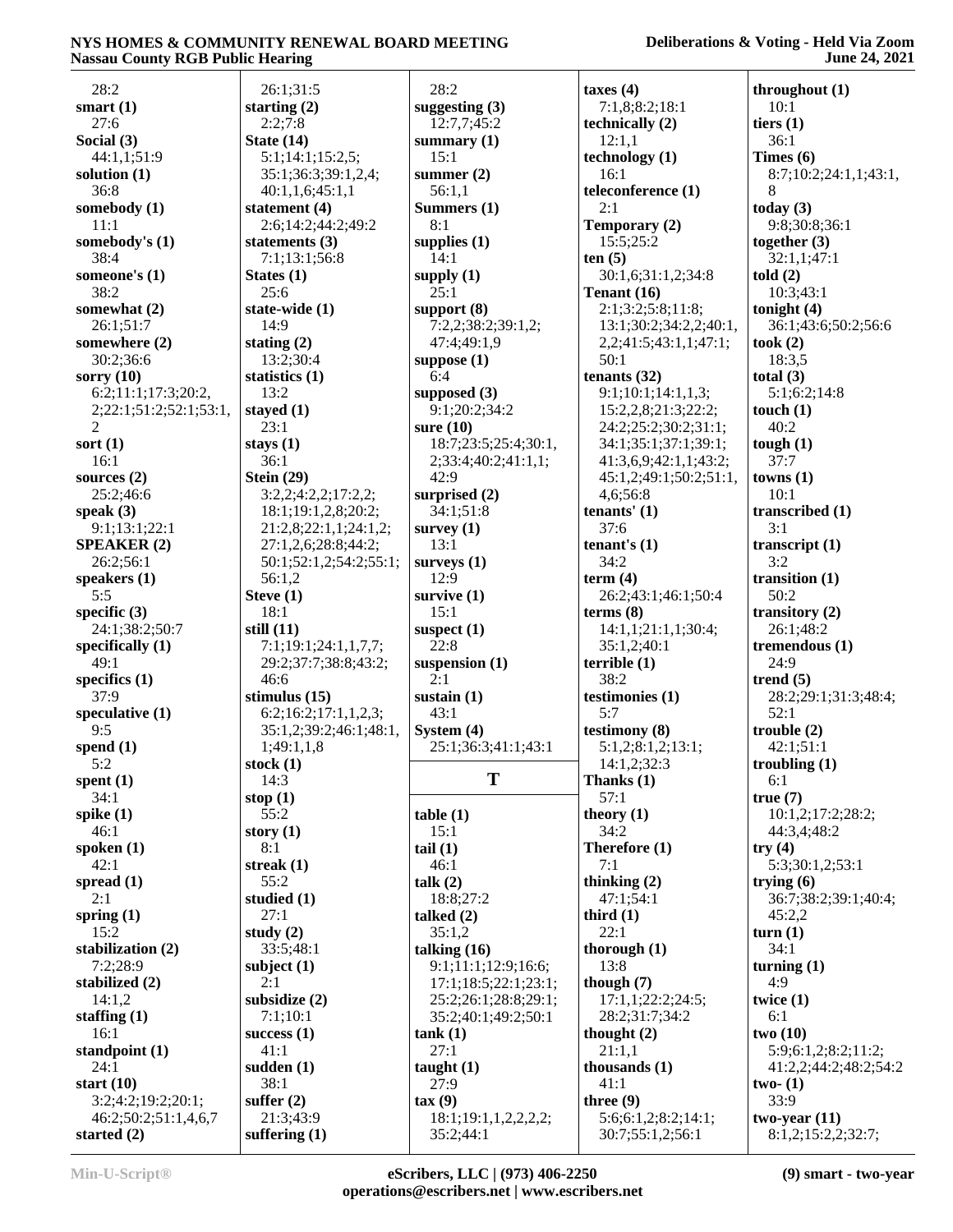| 28:2                                  | 26:1;31:5                    | 28:2                              | taxes $(4)$                             | throughout (1)                        |
|---------------------------------------|------------------------------|-----------------------------------|-----------------------------------------|---------------------------------------|
| smart $(1)$                           | starting $(2)$               | suggesting $(3)$                  | 7:1,8;8:2;18:1                          | 10:1                                  |
| 27:6                                  | 2:2;7:8                      | 12:7,7;45:2                       | technically (2)                         | tiers $(1)$                           |
| Social (3)                            | State $(14)$                 | summary $(1)$                     | 12:1,1                                  | 36:1                                  |
| 44:1,1;51:9                           | 5:1;14:1;15:2,5;             | 15:1                              | technology (1)                          | Times $(6)$                           |
| solution (1)                          | 35:1;36:3;39:1,2,4;          | summer $(2)$                      | 16:1                                    | 8:7;10:2;24:1,1;43:1,                 |
| 36:8                                  | 40:1,1,6;45:1,1              | 56:1,1                            | teleconference (1)                      | 8                                     |
| somebody (1)                          | statement (4)                | Summers (1)                       | 2:1                                     | today $(3)$                           |
| 11:1                                  | 2:6;14:2;44:2;49:2           | 8:1                               | Temporary (2)                           | 9:8;30:8;36:1                         |
| somebody's (1)                        | statements $(3)$             | supplies $(1)$                    | 15:5;25:2                               | together $(3)$                        |
| 38:4                                  | 7:1;13:1;56:8                | 14:1                              | ten(5)                                  | 32:1,1;47:1                           |
|                                       |                              |                                   |                                         |                                       |
| someone's (1)                         | States $(1)$                 | supply $(1)$                      | 30:1,6;31:1,2;34:8                      | told(2)                               |
| 38:2                                  | 25:6                         | 25:1                              | Tenant (16)                             | 10:3;43:1                             |
| somewhat (2)                          | state-wide (1)               | support $(8)$                     | 2:1;3:2;5:8;11:8;                       | tonight $(4)$                         |
| 26:1;51:7                             | 14:9                         | 7:2,2;38:2;39:1,2;                | 13:1;30:2;34:2,2;40:1,                  | 36:1;43:6;50:2;56:6                   |
| somewhere (2)                         | stating $(2)$                | 47:4;49:1,9                       | 2, 2, 3: 43: 1, 1, 47: 1;               | took $(2)$                            |
| 30:2;36:6                             | 13:2;30:4                    | suppose $(1)$                     | 50:1                                    | 18:3,5                                |
| sorry $(10)$                          | statistics $(1)$             | 6:4                               | tenants $(32)$                          | total $(3)$                           |
| 6:2;11:1;17:3;20:2,                   | 13:2                         | supposed $(3)$                    | 9:1;10:1;14:1,1,3;                      | 5:1;6:2;14:8                          |
| 2;22:1;51:2;52:1;53:1,                | stayed (1)                   | 9:1;20:2;34:2                     | 15:2,2,8;21:3;22:2;                     | touch $(1)$                           |
| 2                                     | 23:1                         | sure $(10)$                       | 24:2;25:2;30:2;31:1;                    | 40:2                                  |
| sort $(1)$                            | stays $(1)$                  | 18:7;23:5;25:4;30:1,              | 34:1;35:1;37:1;39:1;                    | tough $(1)$                           |
| 16:1                                  | 36:1                         | 2;33:4;40:2;41:1,1;               | 41:3,6,9;42:1,1;43:2;                   | 37:7                                  |
| sources $(2)$                         | Stein $(29)$                 | 42:9                              | 45:1,2;49:1;50:2;51:1,                  | towns(1)                              |
| 25:2;46:6                             | 3:2,2;4:2,2;17:2,2;          | surprised $(2)$                   | 4,6;56:8                                | 10:1                                  |
| speak $(3)$                           | 18:1;19:1,2,8;20:2;          | 34:1;51:8                         | tenants' $(1)$                          | transcribed (1)                       |
|                                       |                              |                                   | 37:6                                    | 3:1                                   |
| 9:1;13:1;22:1                         | 21:2,8;22:1,1;24:1,2;        | survey $(1)$                      |                                         |                                       |
| <b>SPEAKER (2)</b>                    | 27:1,2,6;28:8;44:2;          | 13:1                              | tenant's $(1)$                          | transcript (1)                        |
| 26:2;56:1                             | 50:1;52:1,2;54:2;55:1;       | surveys $(1)$                     | 34:2                                    | 3:2                                   |
| speakers $(1)$                        | 56:1,2                       | 12:9                              | term $(4)$                              | transition $(1)$                      |
| 5:5                                   | Steve $(1)$                  | survive $(1)$                     | 26:2;43:1;46:1;50:4                     | 50:2                                  |
|                                       |                              |                                   |                                         |                                       |
| specific $(3)$                        | 18:1                         | 15:1                              | terms <sub>8</sub>                      | transitory $(2)$                      |
| 24:1;38:2;50:7                        | still $(11)$                 | suspect $(1)$                     | 14:1,1;21:1,1;30:4;                     | 26:1;48:2                             |
| specifically $(1)$                    | 7:1;19:1;24:1,1,7,7;         | 22:8                              | 35:1,2;40:1                             | tremendous $(1)$                      |
| 49:1                                  |                              |                                   | terrible(1)                             | 24:9                                  |
|                                       | 29:2;37:7;38:8;43:2;<br>46:6 | suspension $(1)$<br>2:1           | 38:2                                    | trend $(5)$                           |
| specifics $(1)$<br>37:9               |                              |                                   |                                         |                                       |
|                                       | stimulus $(15)$              | sustain $(1)$                     | testimonies (1)                         | 28:2;29:1;31:3;48:4;                  |
| speculative (1)                       | 6:2;16:2;17:1,1,2,3;         | 43:1                              | 5:7                                     | 52:1                                  |
| 9:5                                   | 35:1,2;39:2;46:1;48:1,       | System $(4)$                      | testimony (8)                           | trouble(2)                            |
| spend $(1)$                           | 1;49:1,1,8                   | 25:1;36:3;41:1;43:1               | 5:1,2;8:1,2;13:1;                       | 42:1;51:1                             |
| 5:2                                   | stock $(1)$                  |                                   | 14:1,2;32:3                             | troubling (1)                         |
| spent $(1)$                           | 14:3                         | T                                 | Thanks (1)                              | 6:1                                   |
| 34:1                                  | stop $(1)$                   |                                   | 57:1                                    | true(7)                               |
| spike $(1)$                           | 55:2                         | table(1)                          | theory $(1)$                            | 10:1,2;17:2;28:2;                     |
| 46:1                                  | story $(1)$                  | 15:1                              | 34:2                                    | 44:3,4;48:2                           |
| spoken $(1)$                          | 8:1                          | tail(1)                           | Therefore (1)                           | try $(4)$                             |
| 42:1                                  | streak $(1)$                 | 46:1                              | 7:1                                     | 5:3;30:1,2;53:1                       |
| spread $(1)$                          | 55:2                         | talk (2)                          | thinking $(2)$                          | trying $(6)$                          |
| 2:1                                   | studied (1)                  | 18:8;27:2                         | 47:1;54:1                               | 36:7;38:2;39:1;40:4;                  |
| spring $(1)$                          | 27:1                         | talked $(2)$                      | third $(1)$                             | 45:2,2                                |
| 15:2                                  | study $(2)$                  | 35:1,2                            | 22:1                                    | turn $(1)$                            |
|                                       | 33:5;48:1                    | talking $(16)$                    |                                         | 34:1                                  |
| stabilization (2)                     |                              |                                   | thorough $(1)$                          |                                       |
| 7:2;28:9                              | subject $(1)$                | 9:1;11:1;12:9;16:6;               | 13:8                                    | turning $(1)$                         |
| stabilized (2)                        | 2:1                          | 17:1;18:5;22:1;23:1;              | though $(7)$                            | 4:9                                   |
| 14:1,2                                | subsidize $(2)$              | 25:2;26:1;28:8;29:1;              | 17:1,1;22:2;24:5;                       | twice $(1)$                           |
| staffing $(1)$                        | 7:1;10:1                     | 35:2;40:1;49:2;50:1               | 28:2;31:7;34:2                          | 6:1                                   |
| 16:1                                  | success $(1)$                | tank(1)                           | thought $(2)$                           | two(10)                               |
| standpoint $(1)$                      | 41:1                         | 27:1                              | 21:1,1                                  | 5:9;6:1,2;8:2;11:2;                   |
| 24:1                                  | sudden $(1)$                 | taught $(1)$                      | thousands $(1)$                         | 41:2,2;44:2;48:2;54:2                 |
| start $(10)$                          | 38:1                         | 27:9                              | 41:1                                    | two- $(1)$                            |
| 3:2;4:2;19:2;20:1;                    | suffer $(2)$                 | $\text{tax}(9)$                   | three $(9)$                             | 33:9                                  |
| 46:2;50:2;51:1,4,6,7<br>started $(2)$ | 21:3;43:9<br>suffering $(1)$ | 18:1;19:1,1,2,2,2,2;<br>35:2;44:1 | 5:6;6:1,2;8:2;14:1;<br>30:7;55:1,2;56:1 | two-year $(11)$<br>8:1,2;15:2,2;32:7; |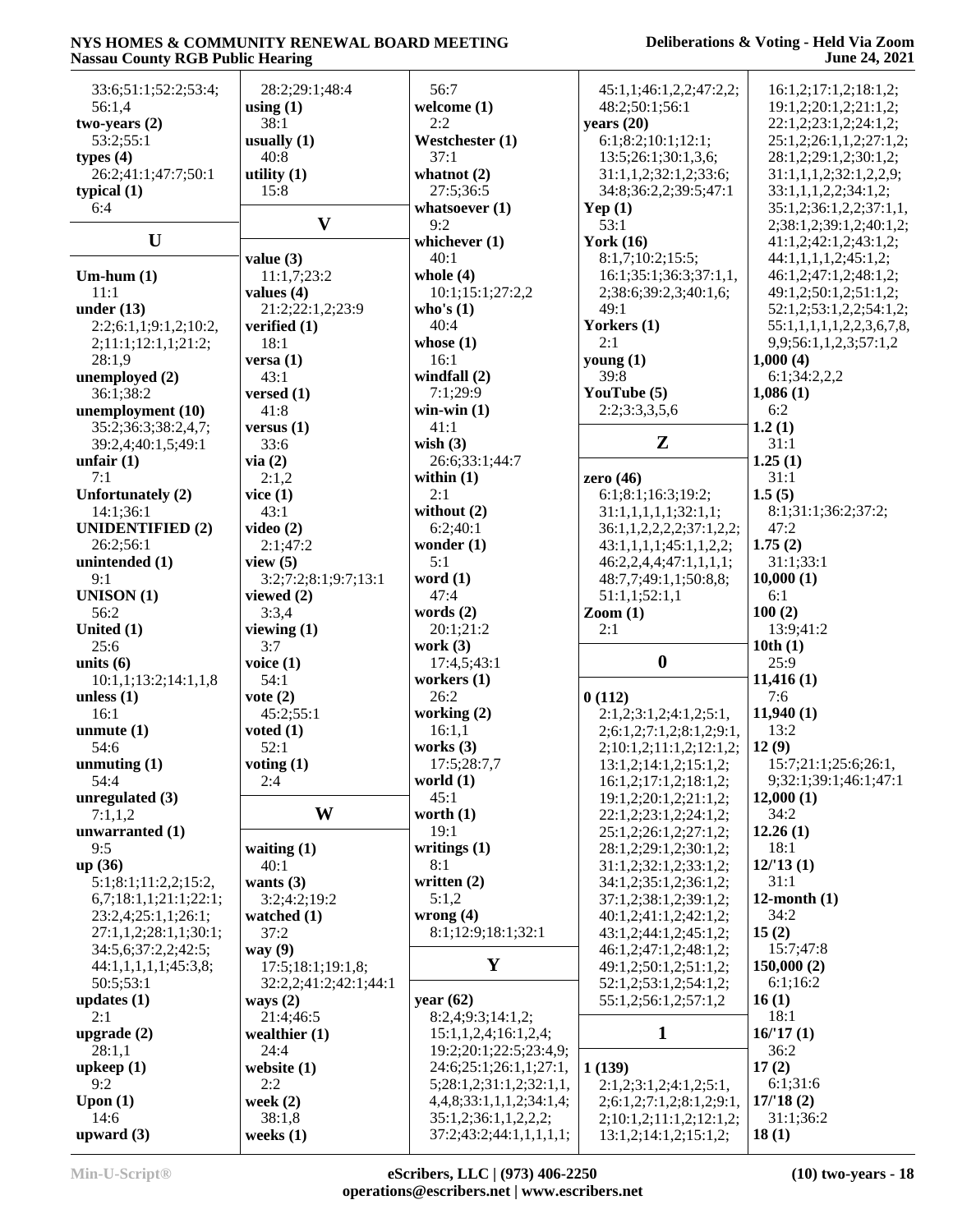#### **Deliberations & Voting - Held Via Zoom June 24, 2021**

| 33:6;51:1;52:2;53:4;    | 28:2;29:1;48:4        | 56:7                     | 45:1,1;46:1,2,2;47:2,2;       | 16:1,2;17:1,2;18:1,2;     |
|-------------------------|-----------------------|--------------------------|-------------------------------|---------------------------|
| 56:1,4                  | using $(1)$           | welcome (1)              | 48:2;50:1;56:1                | 19:1,2;20:1,2;21:1,2;     |
| two-years $(2)$         | 38:1                  | 2:2                      | years $(20)$                  | 22:1,2;23:1,2;24:1,2;     |
|                         |                       |                          |                               |                           |
| 53:2;55:1               | usually $(1)$         | Westchester (1)          | 6:1;8:2;10:1;12:1;            | 25:1,2;26:1,1,2;27:1,2;   |
| types $(4)$             | 40:8                  | 37:1                     | 13:5;26:1;30:1,3,6;           | 28:1,2;29:1,2;30:1,2;     |
| 26:2;41:1;47:7;50:1     | utility $(1)$         | whatnot $(2)$            | 31:1,1,2;32:1,2;33:6;         | 31:1,1,1,2;32:1,2,2,9;    |
| typical $(1)$           | 15:8                  | 27:5;36:5                | 34:8;36:2,2;39:5;47:1         | 33:1,1,1,2,2;34:1,2;      |
| 6:4                     |                       | whatsoever $(1)$         | Yep $(1)$                     | 35:1,2;36:1,2,2;37:1,1,   |
|                         | $\mathbf{V}$          | 9:2                      | 53:1                          | 2;38:1,2;39:1,2;40:1,2;   |
| $\mathbf U$             |                       | whichever (1)            | <b>York (16)</b>              | 41:1,2;42:1,2;43:1,2;     |
|                         |                       |                          |                               |                           |
|                         | value $(3)$           | 40:1                     | 8:1,7;10:2;15:5;              | 44:1,1,1,1,1,2;45:1,2;    |
| $Um-hum(1)$             | 11:1,7;23:2           | whole $(4)$              | 16:1;35:1;36:3;37:1,1,        | 46:1,2;47:1,2;48:1,2;     |
| 11:1                    | values $(4)$          | 10:1;15:1;27:2,2         | 2;38:6;39:2,3;40:1,6;         | 49:1,2;50:1,2;51:1,2;     |
| under $(13)$            | 21:2;22:1,2;23:9      | who's $(1)$              | 49:1                          | 52:1,2;53:1,2,2;54:1,2;   |
| 2:2;6:1,1;9:1,2;10:2,   | verified $(1)$        | 40:4                     | Yorkers (1)                   | 55:1,1,1,1,1,2,2,3,6,7,8, |
| 2;11:1;12:1,1;21:2;     | 18:1                  | whose $(1)$              | 2:1                           | 9,9;56:1,1,2,3;57:1,2     |
| 28:1,9                  | versa $(1)$           | 16:1                     | young $(1)$                   | 1,000(4)                  |
|                         |                       | windfall (2)             | 39:8                          |                           |
| unemployed (2)          | 43:1                  |                          |                               | 6:1;34:2,2,2              |
| 36:1;38:2               | versed $(1)$          | 7:1;29:9                 | YouTube (5)                   | 1,086(1)                  |
| unemployment (10)       | 41:8                  | win-win $(1)$            | 2:2;3:3,3,5,6                 | 6:2                       |
| 35:2;36:3;38:2,4,7;     | versus $(1)$          | 41:1                     |                               | 1.2(1)                    |
| 39:2,4;40:1,5;49:1      | 33:6                  | wish $(3)$               | $\mathbf{Z}$                  | 31:1                      |
| unfair $(1)$            | via(2)                | 26:6;33:1;44:7           |                               | 1.25(1)                   |
| 7:1                     | 2:1,2                 | within $(1)$             | zero (46)                     | 31:1                      |
| Unfortunately (2)       |                       | 2:1                      | 6:1;8:1;16:3;19:2;            | 1.5(5)                    |
|                         | vice $(1)$            |                          |                               |                           |
| 14:1;36:1               | 43:1                  | without (2)              | 31:1,1,1,1,1;32:1,1;          | 8:1;31:1;36:2;37:2;       |
| <b>UNIDENTIFIED (2)</b> | video $(2)$           | 6:2;40:1                 | 36:1,1,2,2,2,2;37:1,2,2;      | 47:2                      |
| 26:2;56:1               | 2:1;47:2              | wonder $(1)$             | 43:1,1,1,1;45:1,1,2,2;        | 1.75(2)                   |
| unintended (1)          | view $(5)$            | 5:1                      | 46:2,2,4,4;47:1,1,1,1;        | 31:1;33:1                 |
| 9:1                     | 3:2;7:2;8:1;9:7;13:1  | word $(1)$               | 48:7,7;49:1,1;50:8,8;         | 10,000(1)                 |
|                         |                       |                          |                               |                           |
|                         |                       |                          |                               |                           |
| <b>UNISON</b> (1)       | viewed $(2)$          | 47:4                     | 51:1,1;52:1,1                 | 6:1                       |
| 56:2                    | 3:3,4                 | words $(2)$              | $\mathrm{Zoom}\left(1\right)$ | 100(2)                    |
| United (1)              | viewing $(1)$         | 20:1;21:2                | 2:1                           | 13:9;41:2                 |
| 25:6                    | 3:7                   | work $(3)$               |                               | 10th(1)                   |
| units $(6)$             | voice $(1)$           | 17:4,5;43:1              | $\boldsymbol{0}$              | 25:9                      |
| 10:1,1;13:2;14:1,1,8    | 54:1                  | workers $(1)$            |                               | 11,416(1)                 |
| unless $(1)$            | vote $(2)$            | 26:2                     | 0(112)                        | 7:6                       |
|                         |                       |                          |                               |                           |
| 16:1                    | 45:2;55:1             | working (2)              | 2:1,2;3:1,2;4:1,2;5:1,        | 11,940(1)                 |
| unmute $(1)$            | voted $(1)$           | 16:1,1                   | 2;6:1,2;7:1,2;8:1,2;9:1,      | 13:2                      |
| 54:6                    | 52:1                  | works $(3)$              | 2;10:1,2;11:1,2;12:1,2;       | 12(9)                     |
| unmuting $(1)$          | voting $(1)$          | 17:5;28:7,7              | 13:1,2;14:1,2;15:1,2;         | 15:7;21:1;25:6;26:1,      |
| 54:4                    | 2:4                   | world $(1)$              | 16:1,2;17:1,2;18:1,2;         | 9;32:1;39:1;46:1;47:1     |
| unregulated (3)         |                       | 45:1                     | 19:1,2;20:1,2;21:1,2;         | 12,000(1)                 |
| 7:1,1,2                 | W                     | worth $(1)$              | 22:1,2;23:1,2;24:1,2;         | 34:2                      |
| unwarranted $(1)$       |                       | 19:1                     | 25:1,2;26:1,2;27:1,2;         | 12.26(1)                  |
| 9:5                     |                       |                          |                               | 18:1                      |
|                         | waiting $(1)$<br>40:1 | writings $(1)$           | 28:1,2;29:1,2;30:1,2;         |                           |
| up(36)                  |                       | 8:1                      | 31:1,2;32:1,2;33:1,2;         | 12/13(1)                  |
| 5:1;8:1;11:2,2;15:2,    | wants $(3)$           | written $(2)$            | 34:1,2;35:1,2;36:1,2;         | 31:1                      |
| 6,7;18:1,1;21:1;22:1;   | 3:2;4:2;19:2          | 5:1,2                    | 37:1,2;38:1,2;39:1,2;         | 12-month $(1)$            |
| 23:2,4;25:1,1;26:1;     | watched $(1)$         | wrong $(4)$              | 40:1,2;41:1,2;42:1,2;         | 34:2                      |
| 27:1,1,2;28:1,1;30:1;   | 37:2                  | 8:1;12:9;18:1;32:1       | 43:1,2;44:1,2;45:1,2;         | 15(2)                     |
| 34:5,6;37:2,2;42:5;     | way $(9)$             |                          | 46:1,2;47:1,2;48:1,2;         | 15:7;47:8                 |
| 44:1,1,1,1,1,1;45:3,8;  | 17:5;18:1;19:1,8;     | $\mathbf{Y}$             | 49:1,2;50:1,2;51:1,2;         | 150,000(2)                |
| 50:5;53:1               | 32:2,2;41:2;42:1;44:1 |                          | 52:1,2;53:1,2;54:1,2;         | 6:1;16:2                  |
|                         |                       |                          |                               |                           |
| updates $(1)$           | ways $(2)$            | year $(62)$              | 55:1,2;56:1,2;57:1,2          | 16(1)                     |
| 2:1                     | 21:4;46:5             | 8:2,4;9:3;14:1,2;        |                               | 18:1                      |
| upgrade $(2)$           | wealthier $(1)$       | 15:1,1,2,4;16:1,2,4;     | $\mathbf{1}$                  | 16/17(1)                  |
| 28:1,1                  | 24:4                  | 19:2;20:1;22:5;23:4,9;   |                               | 36:2                      |
| upkeep(1)               | website $(1)$         | 24:6;25:1;26:1,1;27:1,   | 1(139)                        | 17(2)                     |
| 9:2                     | 2:2                   | 5;28:1,2;31:1,2;32:1,1,  | 2:1,2;3:1,2;4:1,2;5:1,        | 6:1;31:6                  |
| Upon $(1)$              | week $(2)$            | 4,4,8;33:1,1,1,2;34:1,4; | 2;6:1,2;7:1,2;8:1,2;9:1,      | 17/18(2)                  |
| 14:6                    | 38:1,8                | 35:1,2;36:1,1,2,2,2;     | 2;10:1,2;11:1,2;12:1,2;       | 31:1;36:2                 |
| upward $(3)$            | weeks $(1)$           | 37:2;43:2;44:1,1,1,1,1;  | 13:1,2;14:1,2;15:1,2;         | 18(1)                     |